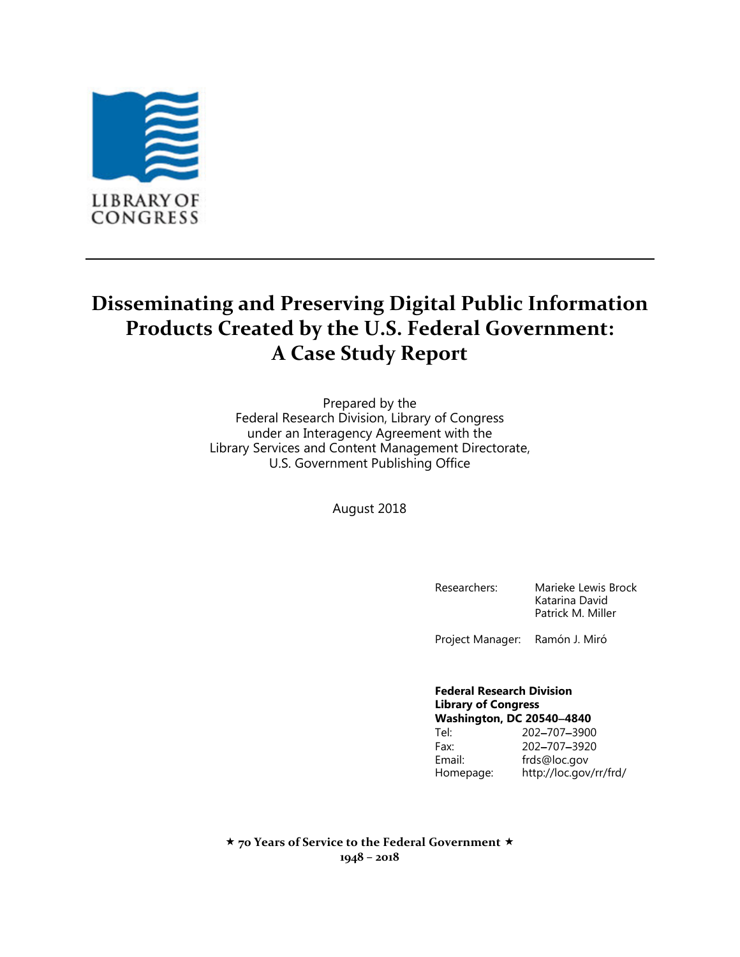

# **Disseminating and Preserving Digital Public Information Products Created by the U.S. Federal Government: A Case Study Report**

Prepared by the Federal Research Division, Library of Congress under an Interagency Agreement with the Library Services and Content Management Directorate, U.S. Government Publishing Office

August 2018

Researchers: Marieke Lewis Brock Katarina David Patrick M. Miller

Project Manager: Ramón J. Miró

#### **Federal Research Division Library of Congress Washington, DC 205404840**

|           | ขขaэнніціон, ра гозчо-чочо |
|-----------|----------------------------|
| Tel:      | 202-707-3900               |
| Fax:      | 202-707-3920               |
| Email:    | frds@loc.gov               |
| Homepage: | http://loc.gov/rr/frd/     |

 **70 Years of Service to the Federal Government 1948 – 2018**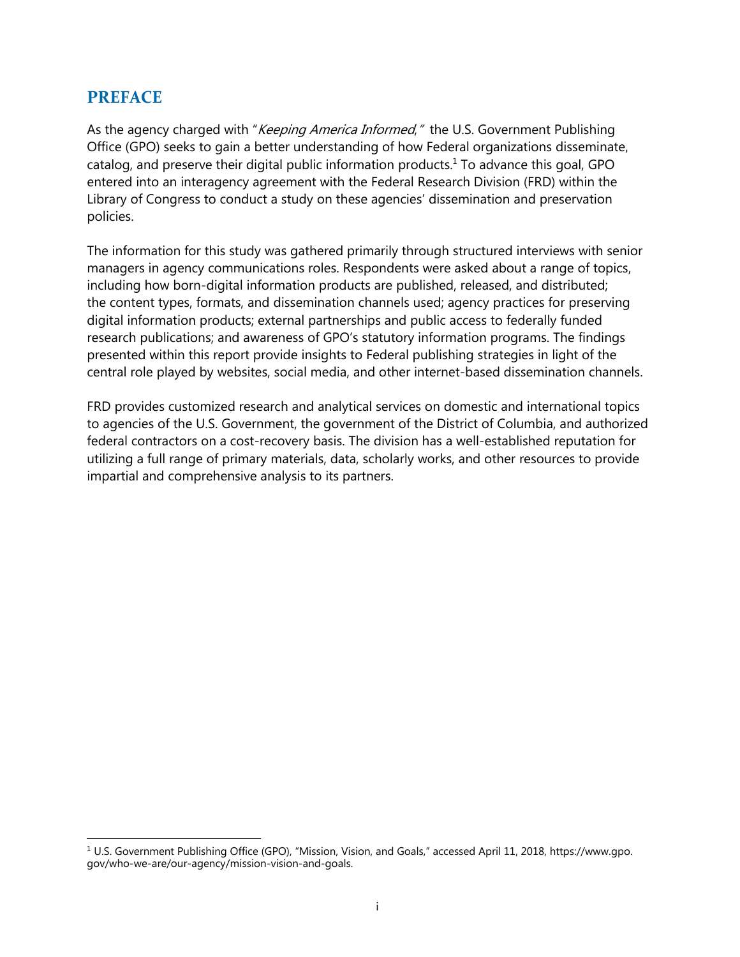### <span id="page-1-0"></span>**PREFACE**

As the agency charged with "*Keeping America Informed*," the U.S. Government Publishing Office (GPO) seeks to gain a better understanding of how Federal organizations disseminate, catalog, and preserve their digital public information products.<sup>1</sup> To advance this goal, GPO entered into an interagency agreement with the Federal Research Division (FRD) within the Library of Congress to conduct a study on these agencies' dissemination and preservation policies.

The information for this study was gathered primarily through structured interviews with senior managers in agency communications roles. Respondents were asked about a range of topics, including how born-digital information products are published, released, and distributed; the content types, formats, and dissemination channels used; agency practices for preserving digital information products; external partnerships and public access to federally funded research publications; and awareness of GPO's statutory information programs. The findings presented within this report provide insights to Federal publishing strategies in light of the central role played by websites, social media, and other internet-based dissemination channels.

FRD provides customized research and analytical services on domestic and international topics to agencies of the U.S. Government, the government of the District of Columbia, and authorized federal contractors on a cost-recovery basis. The division has a well-established reputation for utilizing a full range of primary materials, data, scholarly works, and other resources to provide impartial and comprehensive analysis to its partners.

 $\overline{\phantom{a}}$ <sup>1</sup> U.S. Government Publishing Office (GPO), "Mission, Vision, and Goals," accessed April 11, 2018, https://www.gpo. gov/who-we-are/our-agency/mission-vision-and-goals.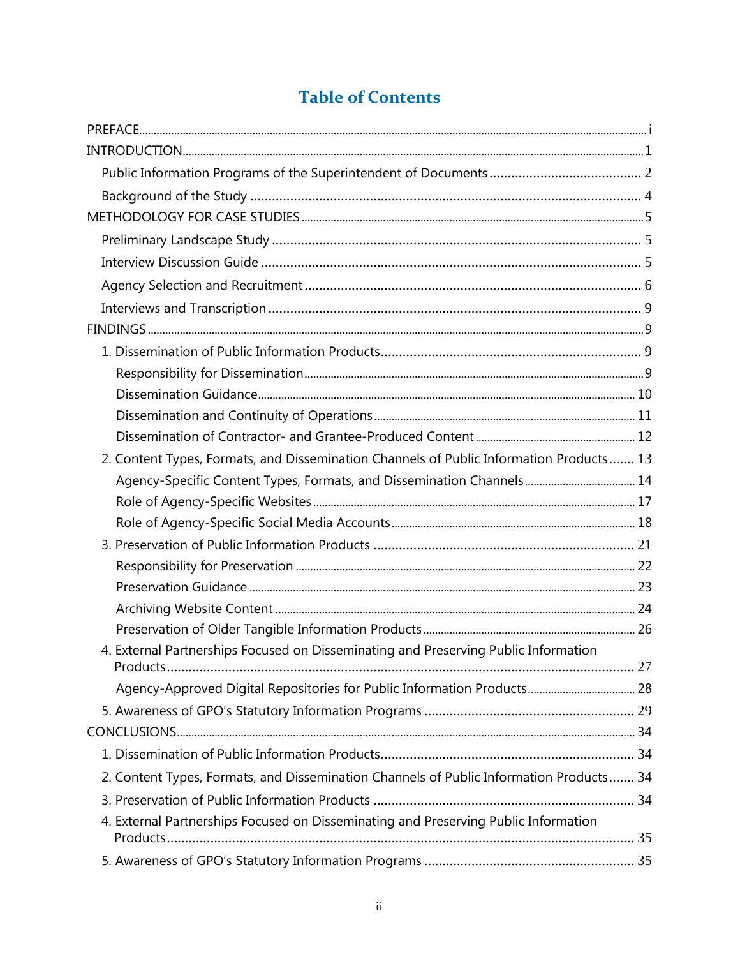# **Table of Contents**

| 2. Content Types, Formats, and Dissemination Channels of Public Information Products 13<br>4. External Partnerships Focused on Disseminating and Preserving Public Information<br>2. Content Types, Formats, and Dissemination Channels of Public Information Products 34<br>4. External Partnerships Focused on Disseminating and Preserving Public Information |  |
|------------------------------------------------------------------------------------------------------------------------------------------------------------------------------------------------------------------------------------------------------------------------------------------------------------------------------------------------------------------|--|
|                                                                                                                                                                                                                                                                                                                                                                  |  |
|                                                                                                                                                                                                                                                                                                                                                                  |  |
|                                                                                                                                                                                                                                                                                                                                                                  |  |
|                                                                                                                                                                                                                                                                                                                                                                  |  |
|                                                                                                                                                                                                                                                                                                                                                                  |  |
|                                                                                                                                                                                                                                                                                                                                                                  |  |
|                                                                                                                                                                                                                                                                                                                                                                  |  |
|                                                                                                                                                                                                                                                                                                                                                                  |  |
|                                                                                                                                                                                                                                                                                                                                                                  |  |
|                                                                                                                                                                                                                                                                                                                                                                  |  |
|                                                                                                                                                                                                                                                                                                                                                                  |  |
|                                                                                                                                                                                                                                                                                                                                                                  |  |
|                                                                                                                                                                                                                                                                                                                                                                  |  |
|                                                                                                                                                                                                                                                                                                                                                                  |  |
|                                                                                                                                                                                                                                                                                                                                                                  |  |
|                                                                                                                                                                                                                                                                                                                                                                  |  |
|                                                                                                                                                                                                                                                                                                                                                                  |  |
|                                                                                                                                                                                                                                                                                                                                                                  |  |
|                                                                                                                                                                                                                                                                                                                                                                  |  |
|                                                                                                                                                                                                                                                                                                                                                                  |  |
|                                                                                                                                                                                                                                                                                                                                                                  |  |
|                                                                                                                                                                                                                                                                                                                                                                  |  |
|                                                                                                                                                                                                                                                                                                                                                                  |  |
|                                                                                                                                                                                                                                                                                                                                                                  |  |
|                                                                                                                                                                                                                                                                                                                                                                  |  |
|                                                                                                                                                                                                                                                                                                                                                                  |  |
|                                                                                                                                                                                                                                                                                                                                                                  |  |
|                                                                                                                                                                                                                                                                                                                                                                  |  |
|                                                                                                                                                                                                                                                                                                                                                                  |  |
|                                                                                                                                                                                                                                                                                                                                                                  |  |
|                                                                                                                                                                                                                                                                                                                                                                  |  |
|                                                                                                                                                                                                                                                                                                                                                                  |  |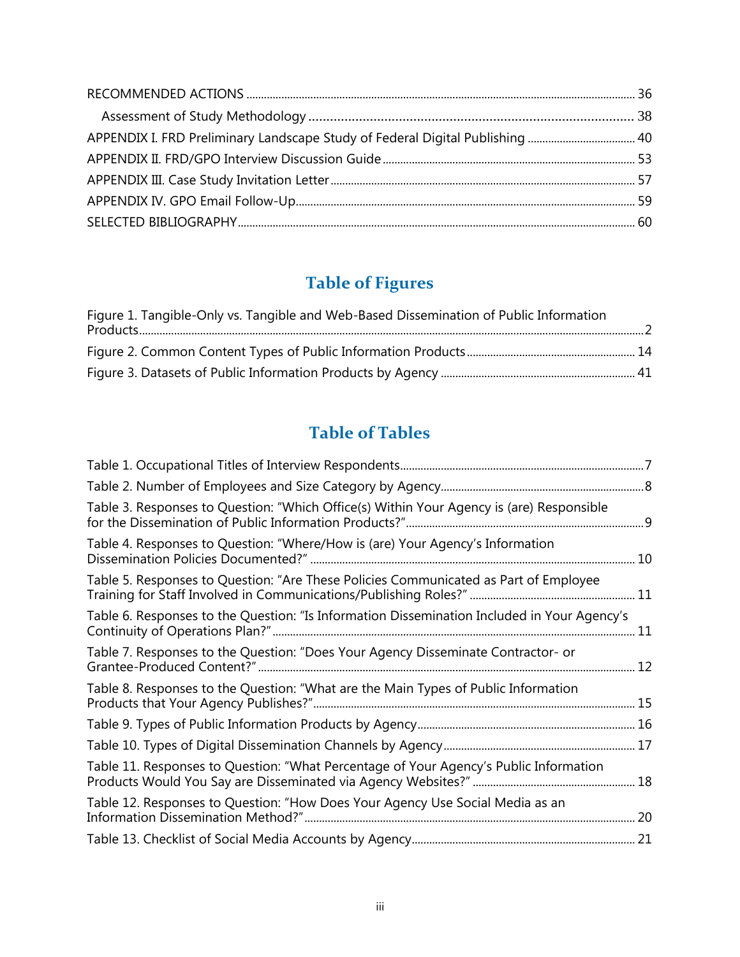| APPENDIX I. FRD Preliminary Landscape Study of Federal Digital Publishing  40 |  |
|-------------------------------------------------------------------------------|--|
|                                                                               |  |
|                                                                               |  |
|                                                                               |  |
|                                                                               |  |

# **Table of Figures**

| Figure 1. Tangible-Only vs. Tangible and Web-Based Dissemination of Public Information |  |
|----------------------------------------------------------------------------------------|--|
|                                                                                        |  |
|                                                                                        |  |

# **Table of Tables**

| Table 3. Responses to Question: "Which Office(s) Within Your Agency is (are) Responsible    |    |
|---------------------------------------------------------------------------------------------|----|
| Table 4. Responses to Question: "Where/How is (are) Your Agency's Information               |    |
| Table 5. Responses to Question: "Are These Policies Communicated as Part of Employee        |    |
| Table 6. Responses to the Question: "Is Information Dissemination Included in Your Agency's | 11 |
| Table 7. Responses to the Question: "Does Your Agency Disseminate Contractor- or            |    |
| Table 8. Responses to the Question: "What are the Main Types of Public Information          |    |
|                                                                                             |    |
|                                                                                             |    |
| Table 11. Responses to Question: "What Percentage of Your Agency's Public Information       |    |
| Table 12. Responses to Question: "How Does Your Agency Use Social Media as an               | 20 |
|                                                                                             |    |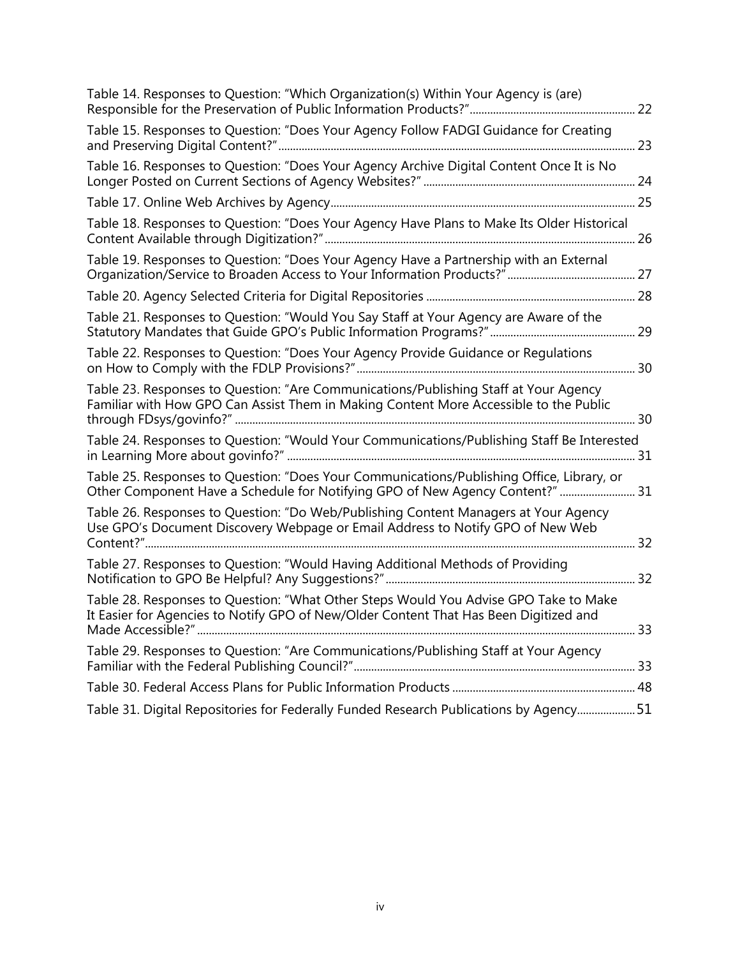| Table 14. Responses to Question: "Which Organization(s) Within Your Agency is (are)                                                                                           |  |
|-------------------------------------------------------------------------------------------------------------------------------------------------------------------------------|--|
| Table 15. Responses to Question: "Does Your Agency Follow FADGI Guidance for Creating                                                                                         |  |
| Table 16. Responses to Question: "Does Your Agency Archive Digital Content Once It is No                                                                                      |  |
|                                                                                                                                                                               |  |
| Table 18. Responses to Question: "Does Your Agency Have Plans to Make Its Older Historical                                                                                    |  |
| Table 19. Responses to Question: "Does Your Agency Have a Partnership with an External                                                                                        |  |
|                                                                                                                                                                               |  |
| Table 21. Responses to Question: "Would You Say Staff at Your Agency are Aware of the                                                                                         |  |
| Table 22. Responses to Question: "Does Your Agency Provide Guidance or Regulations                                                                                            |  |
| Table 23. Responses to Question: "Are Communications/Publishing Staff at Your Agency<br>Familiar with How GPO Can Assist Them in Making Content More Accessible to the Public |  |
| Table 24. Responses to Question: "Would Your Communications/Publishing Staff Be Interested                                                                                    |  |
| Table 25. Responses to Question: "Does Your Communications/Publishing Office, Library, or<br>Other Component Have a Schedule for Notifying GPO of New Agency Content?"  31    |  |
| Table 26. Responses to Question: "Do Web/Publishing Content Managers at Your Agency<br>Use GPO's Document Discovery Webpage or Email Address to Notify GPO of New Web         |  |
| Table 27. Responses to Question: "Would Having Additional Methods of Providing                                                                                                |  |
| Table 28. Responses to Question: "What Other Steps Would You Advise GPO Take to Make<br>It Easier for Agencies to Notify GPO of New/Older Content That Has Been Digitized and |  |
| Table 29. Responses to Question: "Are Communications/Publishing Staff at Your Agency                                                                                          |  |
|                                                                                                                                                                               |  |
| Table 31. Digital Repositories for Federally Funded Research Publications by Agency 51                                                                                        |  |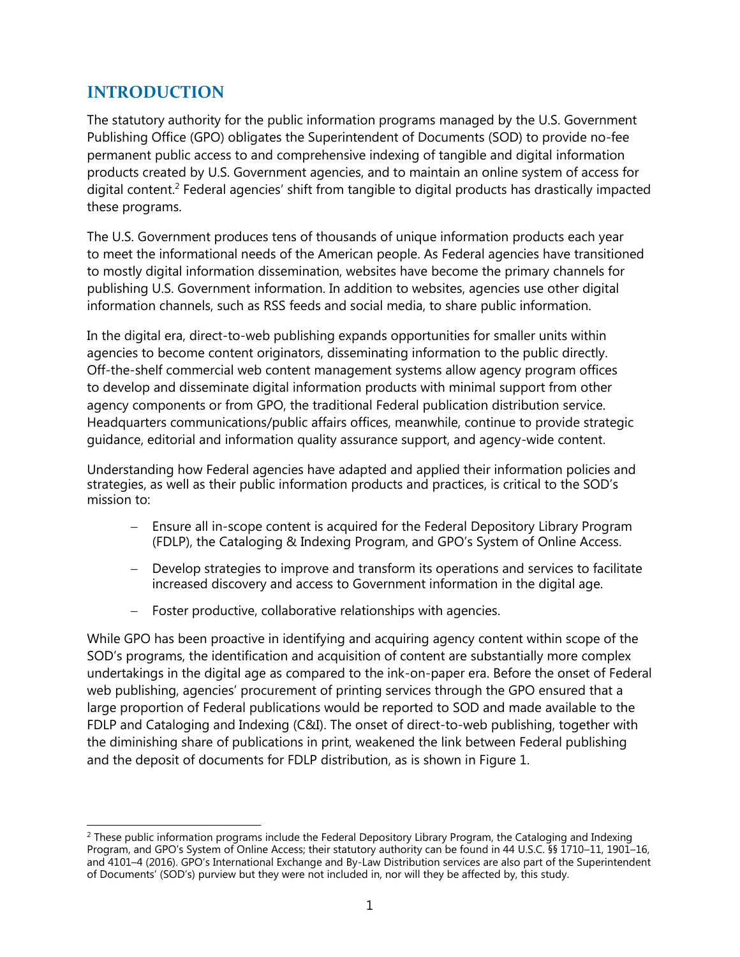## <span id="page-5-0"></span>**INTRODUCTION**

The statutory authority for the public information programs managed by the U.S. Government Publishing Office (GPO) obligates the Superintendent of Documents (SOD) to provide no-fee permanent public access to and comprehensive indexing of tangible and digital information products created by U.S. Government agencies, and to maintain an online system of access for digital content.<sup>2</sup> Federal agencies' shift from tangible to digital products has drastically impacted these programs.

The U.S. Government produces tens of thousands of unique information products each year to meet the informational needs of the American people. As Federal agencies have transitioned to mostly digital information dissemination, websites have become the primary channels for publishing U.S. Government information. In addition to websites, agencies use other digital information channels, such as RSS feeds and social media, to share public information.

In the digital era, direct-to-web publishing expands opportunities for smaller units within agencies to become content originators, disseminating information to the public directly. Off-the-shelf commercial web content management systems allow agency program offices to develop and disseminate digital information products with minimal support from other agency components or from GPO, the traditional Federal publication distribution service. Headquarters communications/public affairs offices, meanwhile, continue to provide strategic guidance, editorial and information quality assurance support, and agency-wide content.

Understanding how Federal agencies have adapted and applied their information policies and strategies, as well as their public information products and practices, is critical to the SOD's mission to:

- Ensure all in-scope content is acquired for the Federal Depository Library Program (FDLP), the Cataloging & Indexing Program, and GPO's System of Online Access.
- Develop strategies to improve and transform its operations and services to facilitate increased discovery and access to Government information in the digital age.
- Foster productive, collaborative relationships with agencies.

While GPO has been proactive in identifying and acquiring agency content within scope of the SOD's programs, the identification and acquisition of content are substantially more complex undertakings in the digital age as compared to the ink-on-paper era. Before the onset of Federal web publishing, agencies' procurement of printing services through the GPO ensured that a large proportion of Federal publications would be reported to SOD and made available to the FDLP and Cataloging and Indexing (C&I). The onset of direct-to-web publishing, together with the diminishing share of publications in print, weakened the link between Federal publishing and the deposit of documents for FDLP distribution, as is shown in Figure 1.

 $\overline{\phantom{a}}$ <sup>2</sup> These public information programs include the Federal Depository Library Program, the Cataloging and Indexing Program, and GPO's System of Online Access; their statutory authority can be found in 44 U.S.C. §§ 1710-11, 1901-16, and 4101–4 (2016). GPO's International Exchange and By-Law Distribution services are also part of the Superintendent of Documents' (SOD's) purview but they were not included in, nor will they be affected by, this study.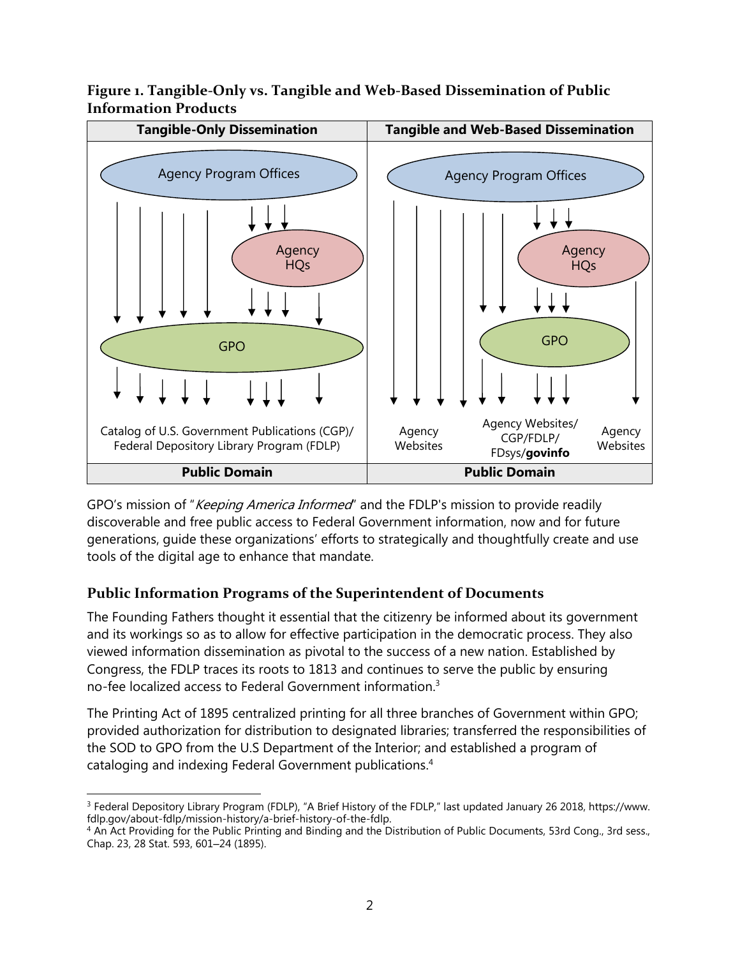#### <span id="page-6-1"></span>**Figure 1. Tangible-Only vs. Tangible and Web-Based Dissemination of Public Information Products**



GPO's mission of "Keeping America Informed" and the FDLP's mission to provide readily discoverable and free public access to Federal Government information, now and for future generations, guide these organizations' efforts to strategically and thoughtfully create and use tools of the digital age to enhance that mandate.

## <span id="page-6-0"></span>**Public Information Programs of the Superintendent of Documents**

The Founding Fathers thought it essential that the citizenry be informed about its government and its workings so as to allow for effective participation in the democratic process. They also viewed information dissemination as pivotal to the success of a new nation. Established by Congress, the FDLP traces its roots to 1813 and continues to serve the public by ensuring no-fee localized access to Federal Government information.<sup>3</sup>

The Printing Act of 1895 centralized printing for all three branches of Government within GPO; provided authorization for distribution to designated libraries; transferred the responsibilities of the SOD to GPO from the U.S Department of the Interior; and established a program of cataloging and indexing Federal Government publications.<sup>4</sup>

l <sup>3</sup> Federal Depository Library Program (FDLP), "A Brief History of the FDLP," last updated January 26 2018, https://www. fdlp.gov/about-fdlp/mission-history/a-brief-history-of-the-fdlp.

<sup>4</sup> An Act Providing for the Public Printing and Binding and the Distribution of Public Documents, 53rd Cong., 3rd sess., Chap. 23, 28 Stat. 593, 601-24 (1895).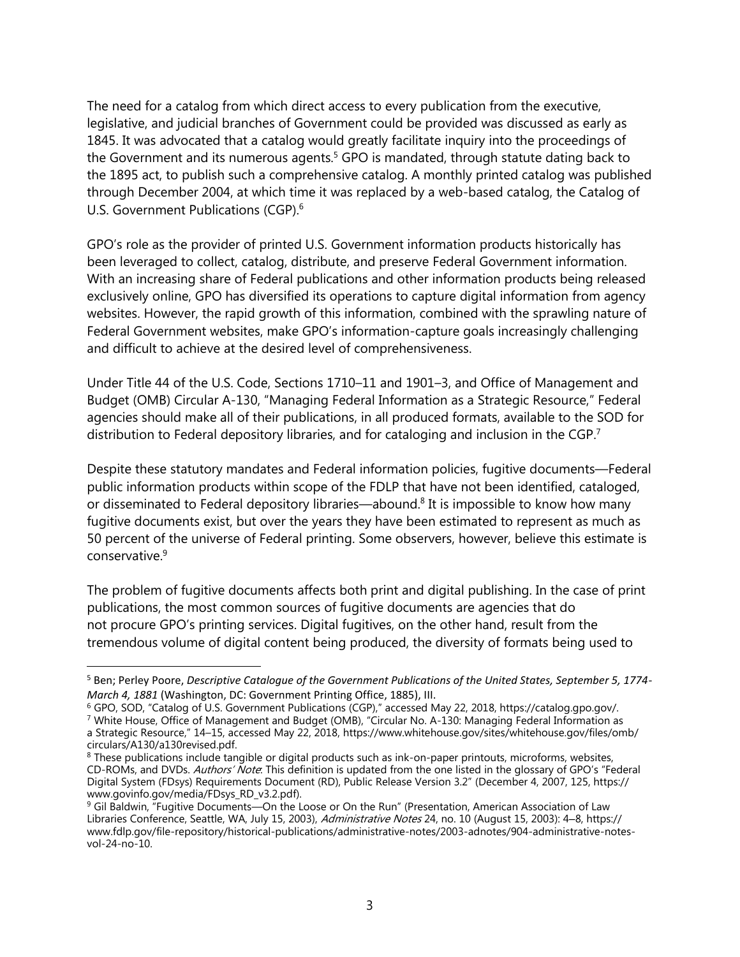The need for a catalog from which direct access to every publication from the executive, legislative, and judicial branches of Government could be provided was discussed as early as 1845. It was advocated that a catalog would greatly facilitate inquiry into the proceedings of the Government and its numerous agents. $5$  GPO is mandated, through statute dating back to the 1895 act, to publish such a comprehensive catalog. A monthly printed catalog was published through December 2004, at which time it was replaced by a web-based catalog, the Catalog of U.S. Government Publications (CGP).<sup>6</sup>

GPO's role as the provider of printed U.S. Government information products historically has been leveraged to collect, catalog, distribute, and preserve Federal Government information. With an increasing share of Federal publications and other information products being released exclusively online, GPO has diversified its operations to capture digital information from agency websites. However, the rapid growth of this information, combined with the sprawling nature of Federal Government websites, make GPO's information-capture goals increasingly challenging and difficult to achieve at the desired level of comprehensiveness.

Under Title 44 of the U.S. Code, Sections 1710–11 and 1901–3, and Office of Management and Budget (OMB) Circular A-130, "Managing Federal Information as a Strategic Resource," Federal agencies should make all of their publications, in all produced formats, available to the SOD for distribution to Federal depository libraries, and for cataloging and inclusion in the CGP.<sup>7</sup>

Despite these statutory mandates and Federal information policies, fugitive documents—Federal public information products within scope of the FDLP that have not been identified, cataloged, or disseminated to Federal depository libraries—abound.<sup>8</sup> It is impossible to know how many fugitive documents exist, but over the years they have been estimated to represent as much as 50 percent of the universe of Federal printing. Some observers, however, believe this estimate is conservative<sup>9</sup>

The problem of fugitive documents affects both print and digital publishing. In the case of print publications, the most common sources of fugitive documents are agencies that do not procure GPO's printing services. Digital fugitives, on the other hand, result from the tremendous volume of digital content being produced, the diversity of formats being used to

 $\overline{a}$ 

<sup>5</sup> Ben; Perley Poore, *Descriptive Catalogue of the Government Publications of the United States, September 5, 1774- March 4, 1881* (Washington, DC: Government Printing Office, 1885), III.

<sup>6</sup> GPO, SOD, "Catalog of U.S. Government Publications (CGP)," accessed May 22, 2018, https://catalog.gpo.gov/.

<sup>&</sup>lt;sup>7</sup> White House, Office of Management and Budget (OMB), "Circular No. A-130: Managing Federal Information as a Strategic Resource," 14–15, accessed May 22, 2018, https://www.whitehouse.gov/sites/whitehouse.gov/files/omb/ circulars/A130/a130revised.pdf.

<sup>8</sup> These publications include tangible or digital products such as ink-on-paper printouts, microforms, websites, CD-ROMs, and DVDs. Authors' Note: This definition is updated from the one listed in the glossary of GPO's "Federal Digital System (FDsys) Requirements Document (RD), Public Release Version 3.2" (December 4, 2007, 125, https:// www.govinfo.gov/media/FDsys\_RD\_v3.2.pdf).

<sup>&</sup>lt;sup>9</sup> Gil Baldwin, "Fugitive Documents—On the Loose or On the Run" (Presentation, American Association of Law Libraries Conference, Seattle, WA, July 15, 2003), Administrative Notes 24, no. 10 (August 15, 2003): 4–8, https:// www.fdlp.gov/file-repository/historical-publications/administrative-notes/2003-adnotes/904-administrative-notesvol-24-no-10.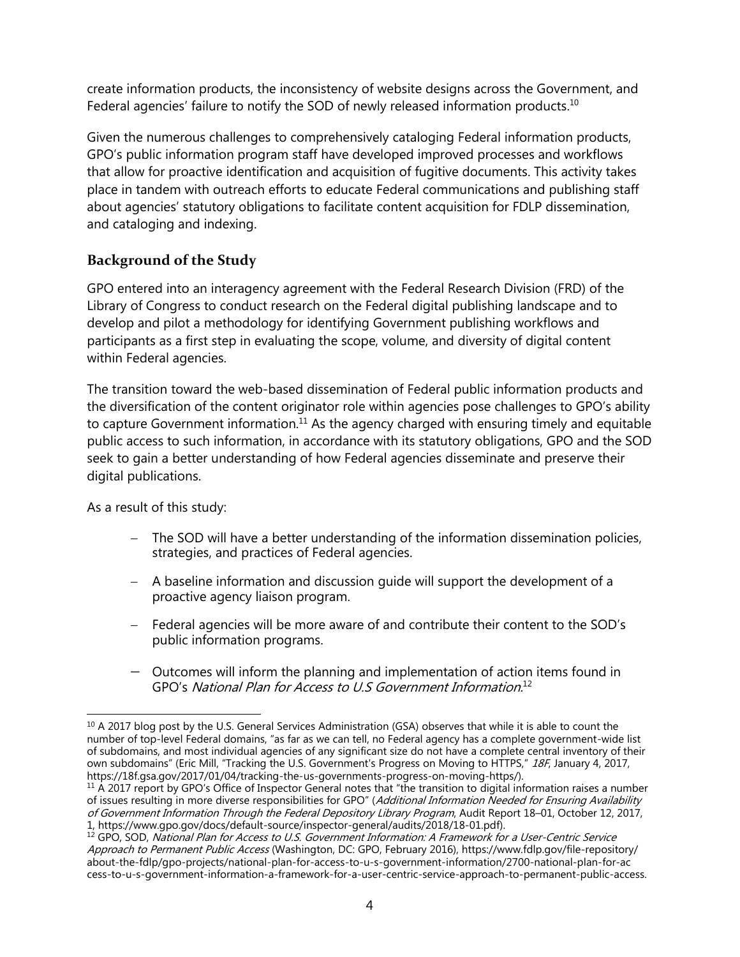create information products, the inconsistency of website designs across the Government, and Federal agencies' failure to notify the SOD of newly released information products.<sup>10</sup>

Given the numerous challenges to comprehensively cataloging Federal information products, GPO's public information program staff have developed improved processes and workflows that allow for proactive identification and acquisition of fugitive documents. This activity takes place in tandem with outreach efforts to educate Federal communications and publishing staff about agencies' statutory obligations to facilitate content acquisition for FDLP dissemination, and cataloging and indexing.

### <span id="page-8-0"></span>**Background of the Study**

GPO entered into an interagency agreement with the Federal Research Division (FRD) of the Library of Congress to conduct research on the Federal digital publishing landscape and to develop and pilot a methodology for identifying Government publishing workflows and participants as a first step in evaluating the scope, volume, and diversity of digital content within Federal agencies.

The transition toward the web-based dissemination of Federal public information products and the diversification of the content originator role within agencies pose challenges to GPO's ability to capture Government information.<sup>11</sup> As the agency charged with ensuring timely and equitable public access to such information, in accordance with its statutory obligations, GPO and the SOD seek to gain a better understanding of how Federal agencies disseminate and preserve their digital publications.

As a result of this study:

- The SOD will have a better understanding of the information dissemination policies, strategies, and practices of Federal agencies.
- A baseline information and discussion guide will support the development of a proactive agency liaison program.
- Federal agencies will be more aware of and contribute their content to the SOD's public information programs.
- <span id="page-8-1"></span> Outcomes will inform the planning and implementation of action items found in GPO's National Plan for Access to U.S Government Information.<sup>12</sup>

l <sup>10</sup> A 2017 blog post by the U.S. General Services Administration (GSA) observes that while it is able to count the number of top-level Federal domains, "as far as we can tell, no Federal agency has a complete government-wide list of subdomains, and most individual agencies of any significant size do not have a complete central inventory of their own subdomains" (Eric Mill, "Tracking the U.S. Government's Progress on Moving to HTTPS," 18F, January 4, 2017, https://18f.gsa.gov/2017/01/04/tracking-the-us-governments-progress-on-moving-https/).

<sup>&</sup>lt;sup>11</sup> A 2017 report by GPO's Office of Inspector General notes that "the transition to digital information raises a number of issues resulting in more diverse responsibilities for GPO" (Additional Information Needed for Ensuring Availability of Government Information Through the Federal Depository Library Program, Audit Report 18–01, October 12, 2017, 1, https://www.gpo.gov/docs/default-source/inspector-general/audits/2018/18-01.pdf).

<sup>&</sup>lt;sup>12</sup> GPO, SOD, National Plan for Access to U.S. Government Information: A Framework for a User-Centric Service Approach to Permanent Public Access (Washington, DC: GPO, February 2016), https://www.fdlp.gov/file-repository/ about-the-fdlp/gpo-projects/national-plan-for-access-to-u-s-government-information/2700-national-plan-for-ac cess-to-u-s-government-information-a-framework-for-a-user-centric-service-approach-to-permanent-public-access.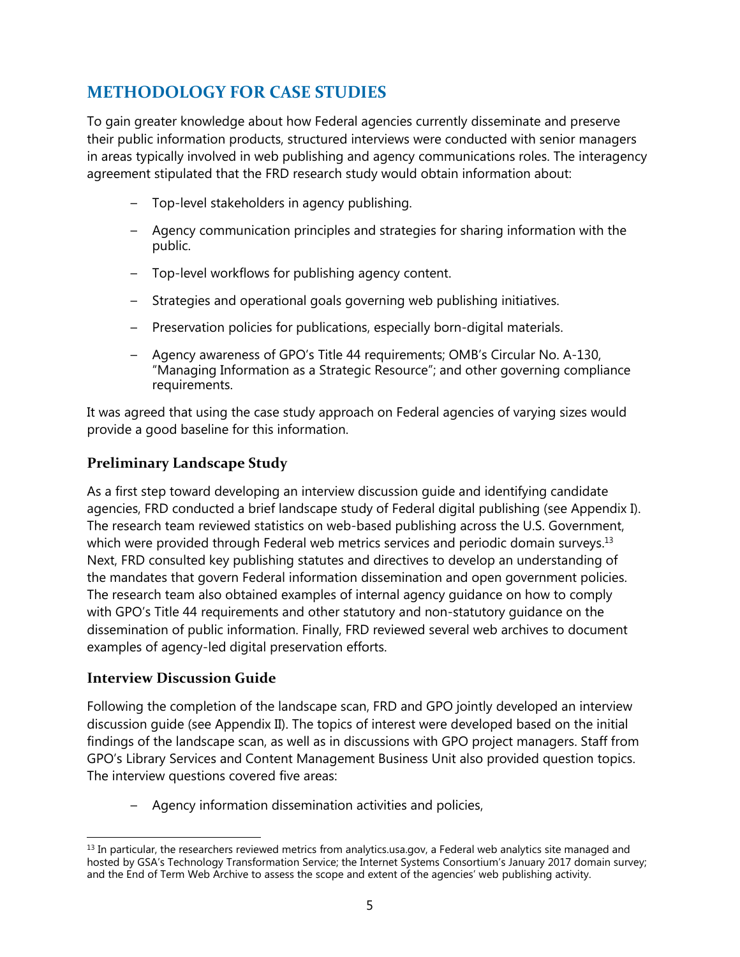# **METHODOLOGY FOR CASE STUDIES**

To gain greater knowledge about how Federal agencies currently disseminate and preserve their public information products, structured interviews were conducted with senior managers in areas typically involved in web publishing and agency communications roles. The interagency agreement stipulated that the FRD research study would obtain information about:

- Top-level stakeholders in agency publishing.
- Agency communication principles and strategies for sharing information with the public.
- Top-level workflows for publishing agency content.
- Strategies and operational goals governing web publishing initiatives.
- Preservation policies for publications, especially born-digital materials.
- Agency awareness of GPO's Title 44 requirements; OMB's Circular No. A-130, "Managing Information as a Strategic Resource"; and other governing compliance requirements.

It was agreed that using the case study approach on Federal agencies of varying sizes would provide a good baseline for this information.

## <span id="page-9-0"></span>**Preliminary Landscape Study**

As a first step toward developing an interview discussion guide and identifying candidate agencies, FRD conducted a brief landscape study of Federal digital publishing (see Appendix I). The research team reviewed statistics on web-based publishing across the U.S. Government, which were provided through Federal web metrics services and periodic domain surveys.<sup>13</sup> Next, FRD consulted key publishing statutes and directives to develop an understanding of the mandates that govern Federal information dissemination and open government policies. The research team also obtained examples of internal agency guidance on how to comply with GPO's Title 44 requirements and other statutory and non-statutory guidance on the dissemination of public information. Finally, FRD reviewed several web archives to document examples of agency-led digital preservation efforts.

#### <span id="page-9-1"></span>**Interview Discussion Guide**

Following the completion of the landscape scan, FRD and GPO jointly developed an interview discussion guide (see Appendix II). The topics of interest were developed based on the initial findings of the landscape scan, as well as in discussions with GPO project managers. Staff from GPO's Library Services and Content Management Business Unit also provided question topics. The interview questions covered five areas:

– Agency information dissemination activities and policies,

 $\overline{\phantom{a}}$  $<sup>13</sup>$  In particular, the researchers reviewed metrics from analytics.usa.gov, a Federal web analytics site managed and</sup> hosted by GSA's Technology Transformation Service; the Internet Systems Consortium's January 2017 domain survey; and the End of Term Web Archive to assess the scope and extent of the agencies' web publishing activity.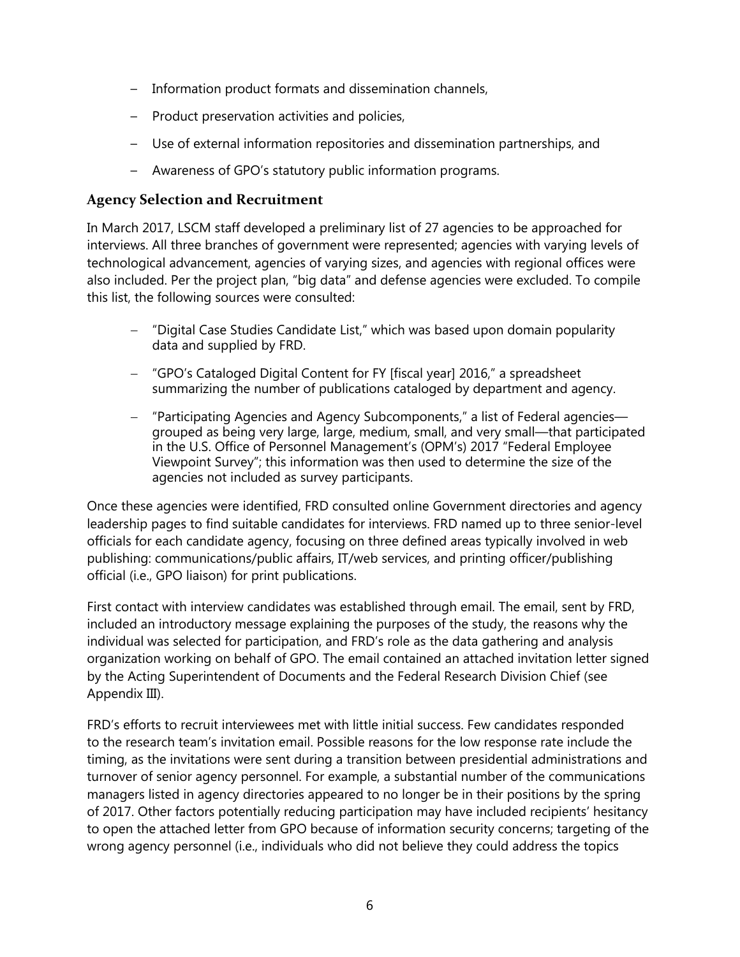- Information product formats and dissemination channels,
- Product preservation activities and policies,
- Use of external information repositories and dissemination partnerships, and
- Awareness of GPO's statutory public information programs.

#### <span id="page-10-0"></span>**Agency Selection and Recruitment**

In March 2017, LSCM staff developed a preliminary list of 27 agencies to be approached for interviews. All three branches of government were represented; agencies with varying levels of technological advancement, agencies of varying sizes, and agencies with regional offices were also included. Per the project plan, "big data" and defense agencies were excluded. To compile this list, the following sources were consulted:

- "Digital Case Studies Candidate List," which was based upon domain popularity data and supplied by FRD.
- "GPO's Cataloged Digital Content for FY [fiscal year] 2016," a spreadsheet summarizing the number of publications cataloged by department and agency.
- "Participating Agencies and Agency Subcomponents," a list of Federal agencies grouped as being very large, large, medium, small, and very small—that participated in the U.S. Office of Personnel Management's (OPM's) 2017 "Federal Employee Viewpoint Survey"; this information was then used to determine the size of the agencies not included as survey participants.

Once these agencies were identified, FRD consulted online Government directories and agency leadership pages to find suitable candidates for interviews. FRD named up to three senior-level officials for each candidate agency, focusing on three defined areas typically involved in web publishing: communications/public affairs, IT/web services, and printing officer/publishing official (i.e., GPO liaison) for print publications.

First contact with interview candidates was established through email. The email, sent by FRD, included an introductory message explaining the purposes of the study, the reasons why the individual was selected for participation, and FRD's role as the data gathering and analysis organization working on behalf of GPO. The email contained an attached invitation letter signed by the Acting Superintendent of Documents and the Federal Research Division Chief (see Appendix III).

FRD's efforts to recruit interviewees met with little initial success. Few candidates responded to the research team's invitation email. Possible reasons for the low response rate include the timing, as the invitations were sent during a transition between presidential administrations and turnover of senior agency personnel. For example, a substantial number of the communications managers listed in agency directories appeared to no longer be in their positions by the spring of 2017. Other factors potentially reducing participation may have included recipients' hesitancy to open the attached letter from GPO because of information security concerns; targeting of the wrong agency personnel (i.e., individuals who did not believe they could address the topics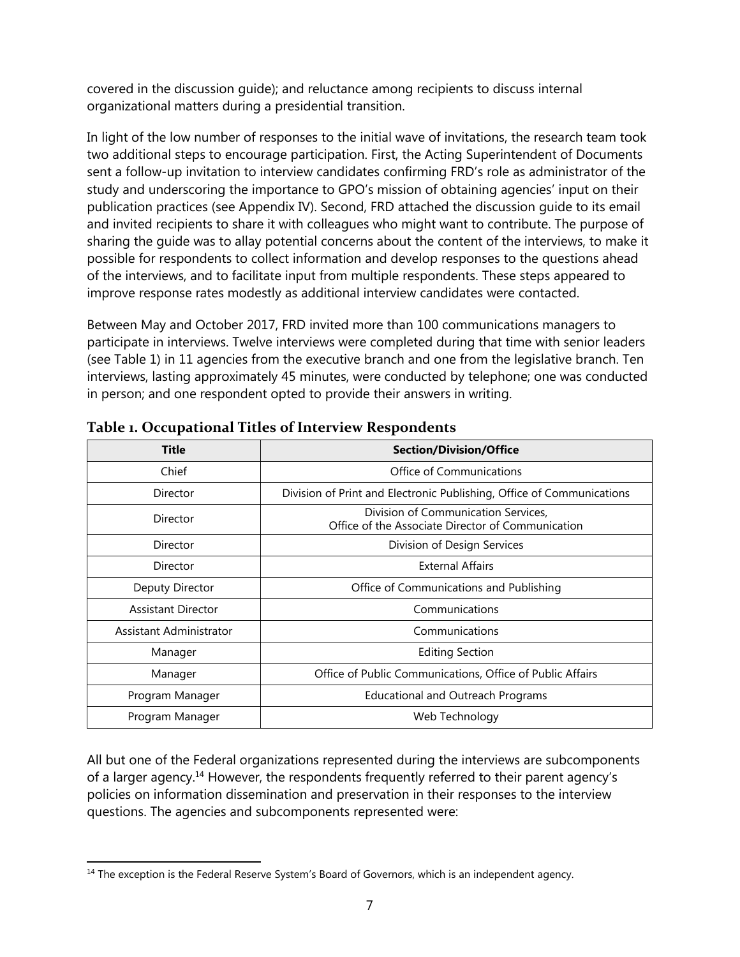covered in the discussion guide); and reluctance among recipients to discuss internal organizational matters during a presidential transition.

In light of the low number of responses to the initial wave of invitations, the research team took two additional steps to encourage participation. First, the Acting Superintendent of Documents sent a follow-up invitation to interview candidates confirming FRD's role as administrator of the study and underscoring the importance to GPO's mission of obtaining agencies' input on their publication practices (see Appendix IV). Second, FRD attached the discussion guide to its email and invited recipients to share it with colleagues who might want to contribute. The purpose of sharing the guide was to allay potential concerns about the content of the interviews, to make it possible for respondents to collect information and develop responses to the questions ahead of the interviews, and to facilitate input from multiple respondents. These steps appeared to improve response rates modestly as additional interview candidates were contacted.

Between May and October 2017, FRD invited more than 100 communications managers to participate in interviews. Twelve interviews were completed during that time with senior leaders (see Table 1) in 11 agencies from the executive branch and one from the legislative branch. Ten interviews, lasting approximately 45 minutes, were conducted by telephone; one was conducted in person; and one respondent opted to provide their answers in writing.

| <b>Title</b>              | <b>Section/Division/Office</b>                                                           |  |
|---------------------------|------------------------------------------------------------------------------------------|--|
| Chief                     | Office of Communications                                                                 |  |
| Director                  | Division of Print and Electronic Publishing, Office of Communications                    |  |
| Director                  | Division of Communication Services,<br>Office of the Associate Director of Communication |  |
| Director                  | Division of Design Services                                                              |  |
| Director                  | <b>External Affairs</b>                                                                  |  |
| Deputy Director           | Office of Communications and Publishing                                                  |  |
| <b>Assistant Director</b> | Communications                                                                           |  |
| Assistant Administrator   | Communications                                                                           |  |
| Manager                   | <b>Editing Section</b>                                                                   |  |
| Manager                   | Office of Public Communications, Office of Public Affairs                                |  |
| Program Manager           | <b>Educational and Outreach Programs</b>                                                 |  |
| Program Manager           | Web Technology                                                                           |  |

#### <span id="page-11-0"></span>**Table 1. Occupational Titles of Interview Respondents**

All but one of the Federal organizations represented during the interviews are subcomponents of a larger agency.<sup>14</sup> However, the respondents frequently referred to their parent agency's policies on information dissemination and preservation in their responses to the interview questions. The agencies and subcomponents represented were:

 $\overline{a}$ <sup>14</sup> The exception is the Federal Reserve System's Board of Governors, which is an independent agency.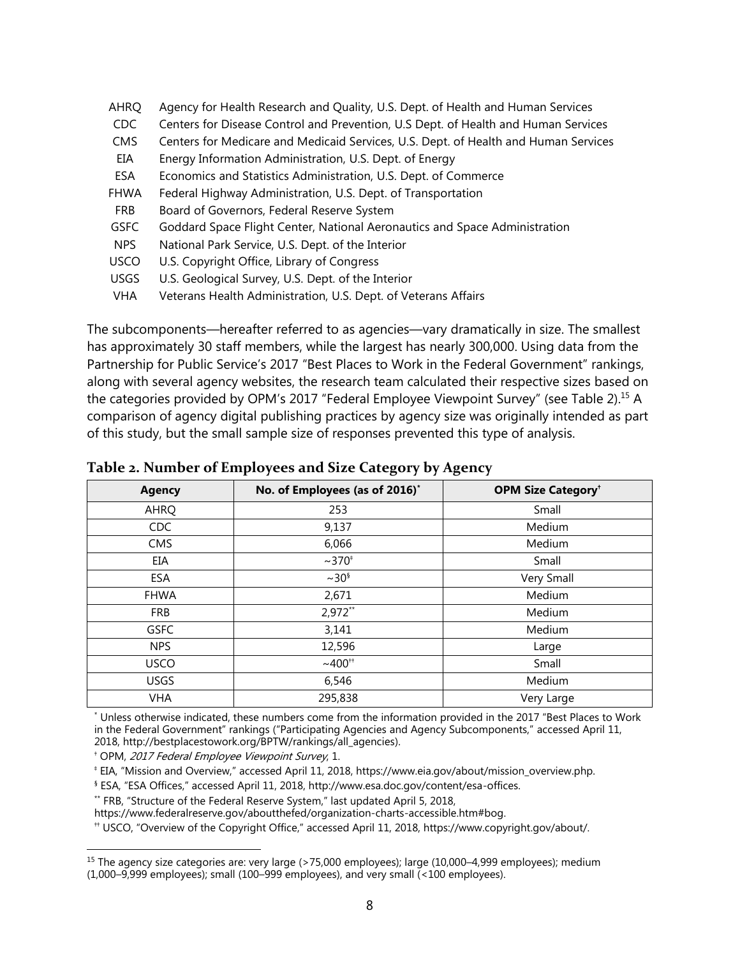| AHRQ        | Agency for Health Research and Quality, U.S. Dept. of Health and Human Services     |
|-------------|-------------------------------------------------------------------------------------|
| <b>CDC</b>  | Centers for Disease Control and Prevention, U.S Dept. of Health and Human Services  |
| CMS         | Centers for Medicare and Medicaid Services, U.S. Dept. of Health and Human Services |
| EIA         | Energy Information Administration, U.S. Dept. of Energy                             |
| ESA         | Economics and Statistics Administration, U.S. Dept. of Commerce                     |
| FHWA        | Federal Highway Administration, U.S. Dept. of Transportation                        |
| <b>FRB</b>  | Board of Governors, Federal Reserve System                                          |
| <b>GSFC</b> | Goddard Space Flight Center, National Aeronautics and Space Administration          |
| <b>NPS</b>  | National Park Service, U.S. Dept. of the Interior                                   |
| <b>USCO</b> | U.S. Copyright Office, Library of Congress                                          |
| <b>USGS</b> | U.S. Geological Survey, U.S. Dept. of the Interior                                  |
| <b>VHA</b>  | Veterans Health Administration, U.S. Dept. of Veterans Affairs                      |

The subcomponents—hereafter referred to as agencies—vary dramatically in size. The smallest has approximately 30 staff members, while the largest has nearly 300,000. Using data from the Partnership for Public Service's 2017 "Best Places to Work in the Federal Government" rankings, along with several agency websites, the research team calculated their respective sizes based on the categories provided by OPM's 2017 "Federal Employee Viewpoint Survey" (see Table 2).<sup>15</sup> A comparison of agency digital publishing practices by agency size was originally intended as part of this study, but the small sample size of responses prevented this type of analysis.

| <b>Agency</b> | No. of Employees (as of 2016)* | <b>OPM Size Category<sup>+</sup></b> |
|---------------|--------------------------------|--------------------------------------|
| AHRQ          | 253                            | Small                                |
| CDC           | 9,137                          | Medium                               |
| <b>CMS</b>    | 6,066                          | Medium                               |
| EIA           | $~10^{4}$                      | Small                                |
| <b>ESA</b>    | $\sim$ 30 <sup>§</sup>         | Very Small                           |
| <b>FHWA</b>   | 2,671                          | Medium                               |
| <b>FRB</b>    | $2,972**$                      | Medium                               |
| <b>GSFC</b>   | 3,141                          | Medium                               |
| <b>NPS</b>    | 12,596                         | Large                                |
| <b>USCO</b>   | $~100^{+}$                     | Small                                |
| <b>USGS</b>   | 6,546                          | Medium                               |
| <b>VHA</b>    | 295,838                        | Very Large                           |

<span id="page-12-0"></span>**Table 2. Number of Employees and Size Category by Agency**

\* Unless otherwise indicated, these numbers come from the information provided in the 2017 "Best Places to Work in the Federal Government" rankings ("Participating Agencies and Agency Subcomponents," accessed April 11, 2018, http://bestplacestowork.org/BPTW/rankings/all\_agencies).

† OPM, 2017 Federal Employee Viewpoint Survey, 1.

‡ EIA, "Mission and Overview," accessed April 11, 2018, https://www.eia.gov/about/mission\_overview.php.

§ ESA, "ESA Offices," accessed April 11, 2018, http://www.esa.doc.gov/content/esa-offices.

\*\* FRB, "Structure of the Federal Reserve System," last updated April 5, 2018,

https://www.federalreserve.gov/aboutthefed/organization-charts-accessible.htm#bog.

†† USCO, "Overview of the Copyright Office," accessed April 11, 2018, https://www.copyright.gov/about/.

 $\overline{\phantom{a}}$ <sup>15</sup> The agency size categories are: very large (>75,000 employees); large (10,000–4,999 employees); medium (1,000–9,999 employees); small (100–999 employees), and very small (<100 employees).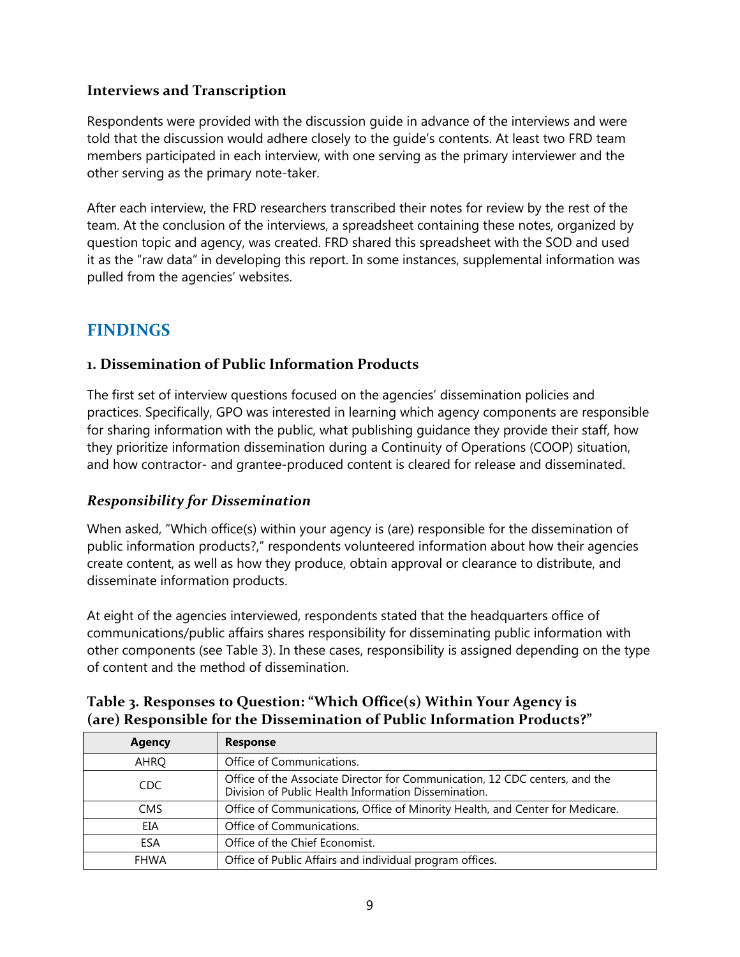#### <span id="page-13-0"></span>**Interviews and Transcription**

Respondents were provided with the discussion guide in advance of the interviews and were told that the discussion would adhere closely to the guide's contents. At least two FRD team members participated in each interview, with one serving as the primary interviewer and the other serving as the primary note-taker.

After each interview, the FRD researchers transcribed their notes for review by the rest of the team. At the conclusion of the interviews, a spreadsheet containing these notes, organized by question topic and agency, was created. FRD shared this spreadsheet with the SOD and used it as the "raw data" in developing this report. In some instances, supplemental information was pulled from the agencies' websites.

## <span id="page-13-1"></span>**FINDINGS**

#### <span id="page-13-2"></span>**1. Dissemination of Public Information Products**

The first set of interview questions focused on the agencies' dissemination policies and practices. Specifically, GPO was interested in learning which agency components are responsible for sharing information with the public, what publishing guidance they provide their staff, how they prioritize information dissemination during a Continuity of Operations (COOP) situation, and how contractor- and grantee-produced content is cleared for release and disseminated.

#### <span id="page-13-3"></span>*Responsibility for Dissemination*

When asked, "Which office(s) within your agency is (are) responsible for the dissemination of public information products?," respondents volunteered information about how their agencies create content, as well as how they produce, obtain approval or clearance to distribute, and disseminate information products.

At eight of the agencies interviewed, respondents stated that the headquarters office of communications/public affairs shares responsibility for disseminating public information with other components (see Table 3). In these cases, responsibility is assigned depending on the type of content and the method of dissemination.

| <b>Agency</b> | <b>Response</b>                                                                                                                     |
|---------------|-------------------------------------------------------------------------------------------------------------------------------------|
| AHRQ          | Office of Communications.                                                                                                           |
| CDC           | Office of the Associate Director for Communication, 12 CDC centers, and the<br>Division of Public Health Information Dissemination. |
| <b>CMS</b>    | Office of Communications, Office of Minority Health, and Center for Medicare.                                                       |
| EIA           | Office of Communications.                                                                                                           |
| ESA           | Office of the Chief Economist.                                                                                                      |
| <b>FHWA</b>   | Office of Public Affairs and individual program offices.                                                                            |

#### <span id="page-13-4"></span>**Table 3. Responses to Question: "Which Office(s) Within Your Agency is (are) Responsible for the Dissemination of Public Information Products?"**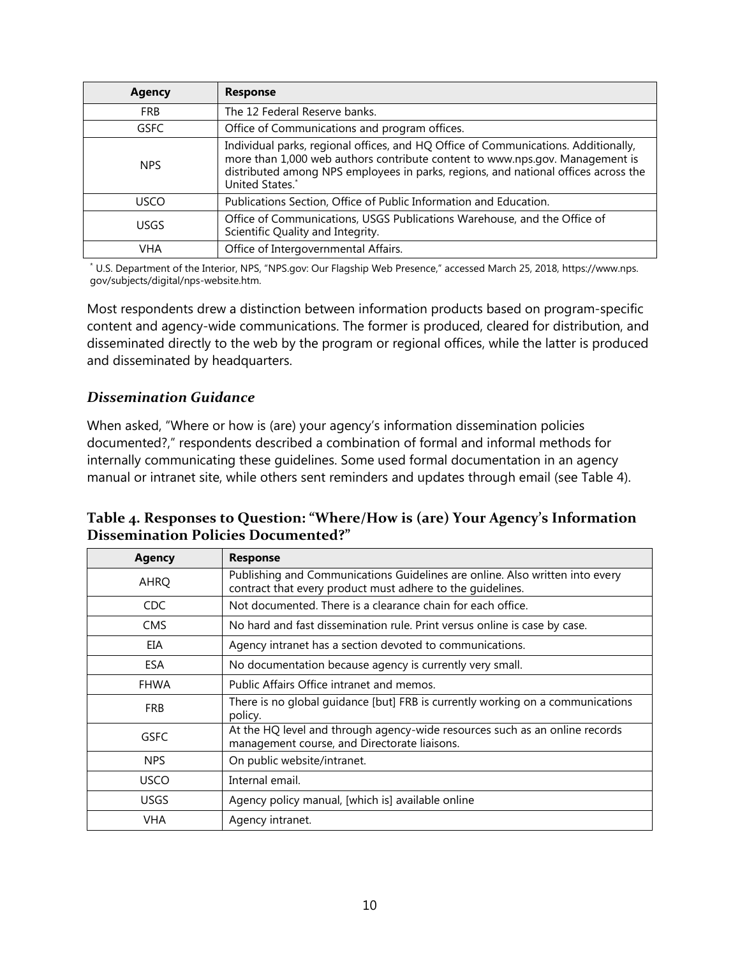| <b>Agency</b> | <b>Response</b>                                                                                                                                                                                                                                                             |  |
|---------------|-----------------------------------------------------------------------------------------------------------------------------------------------------------------------------------------------------------------------------------------------------------------------------|--|
| <b>FRB</b>    | The 12 Federal Reserve banks.                                                                                                                                                                                                                                               |  |
| <b>GSFC</b>   | Office of Communications and program offices.                                                                                                                                                                                                                               |  |
| <b>NPS</b>    | Individual parks, regional offices, and HQ Office of Communications. Additionally,<br>more than 1,000 web authors contribute content to www.nps.gov. Management is<br>distributed among NPS employees in parks, regions, and national offices across the<br>United States.* |  |
| <b>USCO</b>   | Publications Section, Office of Public Information and Education.                                                                                                                                                                                                           |  |
| <b>USGS</b>   | Office of Communications, USGS Publications Warehouse, and the Office of<br>Scientific Quality and Integrity.                                                                                                                                                               |  |
| VHA           | Office of Intergovernmental Affairs.                                                                                                                                                                                                                                        |  |

\* U.S. Department of the Interior, NPS, "NPS.gov: Our Flagship Web Presence," accessed March 25, 2018, https://www.nps. gov/subjects/digital/nps-website.htm.

Most respondents drew a distinction between information products based on program-specific content and agency-wide communications. The former is produced, cleared for distribution, and disseminated directly to the web by the program or regional offices, while the latter is produced and disseminated by headquarters.

#### <span id="page-14-0"></span>*Dissemination Guidance*

When asked, "Where or how is (are) your agency's information dissemination policies documented?," respondents described a combination of formal and informal methods for internally communicating these guidelines. Some used formal documentation in an agency manual or intranet site, while others sent reminders and updates through email (see Table 4).

<span id="page-14-1"></span>

| Table 4. Responses to Question: "Where/How is (are) Your Agency's Information |
|-------------------------------------------------------------------------------|
| Dissemination Policies Documented?"                                           |

| <b>Agency</b> | <b>Response</b>                                                                                                                            |
|---------------|--------------------------------------------------------------------------------------------------------------------------------------------|
| <b>AHRQ</b>   | Publishing and Communications Guidelines are online. Also written into every<br>contract that every product must adhere to the quidelines. |
| <b>CDC</b>    | Not documented. There is a clearance chain for each office.                                                                                |
| <b>CMS</b>    | No hard and fast dissemination rule. Print versus online is case by case.                                                                  |
| EIA           | Agency intranet has a section devoted to communications.                                                                                   |
| <b>ESA</b>    | No documentation because agency is currently very small.                                                                                   |
| <b>FHWA</b>   | Public Affairs Office intranet and memos.                                                                                                  |
| <b>FRB</b>    | There is no global guidance [but] FRB is currently working on a communications<br>policy.                                                  |
| <b>GSFC</b>   | At the HQ level and through agency-wide resources such as an online records<br>management course, and Directorate liaisons.                |
| <b>NPS</b>    | On public website/intranet.                                                                                                                |
| <b>USCO</b>   | Internal email.                                                                                                                            |
| <b>USGS</b>   | Agency policy manual, [which is] available online                                                                                          |
| <b>VHA</b>    | Agency intranet.                                                                                                                           |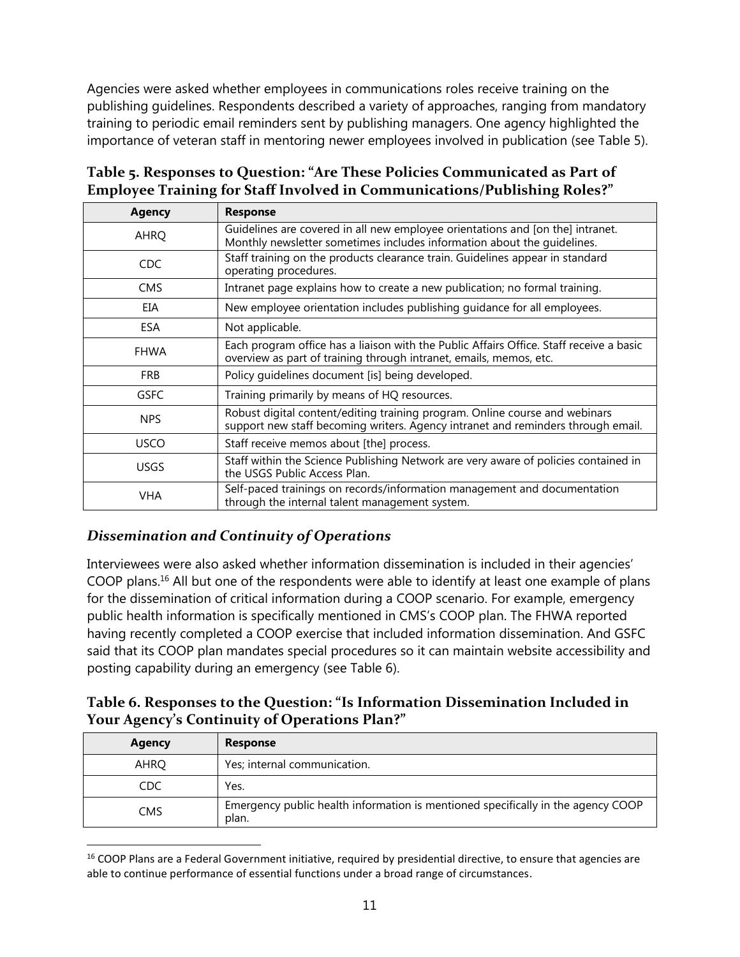Agencies were asked whether employees in communications roles receive training on the publishing guidelines. Respondents described a variety of approaches, ranging from mandatory training to periodic email reminders sent by publishing managers. One agency highlighted the importance of veteran staff in mentoring newer employees involved in publication (see Table 5).

### <span id="page-15-1"></span>**Table 5. Responses to Question: "Are These Policies Communicated as Part of Employee Training for Staff Involved in Communications/Publishing Roles?"**

| <b>Agency</b> | <b>Response</b>                                                                                                                                                 |
|---------------|-----------------------------------------------------------------------------------------------------------------------------------------------------------------|
| AHRQ          | Guidelines are covered in all new employee orientations and [on the] intranet.<br>Monthly newsletter sometimes includes information about the quidelines.       |
| <b>CDC</b>    | Staff training on the products clearance train. Guidelines appear in standard<br>operating procedures.                                                          |
| <b>CMS</b>    | Intranet page explains how to create a new publication; no formal training.                                                                                     |
| EIA           | New employee orientation includes publishing quidance for all employees.                                                                                        |
| ESA           | Not applicable.                                                                                                                                                 |
| <b>FHWA</b>   | Each program office has a liaison with the Public Affairs Office. Staff receive a basic<br>overview as part of training through intranet, emails, memos, etc.   |
| <b>FRB</b>    | Policy guidelines document [is] being developed.                                                                                                                |
| <b>GSFC</b>   | Training primarily by means of HQ resources.                                                                                                                    |
| <b>NPS</b>    | Robust digital content/editing training program. Online course and webinars<br>support new staff becoming writers. Agency intranet and reminders through email. |
| <b>USCO</b>   | Staff receive memos about [the] process.                                                                                                                        |
| <b>USGS</b>   | Staff within the Science Publishing Network are very aware of policies contained in<br>the USGS Public Access Plan.                                             |
| <b>VHA</b>    | Self-paced trainings on records/information management and documentation<br>through the internal talent management system.                                      |

## <span id="page-15-0"></span>*Dissemination and Continuity of Operations*

l

Interviewees were also asked whether information dissemination is included in their agencies' COOP plans.<sup>16</sup> All but one of the respondents were able to identify at least one example of plans for the dissemination of critical information during a COOP scenario. For example, emergency public health information is specifically mentioned in CMS's COOP plan. The FHWA reported having recently completed a COOP exercise that included information dissemination. And GSFC said that its COOP plan mandates special procedures so it can maintain website accessibility and posting capability during an emergency (see Table 6).

## <span id="page-15-2"></span>**Table 6. Responses to the Question: "Is Information Dissemination Included in Your Agency's Continuity of Operations Plan?"**

| <b>Agency</b> | <b>Response</b>                                                                           |
|---------------|-------------------------------------------------------------------------------------------|
| AHRQ          | Yes; internal communication.                                                              |
| CDC           | Yes.                                                                                      |
| CMS           | Emergency public health information is mentioned specifically in the agency COOP<br>plan. |

<sup>&</sup>lt;sup>16</sup> COOP Plans are a Federal Government initiative, required by presidential directive, to ensure that agencies are able to continue performance of essential functions under a broad range of circumstances.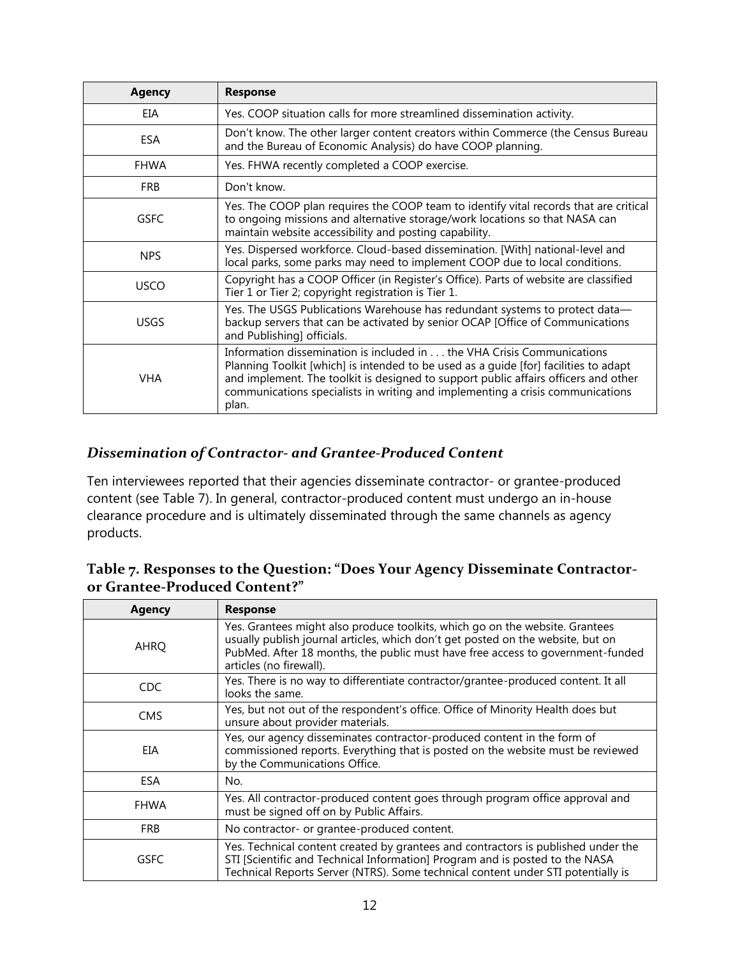| <b>Agency</b> | <b>Response</b>                                                                                                                                                                                                                                                                                                                                   |
|---------------|---------------------------------------------------------------------------------------------------------------------------------------------------------------------------------------------------------------------------------------------------------------------------------------------------------------------------------------------------|
| EIA           | Yes. COOP situation calls for more streamlined dissemination activity.                                                                                                                                                                                                                                                                            |
| <b>ESA</b>    | Don't know. The other larger content creators within Commerce (the Census Bureau<br>and the Bureau of Economic Analysis) do have COOP planning.                                                                                                                                                                                                   |
| <b>FHWA</b>   | Yes. FHWA recently completed a COOP exercise.                                                                                                                                                                                                                                                                                                     |
| <b>FRB</b>    | Don't know.                                                                                                                                                                                                                                                                                                                                       |
| GSFC          | Yes. The COOP plan requires the COOP team to identify vital records that are critical<br>to ongoing missions and alternative storage/work locations so that NASA can<br>maintain website accessibility and posting capability.                                                                                                                    |
| <b>NPS</b>    | Yes. Dispersed workforce. Cloud-based dissemination. [With] national-level and<br>local parks, some parks may need to implement COOP due to local conditions.                                                                                                                                                                                     |
| <b>USCO</b>   | Copyright has a COOP Officer (in Register's Office). Parts of website are classified<br>Tier 1 or Tier 2; copyright registration is Tier 1.                                                                                                                                                                                                       |
| <b>USGS</b>   | Yes. The USGS Publications Warehouse has redundant systems to protect data-<br>backup servers that can be activated by senior OCAP [Office of Communications<br>and Publishing] officials.                                                                                                                                                        |
| <b>VHA</b>    | Information dissemination is included in  the VHA Crisis Communications<br>Planning Toolkit [which] is intended to be used as a guide [for] facilities to adapt<br>and implement. The toolkit is designed to support public affairs officers and other<br>communications specialists in writing and implementing a crisis communications<br>plan. |

#### <span id="page-16-0"></span>*Dissemination of Contractor- and Grantee-Produced Content*

Ten interviewees reported that their agencies disseminate contractor- or grantee-produced content (see Table 7). In general, contractor-produced content must undergo an in-house clearance procedure and is ultimately disseminated through the same channels as agency products.

<span id="page-16-1"></span>

| Table 7. Responses to the Question: "Does Your Agency Disseminate Contractor- |  |
|-------------------------------------------------------------------------------|--|
| or Grantee-Produced Content?"                                                 |  |

| <b>Agency</b> | <b>Response</b>                                                                                                                                                                                                                                                              |
|---------------|------------------------------------------------------------------------------------------------------------------------------------------------------------------------------------------------------------------------------------------------------------------------------|
| <b>AHRQ</b>   | Yes. Grantees might also produce toolkits, which go on the website. Grantees<br>usually publish journal articles, which don't get posted on the website, but on<br>PubMed. After 18 months, the public must have free access to government-funded<br>articles (no firewall). |
| <b>CDC</b>    | Yes. There is no way to differentiate contractor/grantee-produced content. It all<br>looks the same.                                                                                                                                                                         |
| <b>CMS</b>    | Yes, but not out of the respondent's office. Office of Minority Health does but<br>unsure about provider materials.                                                                                                                                                          |
| EIA           | Yes, our agency disseminates contractor-produced content in the form of<br>commissioned reports. Everything that is posted on the website must be reviewed<br>by the Communications Office.                                                                                  |
| ESA           | No.                                                                                                                                                                                                                                                                          |
| <b>FHWA</b>   | Yes. All contractor-produced content goes through program office approval and<br>must be signed off on by Public Affairs.                                                                                                                                                    |
| <b>FRB</b>    | No contractor- or grantee-produced content.                                                                                                                                                                                                                                  |
| GSFC          | Yes. Technical content created by grantees and contractors is published under the<br>STI [Scientific and Technical Information] Program and is posted to the NASA<br>Technical Reports Server (NTRS). Some technical content under STI potentially is                        |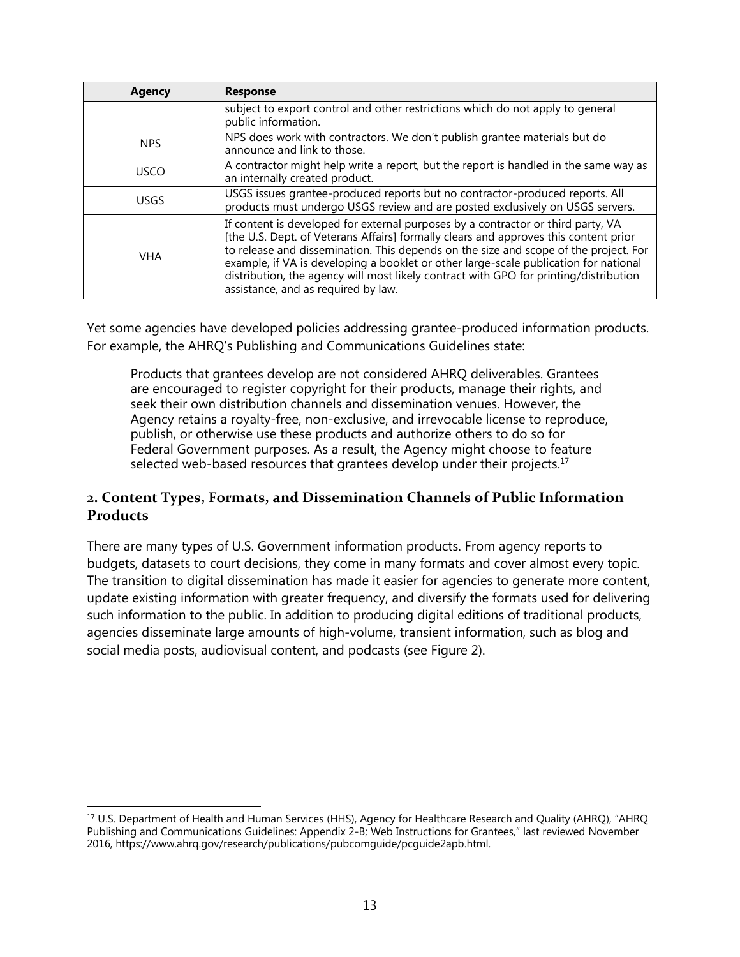| <b>Agency</b> | <b>Response</b>                                                                                                                                                                                                                                                                                                                                                                                                                                                                          |
|---------------|------------------------------------------------------------------------------------------------------------------------------------------------------------------------------------------------------------------------------------------------------------------------------------------------------------------------------------------------------------------------------------------------------------------------------------------------------------------------------------------|
|               | subject to export control and other restrictions which do not apply to general<br>public information.                                                                                                                                                                                                                                                                                                                                                                                    |
| <b>NPS</b>    | NPS does work with contractors. We don't publish grantee materials but do<br>announce and link to those.                                                                                                                                                                                                                                                                                                                                                                                 |
| <b>USCO</b>   | A contractor might help write a report, but the report is handled in the same way as<br>an internally created product.                                                                                                                                                                                                                                                                                                                                                                   |
| USGS          | USGS issues grantee-produced reports but no contractor-produced reports. All<br>products must undergo USGS review and are posted exclusively on USGS servers.                                                                                                                                                                                                                                                                                                                            |
| <b>VHA</b>    | If content is developed for external purposes by a contractor or third party, VA<br>[the U.S. Dept. of Veterans Affairs] formally clears and approves this content prior<br>to release and dissemination. This depends on the size and scope of the project. For<br>example, if VA is developing a booklet or other large-scale publication for national<br>distribution, the agency will most likely contract with GPO for printing/distribution<br>assistance, and as required by law. |

Yet some agencies have developed policies addressing grantee-produced information products. For example, the AHRQ's Publishing and Communications Guidelines state:

Products that grantees develop are not considered AHRQ deliverables. Grantees are encouraged to register copyright for their products, manage their rights, and seek their own distribution channels and dissemination venues. However, the Agency retains a royalty-free, non-exclusive, and irrevocable license to reproduce, publish, or otherwise use these products and authorize others to do so for Federal Government purposes. As a result, the Agency might choose to feature selected web-based resources that grantees develop under their projects. $17$ 

#### <span id="page-17-0"></span>**2. Content Types, Formats, and Dissemination Channels of Public Information Products**

There are many types of U.S. Government information products. From agency reports to budgets, datasets to court decisions, they come in many formats and cover almost every topic. The transition to digital dissemination has made it easier for agencies to generate more content, update existing information with greater frequency, and diversify the formats used for delivering such information to the public. In addition to producing digital editions of traditional products, agencies disseminate large amounts of high-volume, transient information, such as blog and social media posts, audiovisual content, and podcasts (see Figure 2).

<span id="page-17-1"></span> $\overline{\phantom{a}}$ <sup>17</sup> U.S. Department of Health and Human Services (HHS), Agency for Healthcare Research and Quality (AHRQ), "AHRQ Publishing and Communications Guidelines: Appendix 2-B; Web Instructions for Grantees," last reviewed November 2016, https://www.ahrq.gov/research/publications/pubcomguide/pcguide2apb.html.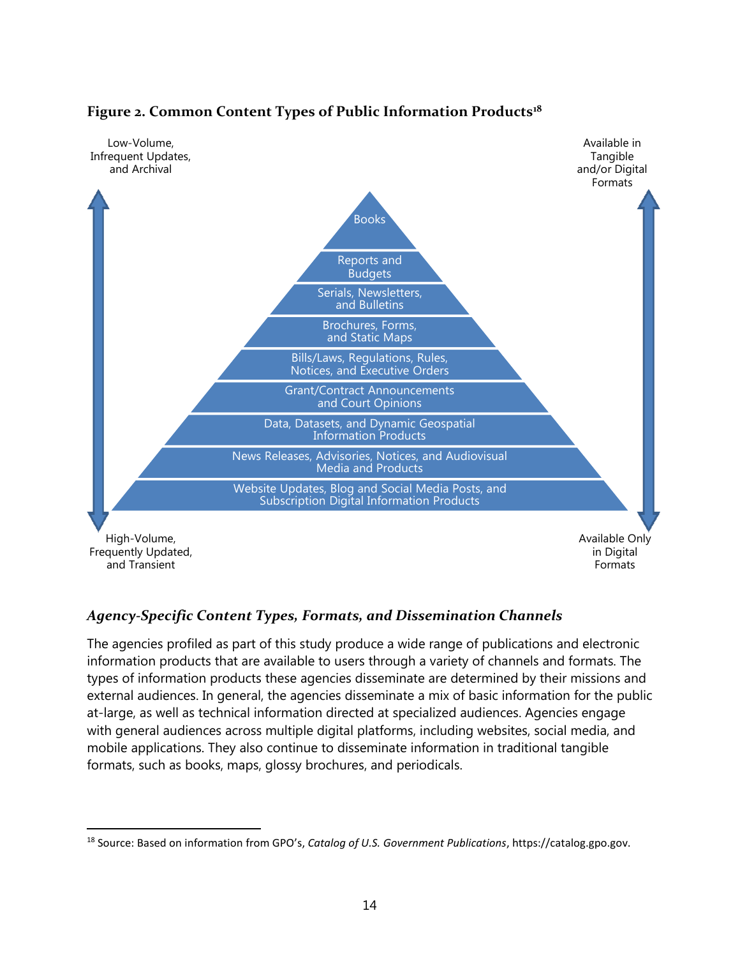

#### **Figure 2. Common Content Types of Public Information Products<sup>18</sup>**

#### <span id="page-18-0"></span>*Agency-Specific Content Types, Formats, and Dissemination Channels*

The agencies profiled as part of this study produce a wide range of publications and electronic information products that are available to users through a variety of channels and formats. The types of information products these agencies disseminate are determined by their missions and external audiences. In general, the agencies disseminate a mix of basic information for the public at-large, as well as technical information directed at specialized audiences. Agencies engage with general audiences across multiple digital platforms, including websites, social media, and mobile applications. They also continue to disseminate information in traditional tangible formats, such as books, maps, glossy brochures, and periodicals.

 $\overline{\phantom{a}}$ 

<sup>18</sup> Source: Based on information from GPO's, *Catalog of U.S. Government Publications*, https://catalog.gpo.gov.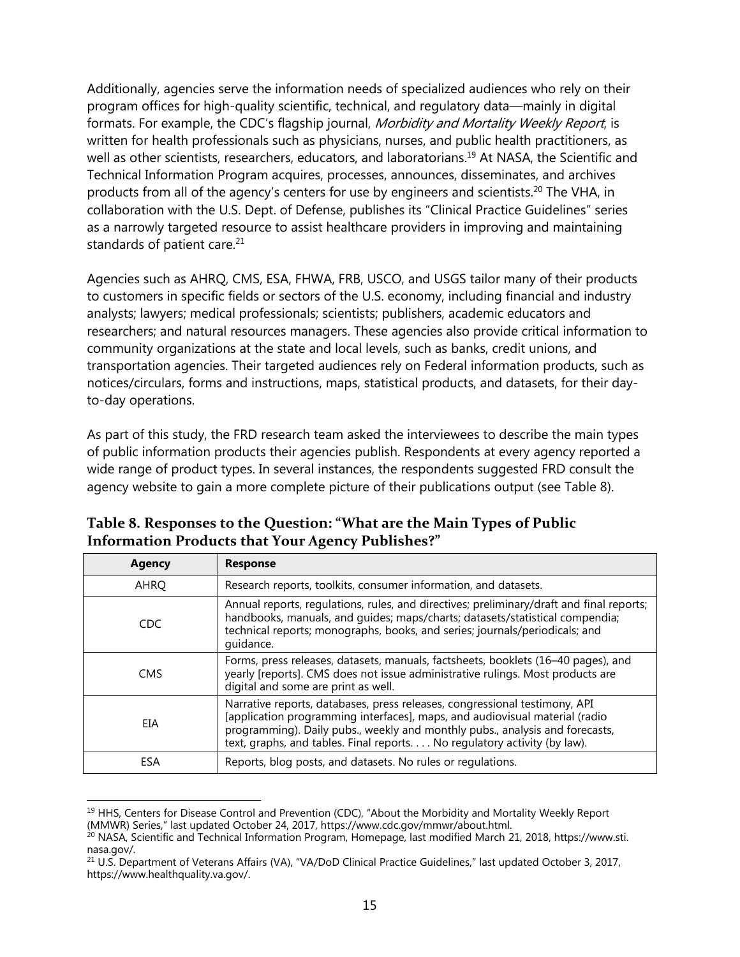Additionally, agencies serve the information needs of specialized audiences who rely on their program offices for high-quality scientific, technical, and regulatory data—mainly in digital formats. For example, the CDC's flagship journal, *Morbidity and Mortality Weekly Report*, is written for health professionals such as physicians, nurses, and public health practitioners, as well as other scientists, researchers, educators, and laboratorians.<sup>19</sup> At NASA, the Scientific and Technical Information Program acquires, processes, announces, disseminates, and archives products from all of the agency's centers for use by engineers and scientists.<sup>20</sup> The VHA, in collaboration with the U.S. Dept. of Defense, publishes its "Clinical Practice Guidelines" series as a narrowly targeted resource to assist healthcare providers in improving and maintaining standards of patient care.<sup>21</sup>

Agencies such as AHRQ, CMS, ESA, FHWA, FRB, USCO, and USGS tailor many of their products to customers in specific fields or sectors of the U.S. economy, including financial and industry analysts; lawyers; medical professionals; scientists; publishers, academic educators and researchers; and natural resources managers. These agencies also provide critical information to community organizations at the state and local levels, such as banks, credit unions, and transportation agencies. Their targeted audiences rely on Federal information products, such as notices/circulars, forms and instructions, maps, statistical products, and datasets, for their dayto-day operations.

As part of this study, the FRD research team asked the interviewees to describe the main types of public information products their agencies publish. Respondents at every agency reported a wide range of product types. In several instances, the respondents suggested FRD consult the agency website to gain a more complete picture of their publications output (see Table 8).

| <b>Agency</b> | <b>Response</b>                                                                                                                                                                                                                                                                                                        |
|---------------|------------------------------------------------------------------------------------------------------------------------------------------------------------------------------------------------------------------------------------------------------------------------------------------------------------------------|
| AHRQ          | Research reports, toolkits, consumer information, and datasets.                                                                                                                                                                                                                                                        |
| CDC           | Annual reports, regulations, rules, and directives; preliminary/draft and final reports;<br>handbooks, manuals, and guides; maps/charts; datasets/statistical compendia;<br>technical reports; monographs, books, and series; journals/periodicals; and<br>quidance.                                                   |
| <b>CMS</b>    | Forms, press releases, datasets, manuals, factsheets, booklets (16-40 pages), and<br>yearly [reports]. CMS does not issue administrative rulings. Most products are<br>digital and some are print as well.                                                                                                             |
| EIA           | Narrative reports, databases, press releases, congressional testimony, API<br>[application programming interfaces], maps, and audiovisual material (radio<br>programming). Daily pubs., weekly and monthly pubs., analysis and forecasts,<br>text, graphs, and tables. Final reports. No regulatory activity (by law). |
| ESA           | Reports, blog posts, and datasets. No rules or regulations.                                                                                                                                                                                                                                                            |

<span id="page-19-0"></span>**Table 8. Responses to the Question: "What are the Main Types of Public Information Products that Your Agency Publishes?"**

l <sup>19</sup> HHS, Centers for Disease Control and Prevention (CDC), "About the Morbidity and Mortality Weekly Report (MMWR) Series," last updated October 24, 2017, https://www.cdc.gov/mmwr/about.html.

<sup>&</sup>lt;sup>20</sup> NASA, Scientific and Technical Information Program, Homepage, last modified March 21, 2018, https://www.sti. nasa.gov/.

<sup>21</sup> U.S. Department of Veterans Affairs (VA), "VA/DoD Clinical Practice Guidelines," last updated October 3, 2017, https://www.healthquality.va.gov/.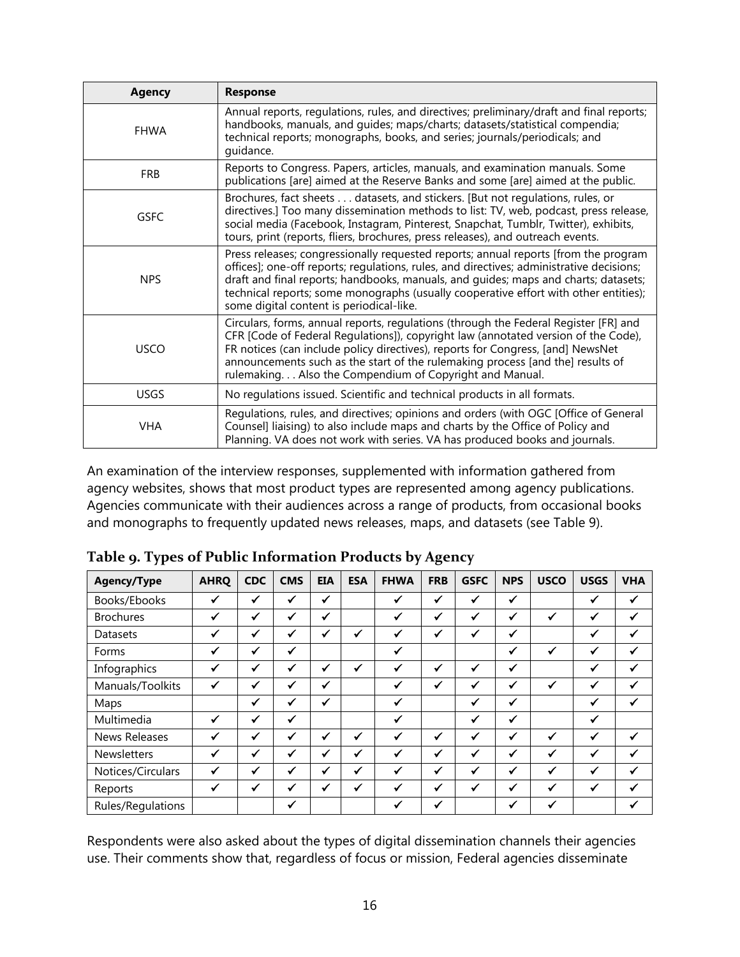| <b>Agency</b> | <b>Response</b>                                                                                                                                                                                                                                                                                                                                                                                            |
|---------------|------------------------------------------------------------------------------------------------------------------------------------------------------------------------------------------------------------------------------------------------------------------------------------------------------------------------------------------------------------------------------------------------------------|
| <b>FHWA</b>   | Annual reports, regulations, rules, and directives; preliminary/draft and final reports;<br>handbooks, manuals, and guides; maps/charts; datasets/statistical compendia;<br>technical reports; monographs, books, and series; journals/periodicals; and<br>quidance.                                                                                                                                       |
| <b>FRB</b>    | Reports to Congress. Papers, articles, manuals, and examination manuals. Some<br>publications [are] aimed at the Reserve Banks and some [are] aimed at the public.                                                                                                                                                                                                                                         |
| <b>GSFC</b>   | Brochures, fact sheets datasets, and stickers. [But not regulations, rules, or<br>directives.] Too many dissemination methods to list: TV, web, podcast, press release,<br>social media (Facebook, Instagram, Pinterest, Snapchat, Tumblr, Twitter), exhibits,<br>tours, print (reports, fliers, brochures, press releases), and outreach events.                                                          |
| <b>NPS</b>    | Press releases; congressionally requested reports; annual reports [from the program<br>offices]; one-off reports; regulations, rules, and directives; administrative decisions;<br>draft and final reports; handbooks, manuals, and quides; maps and charts; datasets;<br>technical reports; some monographs (usually cooperative effort with other entities);<br>some digital content is periodical-like. |
| <b>USCO</b>   | Circulars, forms, annual reports, regulations (through the Federal Register [FR] and<br>CFR [Code of Federal Regulations]), copyright law (annotated version of the Code),<br>FR notices (can include policy directives), reports for Congress, [and] NewsNet<br>announcements such as the start of the rulemaking process [and the] results of<br>rulemaking Also the Compendium of Copyright and Manual. |
| <b>USGS</b>   | No regulations issued. Scientific and technical products in all formats.                                                                                                                                                                                                                                                                                                                                   |
| <b>VHA</b>    | Regulations, rules, and directives; opinions and orders (with OGC [Office of General<br>Counsel] liaising) to also include maps and charts by the Office of Policy and<br>Planning. VA does not work with series. VA has produced books and journals.                                                                                                                                                      |

An examination of the interview responses, supplemented with information gathered from agency websites, shows that most product types are represented among agency publications. Agencies communicate with their audiences across a range of products, from occasional books and monographs to frequently updated news releases, maps, and datasets (see Table 9).

| <b>Agency/Type</b>   | <b>AHRQ</b>  | <b>CDC</b>   | <b>CMS</b>   | <b>EIA</b>   | <b>ESA</b>   | <b>FHWA</b>  | <b>FRB</b>   | <b>GSFC</b>  | <b>NPS</b>   | <b>USCO</b>  | <b>USGS</b>  | <b>VHA</b> |
|----------------------|--------------|--------------|--------------|--------------|--------------|--------------|--------------|--------------|--------------|--------------|--------------|------------|
| Books/Ebooks         |              | ✓            | ✓            | ✔            |              | $\checkmark$ | ✔            | ✓            | $\checkmark$ |              |              |            |
| <b>Brochures</b>     | $\checkmark$ | ✓            | ✓            | ✓            |              | ✓            | $\checkmark$ | $\checkmark$ | $\checkmark$ | $\checkmark$ | $\checkmark$ | ✔          |
| Datasets             | $\checkmark$ | ✓            | ✔            | ✔            | ✔            | $\checkmark$ | ✔            | ✔            | $\checkmark$ |              | ✔            |            |
| Forms                | ✓            | ✓            | ✓            |              |              | ✓            |              |              | ✔            | ✓            | ✓            | ✓          |
| Infographics         | $\checkmark$ | $\checkmark$ | $\checkmark$ | ✓            | $\checkmark$ | ✓            | ✔            | $\checkmark$ | $\checkmark$ |              | $\checkmark$ | ✔          |
| Manuals/Toolkits     | ✔            | ✔            | ✔            | ✔            |              |              | $\checkmark$ | ✓            | ✔            | √            |              |            |
| Maps                 |              | ✔            | √            | $\checkmark$ |              | ✔            |              | $\checkmark$ | ✔            |              | ✔            |            |
| Multimedia           | ✓            | ✓            | ✓            |              |              | ✓            |              | ✓            | ✓            |              | ✓            |            |
| <b>News Releases</b> | $\checkmark$ | ✔            | ✓            | ✔            | ✔            | ✓            | ✔            | ✓            | ✓            | ✔            | ✓            | ✓          |
| <b>Newsletters</b>   | $\checkmark$ | $\checkmark$ | $\checkmark$ | $\checkmark$ | ✓            | $\checkmark$ | ✓            | $\checkmark$ | $\checkmark$ | ✓            | $\checkmark$ |            |
| Notices/Circulars    | $\checkmark$ | ✓            | ✓            | ✔            | $\checkmark$ | ✓            | $\checkmark$ | $\checkmark$ | ✔            | $\checkmark$ |              |            |
| Reports              | $\checkmark$ | ✓            | ✓            | ✔            | ✔            | $\checkmark$ | ✔            | $\checkmark$ | $\checkmark$ | ✔            | $\checkmark$ |            |
| Rules/Regulations    |              |              | ✓            |              |              |              | $\checkmark$ |              | ✔            | ✔            |              |            |

<span id="page-20-0"></span>**Table 9. Types of Public Information Products by Agency**

Respondents were also asked about the types of digital dissemination channels their agencies use. Their comments show that, regardless of focus or mission, Federal agencies disseminate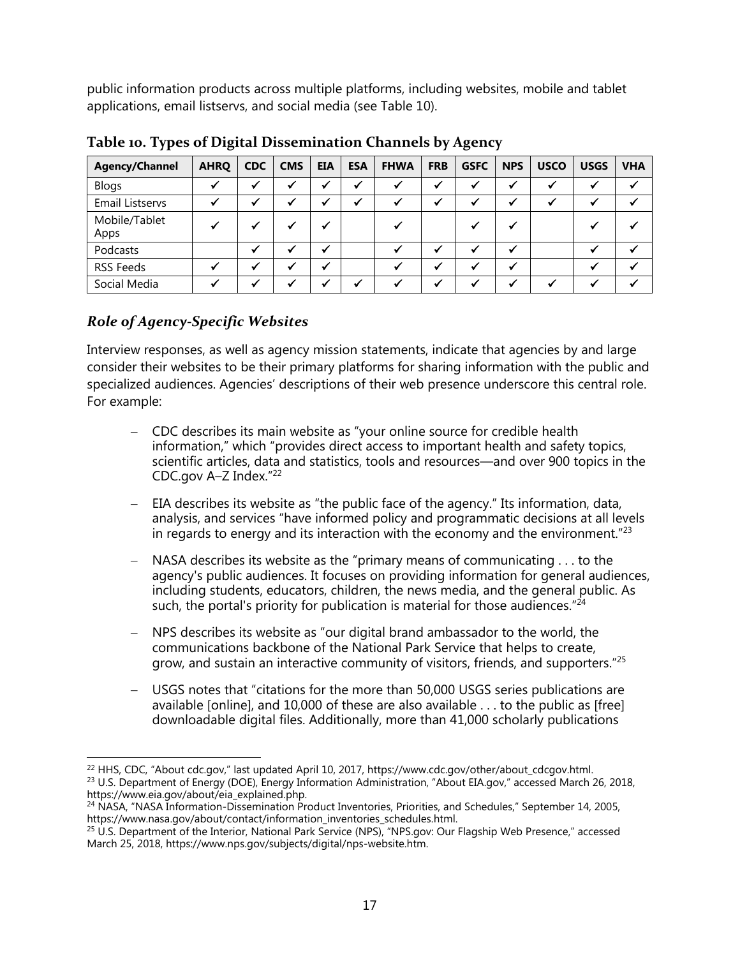public information products across multiple platforms, including websites, mobile and tablet applications, email listservs, and social media (see Table 10).

| <b>Agency/Channel</b>  | <b>AHRQ</b> | <b>CDC</b> | <b>CMS</b> | <b>EIA</b> | <b>ESA</b> | <b>FHWA</b> | <b>FRB</b>               | <b>GSFC</b> | <b>NPS</b> | <b>USCO</b> | <b>USGS</b> | <b>VHA</b> |
|------------------------|-------------|------------|------------|------------|------------|-------------|--------------------------|-------------|------------|-------------|-------------|------------|
| <b>Blogs</b>           |             |            |            |            |            |             | $\checkmark$             |             |            |             |             |            |
| <b>Email Listservs</b> |             |            |            | w          |            |             | w                        |             |            |             |             |            |
| Mobile/Tablet<br>Apps  |             |            |            | w          |            |             |                          |             |            |             |             |            |
| Podcasts               |             |            |            |            |            |             | $\overline{\mathcal{L}}$ |             |            |             |             |            |
| <b>RSS Feeds</b>       |             |            |            |            |            |             |                          |             |            |             |             |            |
| Social Media           |             |            |            |            |            |             | 44                       |             |            |             |             |            |

<span id="page-21-1"></span>**Table 10. Types of Digital Dissemination Channels by Agency**

#### <span id="page-21-0"></span>*Role of Agency-Specific Websites*

Interview responses, as well as agency mission statements, indicate that agencies by and large consider their websites to be their primary platforms for sharing information with the public and specialized audiences. Agencies' descriptions of their web presence underscore this central role. For example:

- CDC describes its main website as "your online source for credible health information," which "provides direct access to important health and safety topics, scientific articles, data and statistics, tools and resources—and over 900 topics in the CDC.gov A–Z Index."<sup>22</sup>
- EIA describes its website as "the public face of the agency." Its information, data, analysis, and services "have informed policy and programmatic decisions at all levels in regards to energy and its interaction with the economy and the environment." $^{23}$
- NASA describes its website as the "primary means of communicating . . . to the agency's public audiences. It focuses on providing information for general audiences, including students, educators, children, the news media, and the general public. As such, the portal's priority for publication is material for those audiences." $24$
- NPS describes its website as "our digital brand ambassador to the world, the communications backbone of the National Park Service that helps to create, grow, and sustain an interactive community of visitors, friends, and supporters."<sup>25</sup>
- USGS notes that "citations for the more than 50,000 USGS series publications are available [online], and 10,000 of these are also available . . . to the public as [free] downloadable digital files. Additionally, more than 41,000 scholarly publications

l <sup>22</sup> HHS, CDC, "About cdc.gov," last updated April 10, 2017, https://www.cdc.gov/other/about\_cdcgov.html. <sup>23</sup> U.S. Department of Energy (DOE), Energy Information Administration, "About EIA.gov," accessed March 26, 2018, https://www.eia.gov/about/eia\_explained.php.

<sup>24</sup> NASA, "NASA Information-Dissemination Product Inventories, Priorities, and Schedules," September 14, 2005, https://www.nasa.gov/about/contact/information\_inventories\_schedules.html.

<sup>&</sup>lt;sup>25</sup> U.S. Department of the Interior, National Park Service (NPS), "NPS.gov: Our Flagship Web Presence," accessed March 25, 2018, https://www.nps.gov/subjects/digital/nps-website.htm.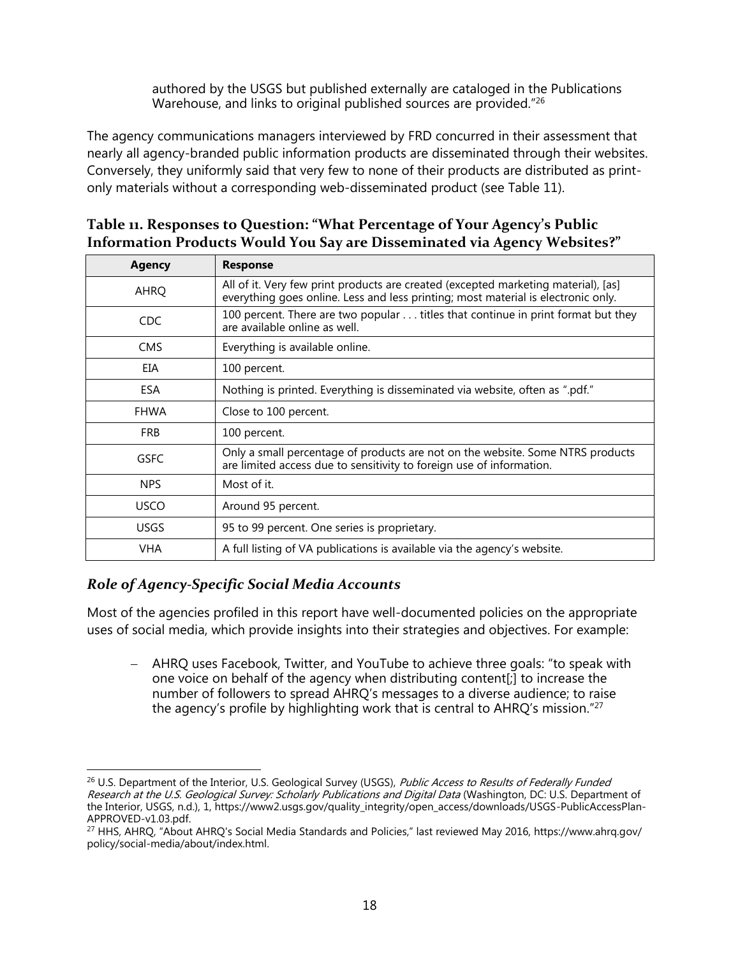authored by the USGS but published externally are cataloged in the Publications Warehouse, and links to original published sources are provided."<sup>26</sup>

The agency communications managers interviewed by FRD concurred in their assessment that nearly all agency-branded public information products are disseminated through their websites. Conversely, they uniformly said that very few to none of their products are distributed as printonly materials without a corresponding web-disseminated product (see Table 11).

<span id="page-22-1"></span>

| Table 11. Responses to Question: "What Percentage of Your Agency's Public |
|---------------------------------------------------------------------------|
| Information Products Would You Say are Disseminated via Agency Websites?" |

| <b>Response</b>                                                                                                                                                         |
|-------------------------------------------------------------------------------------------------------------------------------------------------------------------------|
| All of it. Very few print products are created (excepted marketing material), [as]<br>everything goes online. Less and less printing; most material is electronic only. |
| 100 percent. There are two popular titles that continue in print format but they<br>are available online as well.                                                       |
| Everything is available online.                                                                                                                                         |
| 100 percent.                                                                                                                                                            |
| Nothing is printed. Everything is disseminated via website, often as ".pdf."                                                                                            |
| Close to 100 percent.                                                                                                                                                   |
| 100 percent.                                                                                                                                                            |
| Only a small percentage of products are not on the website. Some NTRS products<br>are limited access due to sensitivity to foreign use of information.                  |
| Most of it.                                                                                                                                                             |
| Around 95 percent.                                                                                                                                                      |
| 95 to 99 percent. One series is proprietary.                                                                                                                            |
| A full listing of VA publications is available via the agency's website.                                                                                                |
|                                                                                                                                                                         |

#### <span id="page-22-0"></span>*Role of Agency-Specific Social Media Accounts*

Most of the agencies profiled in this report have well-documented policies on the appropriate uses of social media, which provide insights into their strategies and objectives. For example:

 AHRQ uses Facebook, Twitter, and YouTube to achieve three goals: "to speak with one voice on behalf of the agency when distributing content[;] to increase the number of followers to spread AHRQ's messages to a diverse audience; to raise the agency's profile by highlighting work that is central to AHRQ's mission."<sup>27</sup>

 $\overline{\phantom{a}}$ <sup>26</sup> U.S. Department of the Interior, U.S. Geological Survey (USGS), Public Access to Results of Federally Funded Research at the U.S. Geological Survey: Scholarly Publications and Digital Data (Washington, DC: U.S. Department of the Interior, USGS, n.d.), 1, https://www2.usgs.gov/guality\_integrity/open\_access/downloads/USGS-PublicAccessPlan-APPROVED-v1.03.pdf.

<sup>27</sup> HHS, AHRQ, "About AHRQ's Social Media Standards and Policies," last reviewed May 2016, https://www.ahrq.gov/ policy/social-media/about/index.html.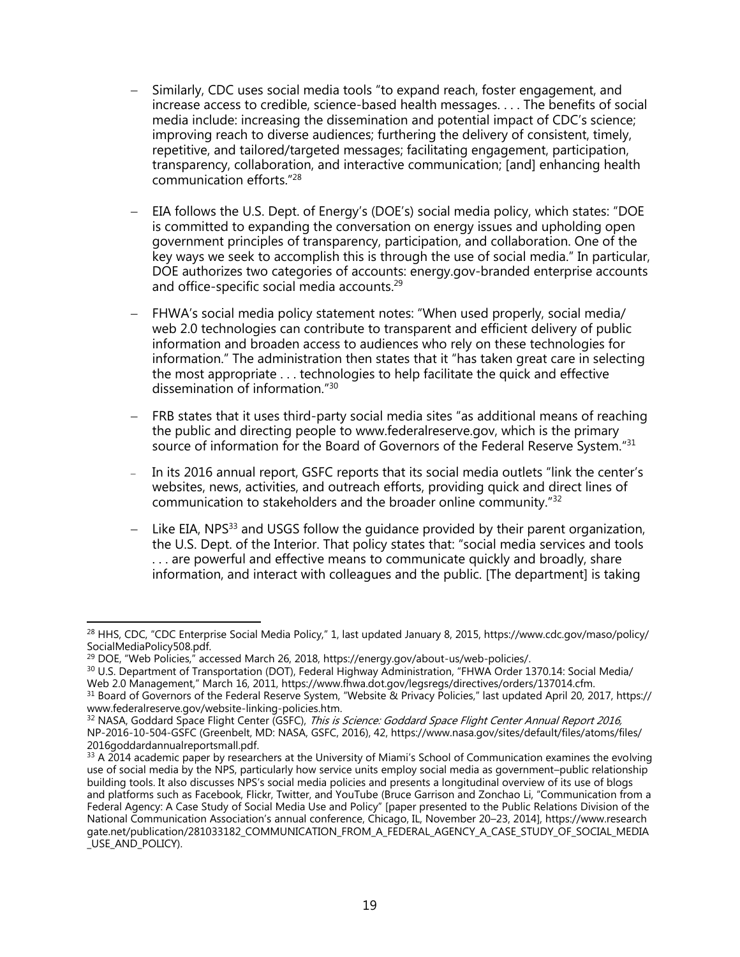- Similarly, CDC uses social media tools "to expand reach, foster engagement, and increase access to credible, science-based health messages. . . . The benefits of social media include: increasing the dissemination and potential impact of CDC's science; improving reach to diverse audiences; furthering the delivery of consistent, timely, repetitive, and tailored/targeted messages; facilitating engagement, participation, transparency, collaboration, and interactive communication; [and] enhancing health communication efforts."<sup>28</sup>
- EIA follows the U.S. Dept. of Energy's (DOE's) social media policy, which states: "DOE is committed to expanding the conversation on energy issues and upholding open government principles of transparency, participation, and collaboration. One of the key ways we seek to accomplish this is through the use of social media." In particular, DOE authorizes two categories of accounts: energy.gov-branded enterprise accounts and office-specific social media accounts.<sup>29</sup>
- FHWA's social media policy statement notes: "When used properly, social media/ web 2.0 technologies can contribute to transparent and efficient delivery of public information and broaden access to audiences who rely on these technologies for information." The administration then states that it "has taken great care in selecting the most appropriate . . . technologies to help facilitate the quick and effective dissemination of information."<sup>30</sup>
- FRB states that it uses third-party social media sites "as additional means of reaching the public and directing people to www.federalreserve.gov, which is the primary source of information for the Board of Governors of the Federal Reserve System."31
- In its 2016 annual report, GSFC reports that its social media outlets "link the center's websites, news, activities, and outreach efforts, providing quick and direct lines of communication to stakeholders and the broader online community."<sup>32</sup>
- $-$  Like EIA, NPS<sup>33</sup> and USGS follow the quidance provided by their parent organization, the U.S. Dept. of the Interior. That policy states that: "social media services and tools . . . are powerful and effective means to communicate quickly and broadly, share information, and interact with colleagues and the public. [The department] is taking

l <sup>28</sup> HHS, CDC, "CDC Enterprise Social Media Policy," 1, last updated January 8, 2015, https://www.cdc.gov/maso/policy/ SocialMediaPolicy508.pdf.

<sup>&</sup>lt;sup>29</sup> DOE, "Web Policies," accessed March 26, 2018, https://energy.gov/about-us/web-policies/.

<sup>&</sup>lt;sup>30</sup> U.S. Department of Transportation (DOT), Federal Highway Administration, "FHWA Order 1370.14: Social Media/ Web 2.0 Management," March 16, 2011, https://www.fhwa.dot.gov/legsregs/directives/orders/137014.cfm.

<sup>&</sup>lt;sup>31</sup> Board of Governors of the Federal Reserve System, "Website & Privacy Policies," last updated April 20, 2017, https:// www.federalreserve.gov/website-linking-policies.htm.

<sup>&</sup>lt;sup>32</sup> NASA, Goddard Space Flight Center (GSFC), *This is Science: Goddard Space Flight Center Annual Report 2016,* NP-2016-10-504-GSFC (Greenbelt, MD: NASA, GSFC, 2016), 42, https://www.nasa.gov/sites/default/files/atoms/files/ 2016goddardannualreportsmall.pdf.

<sup>33</sup> A 2014 academic paper by researchers at the University of Miami's School of Communication examines the evolving use of social media by the NPS, particularly how service units employ social media as government–public relationship building tools. It also discusses NPS's social media policies and presents a longitudinal overview of its use of blogs and platforms such as Facebook, Flickr, Twitter, and YouTube (Bruce Garrison and Zonchao Li, "Communication from a Federal Agency: A Case Study of Social Media Use and Policy" [paper presented to the Public Relations Division of the National Communication Association's annual conference, Chicago, IL, November 20–23, 2014], https://www.research gate.net/publication/281033182\_COMMUNICATION\_FROM\_A\_FEDERAL\_AGENCY\_A\_CASE\_STUDY\_OF\_SOCIAL\_MEDIA \_USE\_AND\_POLICY).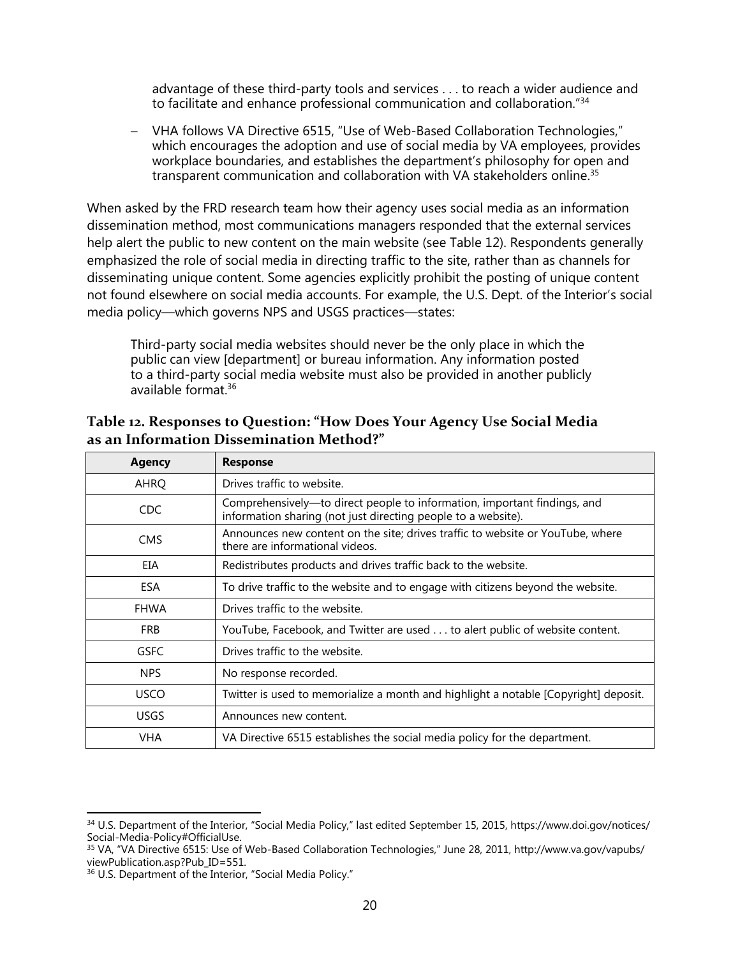advantage of these third-party tools and services . . . to reach a wider audience and to facilitate and enhance professional communication and collaboration."<sup>34</sup>

 VHA follows VA Directive 6515, "Use of Web-Based Collaboration Technologies," which encourages the adoption and use of social media by VA employees, provides workplace boundaries, and establishes the department's philosophy for open and transparent communication and collaboration with VA stakeholders online.<sup>35</sup>

When asked by the FRD research team how their agency uses social media as an information dissemination method, most communications managers responded that the external services help alert the public to new content on the main website (see Table 12). Respondents generally emphasized the role of social media in directing traffic to the site, rather than as channels for disseminating unique content. Some agencies explicitly prohibit the posting of unique content not found elsewhere on social media accounts. For example, the U.S. Dept. of the Interior's social media policy—which governs NPS and USGS practices—states:

Third-party social media websites should never be the only place in which the public can view [department] or bureau information. Any information posted to a third-party social media website must also be provided in another publicly available format.<sup>36</sup>

| <b>Agency</b> | <b>Response</b>                                                                                                                           |
|---------------|-------------------------------------------------------------------------------------------------------------------------------------------|
| AHRQ          | Drives traffic to website.                                                                                                                |
| <b>CDC</b>    | Comprehensively-to direct people to information, important findings, and<br>information sharing (not just directing people to a website). |
| <b>CMS</b>    | Announces new content on the site; drives traffic to website or YouTube, where<br>there are informational videos.                         |
| EIA           | Redistributes products and drives traffic back to the website.                                                                            |
| <b>ESA</b>    | To drive traffic to the website and to engage with citizens beyond the website.                                                           |
| <b>FHWA</b>   | Drives traffic to the website.                                                                                                            |
| <b>FRB</b>    | YouTube, Facebook, and Twitter are used to alert public of website content.                                                               |
| GSFC          | Drives traffic to the website.                                                                                                            |
| NPS.          | No response recorded.                                                                                                                     |
| <b>USCO</b>   | Twitter is used to memorialize a month and highlight a notable [Copyright] deposit.                                                       |
| <b>USGS</b>   | Announces new content.                                                                                                                    |
| <b>VHA</b>    | VA Directive 6515 establishes the social media policy for the department.                                                                 |

<span id="page-24-0"></span>**Table 12. Responses to Question: "How Does Your Agency Use Social Media as an Information Dissemination Method?"**

 $\overline{\phantom{a}}$ 

<sup>&</sup>lt;sup>34</sup> U.S. Department of the Interior, "Social Media Policy," last edited September 15, 2015, https://www.doi.gov/notices/ Social-Media-Policy#OfficialUse.

<sup>35</sup> VA, "VA Directive 6515: Use of Web-Based Collaboration Technologies," June 28, 2011, http://www.va.gov/vapubs/ viewPublication.asp?Pub\_ID=551.

<sup>36</sup> U.S. Department of the Interior, "Social Media Policy."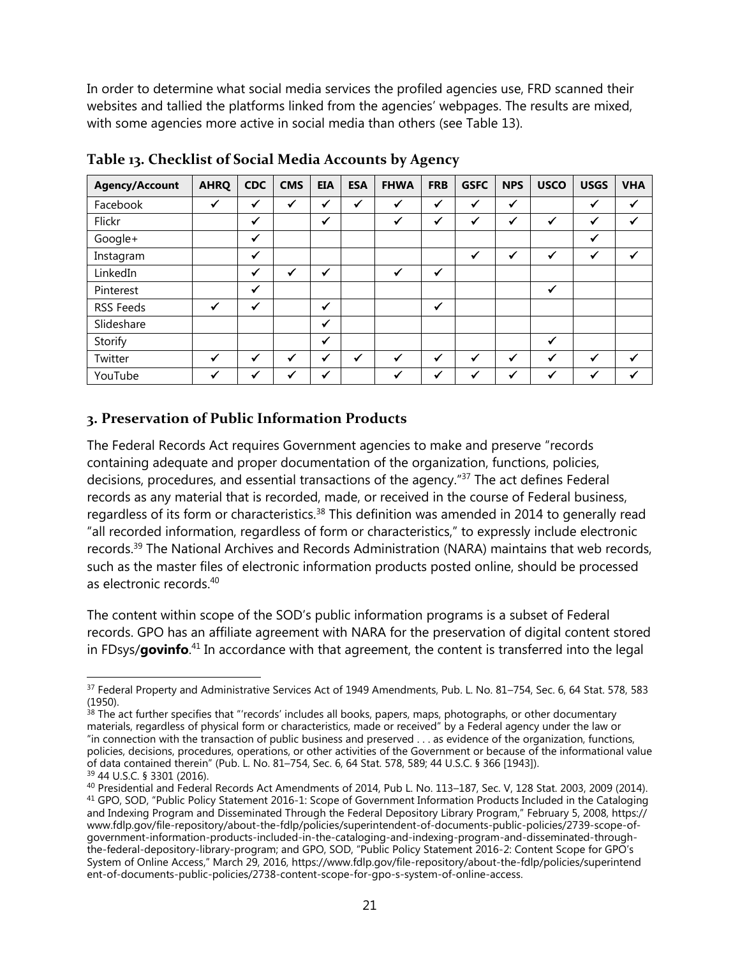In order to determine what social media services the profiled agencies use, FRD scanned their websites and tallied the platforms linked from the agencies' webpages. The results are mixed, with some agencies more active in social media than others (see Table 13).

| <b>Agency/Account</b> | <b>AHRQ</b>  | <b>CDC</b>   | <b>CMS</b> | <b>EIA</b>   | <b>ESA</b>   | <b>FHWA</b>  | <b>FRB</b>   | <b>GSFC</b>  | <b>NPS</b>   | <b>USCO</b>  | <b>USGS</b>  | <b>VHA</b> |
|-----------------------|--------------|--------------|------------|--------------|--------------|--------------|--------------|--------------|--------------|--------------|--------------|------------|
| Facebook              | ✓            | $\checkmark$ | ✔          | ✔            | ✔            | ✔            | $\checkmark$ | $\checkmark$ | $\checkmark$ |              | ✔            |            |
| Flickr                |              | $\checkmark$ |            | $\checkmark$ |              | √            | $\checkmark$ | ✔            | ✔            | $\checkmark$ | $\checkmark$ |            |
| Google+               |              | $\checkmark$ |            |              |              |              |              |              |              |              | ✓            |            |
| Instagram             |              | ✓            |            |              |              |              |              | ✔            | ✔            | $\checkmark$ |              |            |
| LinkedIn              |              | ✓            |            | ✔            |              | $\checkmark$ | $\checkmark$ |              |              |              |              |            |
| Pinterest             |              | $\checkmark$ |            |              |              |              |              |              |              | $\checkmark$ |              |            |
| <b>RSS Feeds</b>      | $\checkmark$ | ✔            |            | ✓            |              |              | $\checkmark$ |              |              |              |              |            |
| Slideshare            |              |              |            | $\checkmark$ |              |              |              |              |              |              |              |            |
| Storify               |              |              |            | $\checkmark$ |              |              |              |              |              | $\checkmark$ |              |            |
| Twitter               | $\checkmark$ | $\checkmark$ | ✔          | ✔            | $\checkmark$ | ✓            | $\checkmark$ | $\checkmark$ | √            | $\checkmark$ | √            |            |
| YouTube               |              |              |            | ✔            |              |              | ✔            |              |              | $\checkmark$ |              |            |

<span id="page-25-1"></span>**Table 13. Checklist of Social Media Accounts by Agency**

#### <span id="page-25-0"></span>**3. Preservation of Public Information Products**

The Federal Records Act requires Government agencies to make and preserve "records containing adequate and proper documentation of the organization, functions, policies, decisions, procedures, and essential transactions of the agency." <sup>37</sup> The act defines Federal records as any material that is recorded, made, or received in the course of Federal business, regardless of its form or characteristics.<sup>38</sup> This definition was amended in 2014 to generally read "all recorded information, regardless of form or characteristics," to expressly include electronic records.<sup>39</sup> The National Archives and Records Administration (NARA) maintains that web records, such as the master files of electronic information products posted online, should be processed as electronic records.<sup>40</sup>

The content within scope of the SOD's public information programs is a subset of Federal records. GPO has an affiliate agreement with NARA for the preservation of digital content stored in FDsys/**govinfo**. <sup>41</sup> In accordance with that agreement, the content is transferred into the legal

 $\overline{\phantom{a}}$ <sup>37</sup> Federal Property and Administrative Services Act of 1949 Amendments, Pub. L. No. 81-754, Sec. 6, 64 Stat. 578, 583 (1950).

 $38$  The act further specifies that "'records' includes all books, papers, maps, photographs, or other documentary materials, regardless of physical form or characteristics, made or received" by a Federal agency under the law or "in connection with the transaction of public business and preserved . . . as evidence of the organization, functions, policies, decisions, procedures, operations, or other activities of the Government or because of the informational value of data contained therein" (Pub. L. No. 81–754, Sec. 6, 64 Stat. 578, 589; 44 U.S.C. § 366 [1943]).

<sup>39</sup> 44 U.S.C. § 3301 (2016).

<sup>40</sup> Presidential and Federal Records Act Amendments of 2014, Pub L. No. 113–187, Sec. V, 128 Stat. 2003, 2009 (2014). <sup>41</sup> GPO, SOD, "Public Policy Statement 2016-1: Scope of Government Information Products Included in the Cataloging and Indexing Program and Disseminated Through the Federal Depository Library Program," February 5, 2008, https:// www.fdlp.gov/file-repository/about-the-fdlp/policies/superintendent-of-documents-public-policies/2739-scope-ofgovernment-information-products-included-in-the-cataloging-and-indexing-program-and-disseminated-throughthe-federal-depository-library-program; and GPO, SOD, "Public Policy Statement 2016-2: Content Scope for GPO's System of Online Access," March 29, 2016, https://www.fdlp.gov/file-repository/about-the-fdlp/policies/superintend ent-of-documents-public-policies/2738-content-scope-for-gpo-s-system-of-online-access.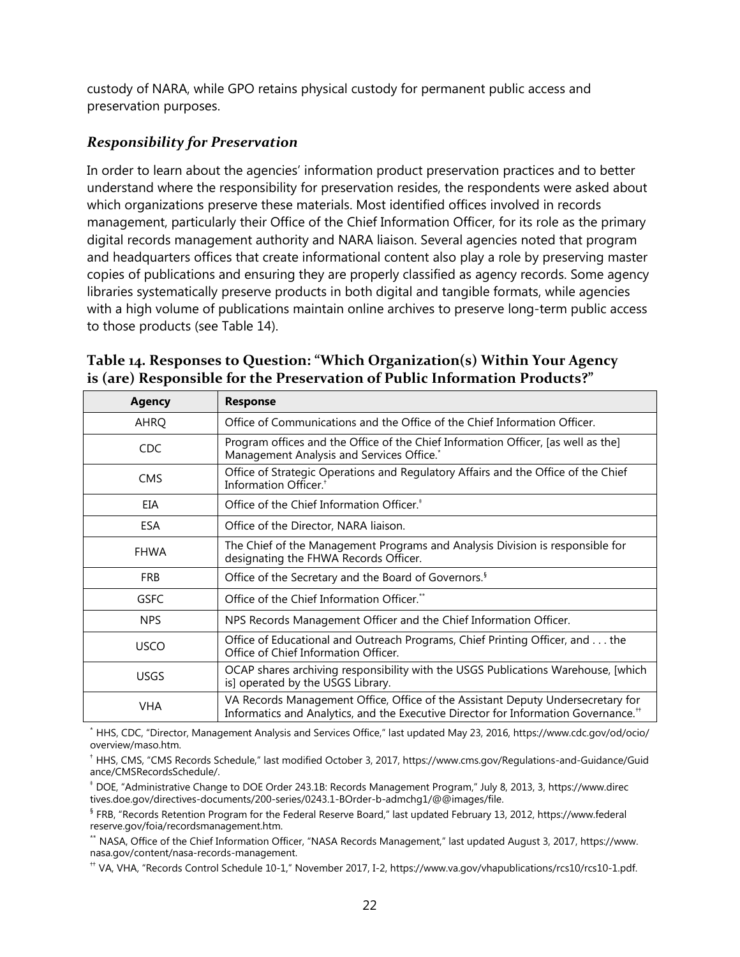custody of NARA, while GPO retains physical custody for permanent public access and preservation purposes.

## <span id="page-26-0"></span>*Responsibility for Preservation*

In order to learn about the agencies' information product preservation practices and to better understand where the responsibility for preservation resides, the respondents were asked about which organizations preserve these materials. Most identified offices involved in records management, particularly their Office of the Chief Information Officer, for its role as the primary digital records management authority and NARA liaison. Several agencies noted that program and headquarters offices that create informational content also play a role by preserving master copies of publications and ensuring they are properly classified as agency records. Some agency libraries systematically preserve products in both digital and tangible formats, while agencies with a high volume of publications maintain online archives to preserve long-term public access to those products (see Table 14).

| <b>Agency</b> | <b>Response</b>                                                                                                                                                                   |
|---------------|-----------------------------------------------------------------------------------------------------------------------------------------------------------------------------------|
| <b>AHRQ</b>   | Office of Communications and the Office of the Chief Information Officer.                                                                                                         |
| <b>CDC</b>    | Program offices and the Office of the Chief Information Officer, [as well as the]<br>Management Analysis and Services Office.*                                                    |
| <b>CMS</b>    | Office of Strategic Operations and Regulatory Affairs and the Office of the Chief<br>Information Officer. <sup>+</sup>                                                            |
| EIA           | Office of the Chief Information Officer. <sup>+</sup>                                                                                                                             |
| <b>ESA</b>    | Office of the Director, NARA liaison.                                                                                                                                             |
| <b>FHWA</b>   | The Chief of the Management Programs and Analysis Division is responsible for<br>designating the FHWA Records Officer.                                                            |
| <b>FRB</b>    | Office of the Secretary and the Board of Governors. <sup>§</sup>                                                                                                                  |
| <b>GSFC</b>   | Office of the Chief Information Officer.**                                                                                                                                        |
| <b>NPS</b>    | NPS Records Management Officer and the Chief Information Officer.                                                                                                                 |
| <b>USCO</b>   | Office of Educational and Outreach Programs, Chief Printing Officer, and the<br>Office of Chief Information Officer.                                                              |
| <b>USGS</b>   | OCAP shares archiving responsibility with the USGS Publications Warehouse, [which<br>is] operated by the USGS Library.                                                            |
| <b>VHA</b>    | VA Records Management Office, Office of the Assistant Deputy Undersecretary for<br>Informatics and Analytics, and the Executive Director for Information Governance. <sup>#</sup> |

<span id="page-26-1"></span>**Table 14. Responses to Question: "Which Organization(s) Within Your Agency is (are) Responsible for the Preservation of Public Information Products?"**

\* HHS, CDC, "Director, Management Analysis and Services Office," last updated May 23, 2016, https://www.cdc.gov/od/ocio/ overview/maso.htm.

† HHS, CMS, "CMS Records Schedule," last modified October 3, 2017, https://www.cms.gov/Regulations-and-Guidance/Guid ance/CMSRecordsSchedule/.

‡ DOE, "Administrative Change to DOE Order 243.1B: Records Management Program," July 8, 2013, 3, https://www.direc tives.doe.gov/directives-documents/200-series/0243.1-BOrder-b-admchg1/@@images/file.

§ FRB, "Records Retention Program for the Federal Reserve Board," last updated February 13, 2012, https://www.federal reserve.gov/foia/recordsmanagement.htm.

\*\* NASA, Office of the Chief Information Officer, "NASA Records Management," last updated August 3, 2017, https://www. nasa.gov/content/nasa-records-management.

†† VA, VHA, "Records Control Schedule 10-1," November 2017, I-2, https://www.va.gov/vhapublications/rcs10/rcs10-1.pdf.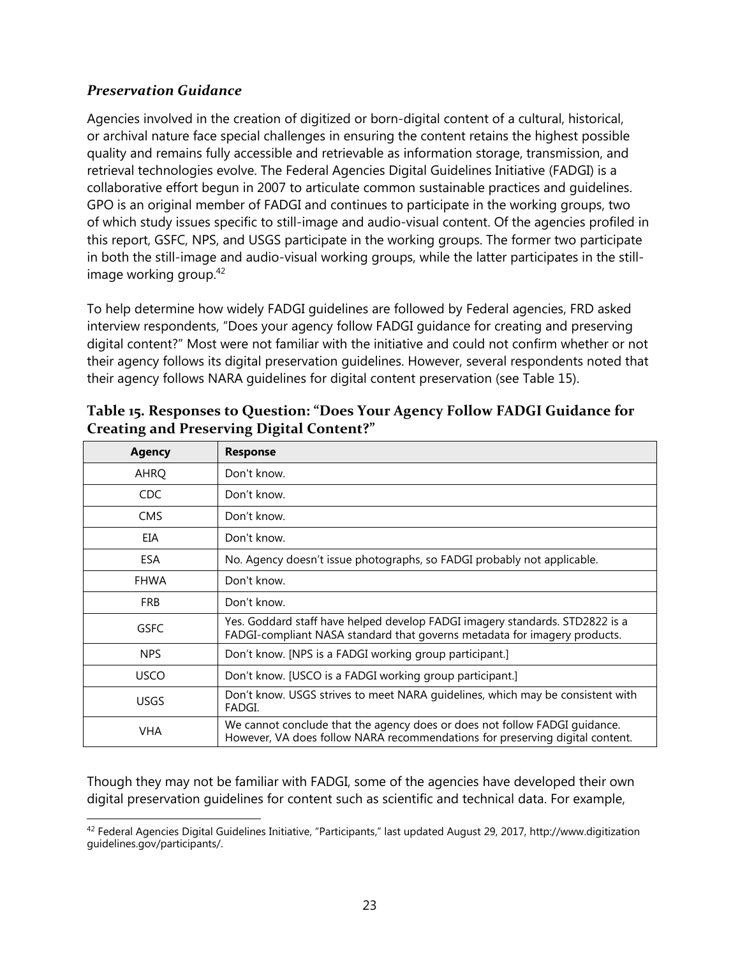#### <span id="page-27-0"></span>*Preservation Guidance*

Agencies involved in the creation of digitized or born-digital content of a cultural, historical, or archival nature face special challenges in ensuring the content retains the highest possible quality and remains fully accessible and retrievable as information storage, transmission, and retrieval technologies evolve. The Federal Agencies Digital Guidelines Initiative (FADGI) is a collaborative effort begun in 2007 to articulate common sustainable practices and guidelines. GPO is an original member of FADGI and continues to participate in the working groups, two of which study issues specific to still-image and audio-visual content. Of the agencies profiled in this report, GSFC, NPS, and USGS participate in the working groups. The former two participate in both the still-image and audio-visual working groups, while the latter participates in the stillimage working group.<sup>42</sup>

To help determine how widely FADGI guidelines are followed by Federal agencies, FRD asked interview respondents, "Does your agency follow FADGI guidance for creating and preserving digital content?" Most were not familiar with the initiative and could not confirm whether or not their agency follows its digital preservation guidelines. However, several respondents noted that their agency follows NARA guidelines for digital content preservation (see Table 15).

| <b>Agency</b> | <b>Response</b>                                                                                                                                            |
|---------------|------------------------------------------------------------------------------------------------------------------------------------------------------------|
| AHRQ          | Don't know.                                                                                                                                                |
| CDC           | Don't know.                                                                                                                                                |
| <b>CMS</b>    | Don't know.                                                                                                                                                |
| EIA           | Don't know.                                                                                                                                                |
| <b>ESA</b>    | No. Agency doesn't issue photographs, so FADGI probably not applicable.                                                                                    |
| <b>FHWA</b>   | Don't know.                                                                                                                                                |
| <b>FRB</b>    | Don't know.                                                                                                                                                |
| <b>GSFC</b>   | Yes. Goddard staff have helped develop FADGI imagery standards. STD2822 is a<br>FADGI-compliant NASA standard that governs metadata for imagery products.  |
| <b>NPS</b>    | Don't know. [NPS is a FADGI working group participant.]                                                                                                    |
| <b>USCO</b>   | Don't know. [USCO is a FADGI working group participant.]                                                                                                   |
| <b>USGS</b>   | Don't know. USGS strives to meet NARA guidelines, which may be consistent with<br>FADGI.                                                                   |
| <b>VHA</b>    | We cannot conclude that the agency does or does not follow FADGI guidance.<br>However, VA does follow NARA recommendations for preserving digital content. |

<span id="page-27-1"></span>

| Table 15. Responses to Question: "Does Your Agency Follow FADGI Guidance for |
|------------------------------------------------------------------------------|
| <b>Creating and Preserving Digital Content?"</b>                             |

Though they may not be familiar with FADGI, some of the agencies have developed their own digital preservation guidelines for content such as scientific and technical data. For example,

 $\overline{a}$  $^{42}$  Federal Agencies Digital Guidelines Initiative, "Participants," last updated August 29, 2017, http://www.digitization guidelines.gov/participants/.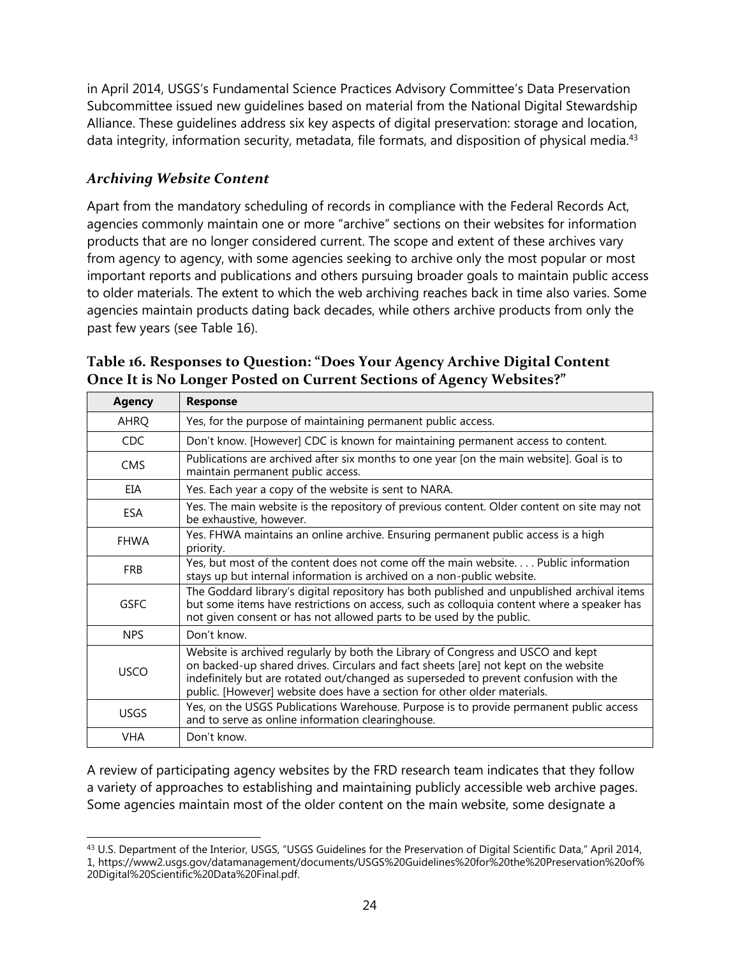in April 2014, USGS's Fundamental Science Practices Advisory Committee's Data Preservation Subcommittee issued new guidelines based on material from the National Digital Stewardship Alliance. These guidelines address six key aspects of digital preservation: storage and location, data integrity, information security, metadata, file formats, and disposition of physical media.<sup>43</sup>

### <span id="page-28-0"></span>*Archiving Website Content*

Apart from the mandatory scheduling of records in compliance with the Federal Records Act, agencies commonly maintain one or more "archive" sections on their websites for information products that are no longer considered current. The scope and extent of these archives vary from agency to agency, with some agencies seeking to archive only the most popular or most important reports and publications and others pursuing broader goals to maintain public access to older materials. The extent to which the web archiving reaches back in time also varies. Some agencies maintain products dating back decades, while others archive products from only the past few years (see Table 16).

| <b>Agency</b> | <b>Response</b>                                                                                                                                                                                                                                                                                                                            |
|---------------|--------------------------------------------------------------------------------------------------------------------------------------------------------------------------------------------------------------------------------------------------------------------------------------------------------------------------------------------|
| AHRQ          | Yes, for the purpose of maintaining permanent public access.                                                                                                                                                                                                                                                                               |
| CDC.          | Don't know. [However] CDC is known for maintaining permanent access to content.                                                                                                                                                                                                                                                            |
| <b>CMS</b>    | Publications are archived after six months to one year [on the main website]. Goal is to<br>maintain permanent public access.                                                                                                                                                                                                              |
| EIA           | Yes. Each year a copy of the website is sent to NARA.                                                                                                                                                                                                                                                                                      |
| <b>ESA</b>    | Yes. The main website is the repository of previous content. Older content on site may not<br>be exhaustive, however.                                                                                                                                                                                                                      |
| <b>FHWA</b>   | Yes. FHWA maintains an online archive. Ensuring permanent public access is a high<br>priority.                                                                                                                                                                                                                                             |
| <b>FRB</b>    | Yes, but most of the content does not come off the main website Public information<br>stays up but internal information is archived on a non-public website.                                                                                                                                                                               |
| <b>GSFC</b>   | The Goddard library's digital repository has both published and unpublished archival items<br>but some items have restrictions on access, such as colloquia content where a speaker has<br>not given consent or has not allowed parts to be used by the public.                                                                            |
| <b>NPS</b>    | Don't know.                                                                                                                                                                                                                                                                                                                                |
| <b>USCO</b>   | Website is archived regularly by both the Library of Congress and USCO and kept<br>on backed-up shared drives. Circulars and fact sheets [are] not kept on the website<br>indefinitely but are rotated out/changed as superseded to prevent confusion with the<br>public. [However] website does have a section for other older materials. |
| <b>USGS</b>   | Yes, on the USGS Publications Warehouse. Purpose is to provide permanent public access<br>and to serve as online information clearinghouse.                                                                                                                                                                                                |
| <b>VHA</b>    | Don't know.                                                                                                                                                                                                                                                                                                                                |

<span id="page-28-1"></span>**Table 16. Responses to Question: "Does Your Agency Archive Digital Content Once It is No Longer Posted on Current Sections of Agency Websites?"**

A review of participating agency websites by the FRD research team indicates that they follow a variety of approaches to establishing and maintaining publicly accessible web archive pages. Some agencies maintain most of the older content on the main website, some designate a

 $\overline{\phantom{a}}$ <sup>43</sup> U.S. Department of the Interior, USGS, "USGS Guidelines for the Preservation of Digital Scientific Data," April 2014, 1, https://www2.usgs.gov/datamanagement/documents/USGS%20Guidelines%20for%20the%20Preservation%20of% 20Digital%20Scientific%20Data%20Final.pdf.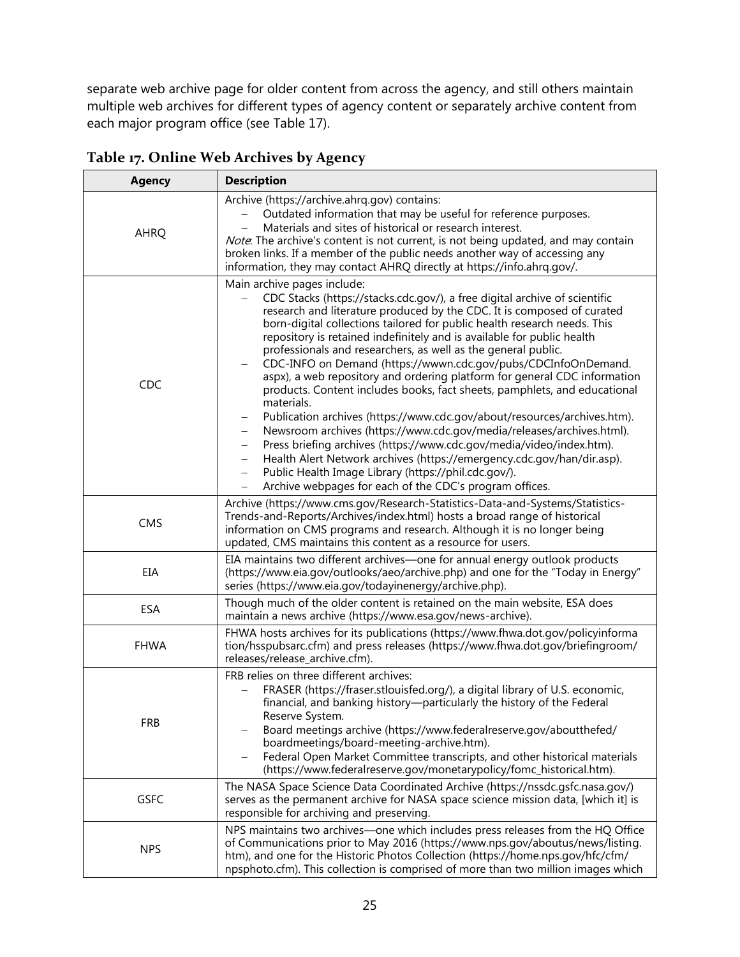separate web archive page for older content from across the agency, and still others maintain multiple web archives for different types of agency content or separately archive content from each major program office (see Table 17).

| <b>Agency</b> | <b>Description</b>                                                                                                                                                                                                                                                                                                                                                                                                                                                                                                                                                                                                                                                                                                                                                                                                                                                                                                                                                                                                                                                                                                                 |
|---------------|------------------------------------------------------------------------------------------------------------------------------------------------------------------------------------------------------------------------------------------------------------------------------------------------------------------------------------------------------------------------------------------------------------------------------------------------------------------------------------------------------------------------------------------------------------------------------------------------------------------------------------------------------------------------------------------------------------------------------------------------------------------------------------------------------------------------------------------------------------------------------------------------------------------------------------------------------------------------------------------------------------------------------------------------------------------------------------------------------------------------------------|
| <b>AHRQ</b>   | Archive (https://archive.ahrq.gov) contains:<br>Outdated information that may be useful for reference purposes.<br>Materials and sites of historical or research interest.<br>Note. The archive's content is not current, is not being updated, and may contain<br>broken links. If a member of the public needs another way of accessing any<br>information, they may contact AHRQ directly at https://info.ahrq.gov/.                                                                                                                                                                                                                                                                                                                                                                                                                                                                                                                                                                                                                                                                                                            |
| <b>CDC</b>    | Main archive pages include:<br>CDC Stacks (https://stacks.cdc.gov/), a free digital archive of scientific<br>research and literature produced by the CDC. It is composed of curated<br>born-digital collections tailored for public health research needs. This<br>repository is retained indefinitely and is available for public health<br>professionals and researchers, as well as the general public.<br>CDC-INFO on Demand (https://wwwn.cdc.gov/pubs/CDCInfoOnDemand.<br>aspx), a web repository and ordering platform for general CDC information<br>products. Content includes books, fact sheets, pamphlets, and educational<br>materials.<br>Publication archives (https://www.cdc.gov/about/resources/archives.htm).<br>Newsroom archives (https://www.cdc.gov/media/releases/archives.html).<br>$\qquad \qquad -$<br>Press briefing archives (https://www.cdc.gov/media/video/index.htm).<br>$\qquad \qquad -$<br>Health Alert Network archives (https://emergency.cdc.gov/han/dir.asp).<br>-<br>Public Health Image Library (https://phil.cdc.gov/).<br>-<br>Archive webpages for each of the CDC's program offices. |
| CMS           | Archive (https://www.cms.gov/Research-Statistics-Data-and-Systems/Statistics-<br>Trends-and-Reports/Archives/index.html) hosts a broad range of historical<br>information on CMS programs and research. Although it is no longer being<br>updated, CMS maintains this content as a resource for users.                                                                                                                                                                                                                                                                                                                                                                                                                                                                                                                                                                                                                                                                                                                                                                                                                             |
| EIA           | EIA maintains two different archives-one for annual energy outlook products<br>(https://www.eia.gov/outlooks/aeo/archive.php) and one for the "Today in Energy"<br>series (https://www.eia.gov/todayinenergy/archive.php).                                                                                                                                                                                                                                                                                                                                                                                                                                                                                                                                                                                                                                                                                                                                                                                                                                                                                                         |
| ESA           | Though much of the older content is retained on the main website, ESA does<br>maintain a news archive (https://www.esa.gov/news-archive).                                                                                                                                                                                                                                                                                                                                                                                                                                                                                                                                                                                                                                                                                                                                                                                                                                                                                                                                                                                          |
| <b>FHWA</b>   | FHWA hosts archives for its publications (https://www.fhwa.dot.gov/policyinforma<br>tion/hsspubsarc.cfm) and press releases (https://www.fhwa.dot.gov/briefingroom/<br>releases/release_archive.cfm).                                                                                                                                                                                                                                                                                                                                                                                                                                                                                                                                                                                                                                                                                                                                                                                                                                                                                                                              |
| <b>FRB</b>    | FRB relies on three different archives:<br>FRASER (https://fraser.stlouisfed.org/), a digital library of U.S. economic,<br>financial, and banking history-particularly the history of the Federal<br>Reserve System.<br>Board meetings archive (https://www.federalreserve.gov/aboutthefed/<br>boardmeetings/board-meeting-archive.htm).<br>Federal Open Market Committee transcripts, and other historical materials<br>(https://www.federalreserve.gov/monetarypolicy/fomc_historical.htm).                                                                                                                                                                                                                                                                                                                                                                                                                                                                                                                                                                                                                                      |
| <b>GSFC</b>   | The NASA Space Science Data Coordinated Archive (https://nssdc.gsfc.nasa.gov/)<br>serves as the permanent archive for NASA space science mission data, [which it] is<br>responsible for archiving and preserving.                                                                                                                                                                                                                                                                                                                                                                                                                                                                                                                                                                                                                                                                                                                                                                                                                                                                                                                  |
| <b>NPS</b>    | NPS maintains two archives-one which includes press releases from the HQ Office<br>of Communications prior to May 2016 (https://www.nps.gov/aboutus/news/listing.<br>htm), and one for the Historic Photos Collection (https://home.nps.gov/hfc/cfm/<br>npsphoto.cfm). This collection is comprised of more than two million images which                                                                                                                                                                                                                                                                                                                                                                                                                                                                                                                                                                                                                                                                                                                                                                                          |

<span id="page-29-0"></span>**Table 17. Online Web Archives by Agency**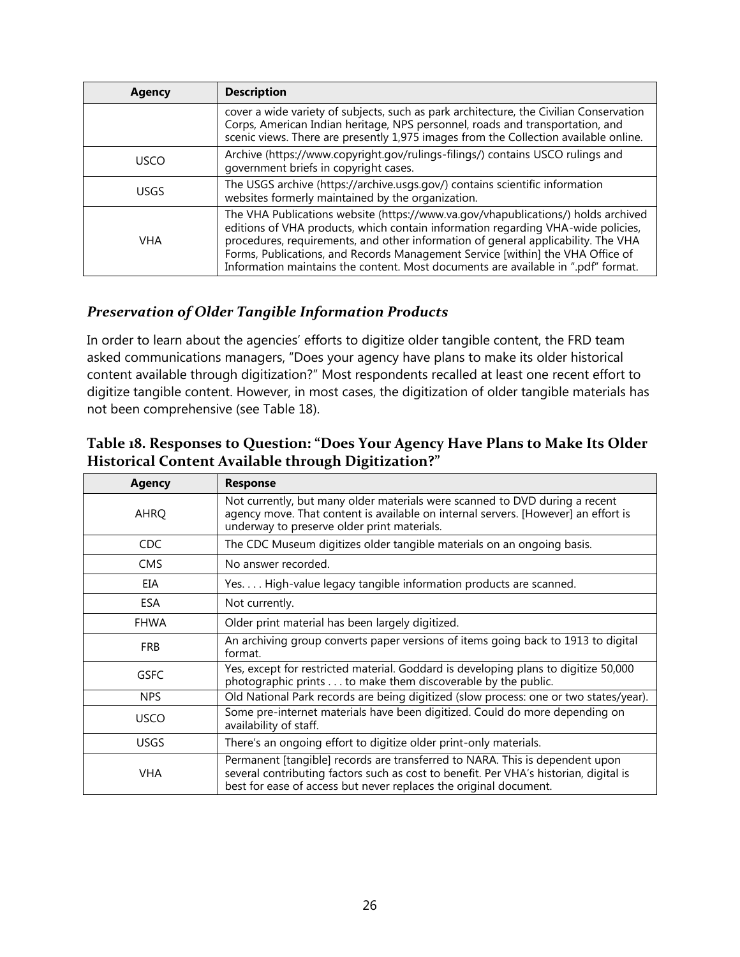| Agency      | <b>Description</b>                                                                                                                                                                                                                                                                                                                                                                                                                |
|-------------|-----------------------------------------------------------------------------------------------------------------------------------------------------------------------------------------------------------------------------------------------------------------------------------------------------------------------------------------------------------------------------------------------------------------------------------|
|             | cover a wide variety of subjects, such as park architecture, the Civilian Conservation<br>Corps, American Indian heritage, NPS personnel, roads and transportation, and<br>scenic views. There are presently 1,975 images from the Collection available online.                                                                                                                                                                   |
| <b>USCO</b> | Archive (https://www.copyright.gov/rulings-filings/) contains USCO rulings and<br>government briefs in copyright cases.                                                                                                                                                                                                                                                                                                           |
| <b>USGS</b> | The USGS archive (https://archive.usgs.gov/) contains scientific information<br>websites formerly maintained by the organization.                                                                                                                                                                                                                                                                                                 |
| <b>VHA</b>  | The VHA Publications website (https://www.va.gov/vhapublications/) holds archived<br>editions of VHA products, which contain information regarding VHA-wide policies,<br>procedures, requirements, and other information of general applicability. The VHA<br>Forms, Publications, and Records Management Service [within] the VHA Office of<br>Information maintains the content. Most documents are available in ".pdf" format. |

### <span id="page-30-0"></span>*Preservation of Older Tangible Information Products*

In order to learn about the agencies' efforts to digitize older tangible content, the FRD team asked communications managers, "Does your agency have plans to make its older historical content available through digitization?" Most respondents recalled at least one recent effort to digitize tangible content. However, in most cases, the digitization of older tangible materials has not been comprehensive (see Table 18).

<span id="page-30-1"></span>

| <b>Agency</b> | <b>Response</b>                                                                                                                                                                                                                            |
|---------------|--------------------------------------------------------------------------------------------------------------------------------------------------------------------------------------------------------------------------------------------|
| <b>AHRQ</b>   | Not currently, but many older materials were scanned to DVD during a recent<br>agency move. That content is available on internal servers. [However] an effort is<br>underway to preserve older print materials.                           |
| CDC           | The CDC Museum digitizes older tangible materials on an ongoing basis.                                                                                                                                                                     |
| <b>CMS</b>    | No answer recorded.                                                                                                                                                                                                                        |
| EIA           | Yes High-value legacy tangible information products are scanned.                                                                                                                                                                           |
| <b>ESA</b>    | Not currently.                                                                                                                                                                                                                             |
| <b>FHWA</b>   | Older print material has been largely digitized.                                                                                                                                                                                           |
| <b>FRB</b>    | An archiving group converts paper versions of items going back to 1913 to digital<br>format.                                                                                                                                               |
| <b>GSFC</b>   | Yes, except for restricted material. Goddard is developing plans to digitize 50,000<br>photographic prints to make them discoverable by the public.                                                                                        |
| <b>NPS</b>    | Old National Park records are being digitized (slow process: one or two states/year).                                                                                                                                                      |
| <b>USCO</b>   | Some pre-internet materials have been digitized. Could do more depending on<br>availability of staff.                                                                                                                                      |
| <b>USGS</b>   | There's an ongoing effort to digitize older print-only materials.                                                                                                                                                                          |
| <b>VHA</b>    | Permanent [tangible] records are transferred to NARA. This is dependent upon<br>several contributing factors such as cost to benefit. Per VHA's historian, digital is<br>best for ease of access but never replaces the original document. |

#### <span id="page-30-2"></span>**Table 18. Responses to Question: "Does Your Agency Have Plans to Make Its Older Historical Content Available through Digitization?"**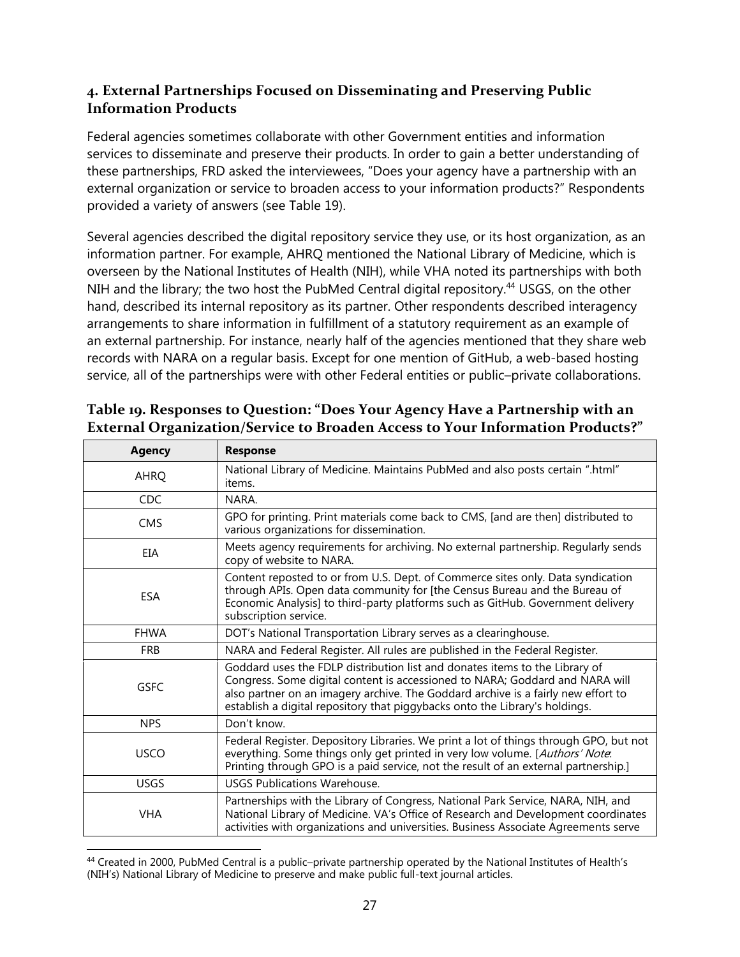#### **4. External Partnerships Focused on Disseminating and Preserving Public Information Products**

Federal agencies sometimes collaborate with other Government entities and information services to disseminate and preserve their products. In order to gain a better understanding of these partnerships, FRD asked the interviewees, "Does your agency have a partnership with an external organization or service to broaden access to your information products?" Respondents provided a variety of answers (see Table 19).

Several agencies described the digital repository service they use, or its host organization, as an information partner. For example, AHRQ mentioned the National Library of Medicine, which is overseen by the National Institutes of Health (NIH), while VHA noted its partnerships with both NIH and the library; the two host the PubMed Central digital repository.<sup>44</sup> USGS, on the other hand, described its internal repository as its partner. Other respondents described interagency arrangements to share information in fulfillment of a statutory requirement as an example of an external partnership. For instance, nearly half of the agencies mentioned that they share web records with NARA on a regular basis. Except for one mention of GitHub, a web-based hosting service, all of the partnerships were with other Federal entities or public–private collaborations.

| <b>Agency</b> | <b>Response</b>                                                                                                                                                                                                                                                                                                                 |
|---------------|---------------------------------------------------------------------------------------------------------------------------------------------------------------------------------------------------------------------------------------------------------------------------------------------------------------------------------|
| <b>AHRQ</b>   | National Library of Medicine. Maintains PubMed and also posts certain ".html"<br>items.                                                                                                                                                                                                                                         |
| <b>CDC</b>    | NARA.                                                                                                                                                                                                                                                                                                                           |
| <b>CMS</b>    | GPO for printing. Print materials come back to CMS, [and are then] distributed to<br>various organizations for dissemination.                                                                                                                                                                                                   |
| EIA           | Meets agency requirements for archiving. No external partnership. Regularly sends<br>copy of website to NARA.                                                                                                                                                                                                                   |
| <b>ESA</b>    | Content reposted to or from U.S. Dept. of Commerce sites only. Data syndication<br>through APIs. Open data community for [the Census Bureau and the Bureau of<br>Economic Analysis] to third-party platforms such as GitHub. Government delivery<br>subscription service.                                                       |
| <b>FHWA</b>   | DOT's National Transportation Library serves as a clearinghouse.                                                                                                                                                                                                                                                                |
| <b>FRB</b>    | NARA and Federal Register. All rules are published in the Federal Register.                                                                                                                                                                                                                                                     |
| <b>GSFC</b>   | Goddard uses the FDLP distribution list and donates items to the Library of<br>Congress. Some digital content is accessioned to NARA; Goddard and NARA will<br>also partner on an imagery archive. The Goddard archive is a fairly new effort to<br>establish a digital repository that piggybacks onto the Library's holdings. |
| <b>NPS</b>    | Don't know.                                                                                                                                                                                                                                                                                                                     |
| <b>USCO</b>   | Federal Register. Depository Libraries. We print a lot of things through GPO, but not<br>everything. Some things only get printed in very low volume. [Authors' Note.<br>Printing through GPO is a paid service, not the result of an external partnership.]                                                                    |
| <b>USGS</b>   | <b>USGS Publications Warehouse.</b>                                                                                                                                                                                                                                                                                             |
| <b>VHA</b>    | Partnerships with the Library of Congress, National Park Service, NARA, NIH, and<br>National Library of Medicine. VA's Office of Research and Development coordinates<br>activities with organizations and universities. Business Associate Agreements serve                                                                    |

## <span id="page-31-0"></span>**Table 19. Responses to Question: "Does Your Agency Have a Partnership with an External Organization/Service to Broaden Access to Your Information Products?"**

 $\overline{\phantom{a}}$ <sup>44</sup> Created in 2000, PubMed Central is a public–private partnership operated by the National Institutes of Health's (NIH's) National Library of Medicine to preserve and make public full-text journal articles.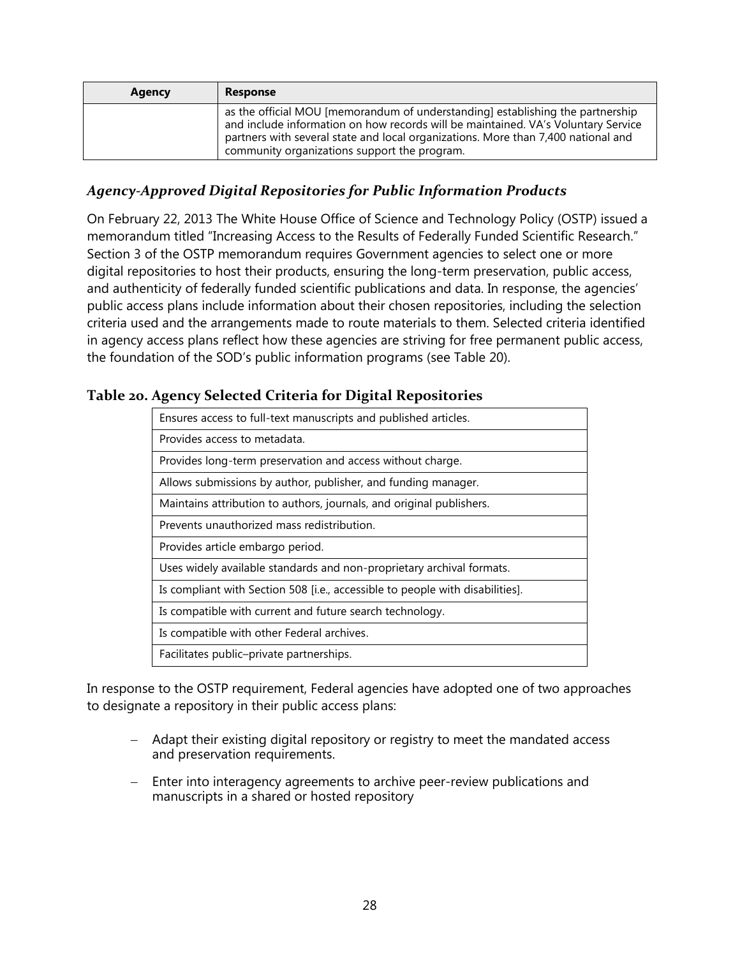| <b>Agency</b> | <b>Response</b>                                                                                                                                                                                                                                                                                          |
|---------------|----------------------------------------------------------------------------------------------------------------------------------------------------------------------------------------------------------------------------------------------------------------------------------------------------------|
|               | as the official MOU [memorandum of understanding] establishing the partnership<br>and include information on how records will be maintained. VA's Voluntary Service<br>partners with several state and local organizations. More than 7,400 national and<br>community organizations support the program. |

#### <span id="page-32-0"></span>*Agency-Approved Digital Repositories for Public Information Products*

On February 22, 2013 The White House Office of Science and Technology Policy (OSTP) issued a memorandum titled "Increasing Access to the Results of Federally Funded Scientific Research." Section 3 of the OSTP memorandum requires Government agencies to select one or more digital repositories to host their products, ensuring the long-term preservation, public access, and authenticity of federally funded scientific publications and data. In response, the agencies' public access plans include information about their chosen repositories, including the selection criteria used and the arrangements made to route materials to them. Selected criteria identified in agency access plans reflect how these agencies are striving for free permanent public access, the foundation of the SOD's public information programs (see Table 20).

#### **Table 20. Agency Selected Criteria for Digital Repositories**

<span id="page-32-1"></span>

| Ensures access to full-text manuscripts and published articles.               |
|-------------------------------------------------------------------------------|
| Provides access to metadata.                                                  |
| Provides long-term preservation and access without charge.                    |
| Allows submissions by author, publisher, and funding manager.                 |
| Maintains attribution to authors, journals, and original publishers.          |
| Prevents unauthorized mass redistribution.                                    |
| Provides article embargo period.                                              |
| Uses widely available standards and non-proprietary archival formats.         |
| Is compliant with Section 508 [i.e., accessible to people with disabilities]. |
| Is compatible with current and future search technology.                      |
| Is compatible with other Federal archives.                                    |
| Facilitates public-private partnerships.                                      |

In response to the OSTP requirement, Federal agencies have adopted one of two approaches to designate a repository in their public access plans:

- Adapt their existing digital repository or registry to meet the mandated access and preservation requirements.
- Enter into interagency agreements to archive peer-review publications and manuscripts in a shared or hosted repository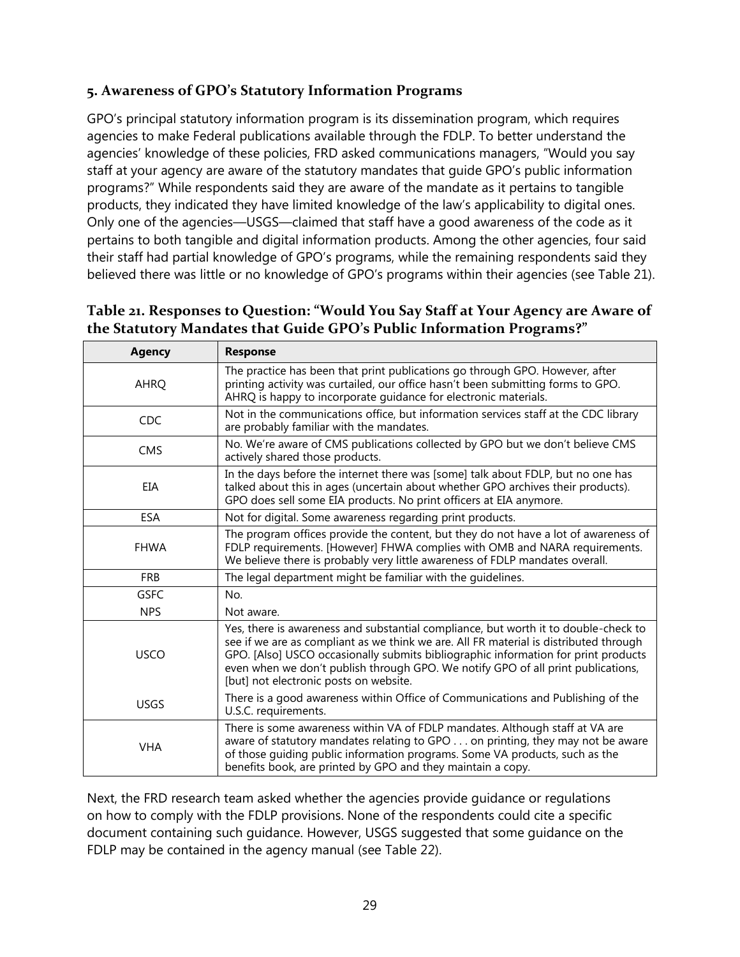#### <span id="page-33-0"></span>**5. Awareness of GPO's Statutory Information Programs**

GPO's principal statutory information program is its dissemination program, which requires agencies to make Federal publications available through the FDLP. To better understand the agencies' knowledge of these policies, FRD asked communications managers, "Would you say staff at your agency are aware of the statutory mandates that guide GPO's public information programs?" While respondents said they are aware of the mandate as it pertains to tangible products, they indicated they have limited knowledge of the law's applicability to digital ones. Only one of the agencies—USGS—claimed that staff have a good awareness of the code as it pertains to both tangible and digital information products. Among the other agencies, four said their staff had partial knowledge of GPO's programs, while the remaining respondents said they believed there was little or no knowledge of GPO's programs within their agencies (see Table 21).

#### <span id="page-33-1"></span>**Table 21. Responses to Question: "Would You Say Staff at Your Agency are Aware of the Statutory Mandates that Guide GPO's Public Information Programs?"**

| <b>Agency</b> | <b>Response</b>                                                                                                                                                                                                                                                                                                                                                                                  |
|---------------|--------------------------------------------------------------------------------------------------------------------------------------------------------------------------------------------------------------------------------------------------------------------------------------------------------------------------------------------------------------------------------------------------|
| <b>AHRQ</b>   | The practice has been that print publications go through GPO. However, after<br>printing activity was curtailed, our office hasn't been submitting forms to GPO.<br>AHRQ is happy to incorporate guidance for electronic materials.                                                                                                                                                              |
| CDC           | Not in the communications office, but information services staff at the CDC library<br>are probably familiar with the mandates.                                                                                                                                                                                                                                                                  |
| <b>CMS</b>    | No. We're aware of CMS publications collected by GPO but we don't believe CMS<br>actively shared those products.                                                                                                                                                                                                                                                                                 |
| EIA           | In the days before the internet there was [some] talk about FDLP, but no one has<br>talked about this in ages (uncertain about whether GPO archives their products).<br>GPO does sell some EIA products. No print officers at EIA anymore.                                                                                                                                                       |
| <b>ESA</b>    | Not for digital. Some awareness regarding print products.                                                                                                                                                                                                                                                                                                                                        |
| <b>FHWA</b>   | The program offices provide the content, but they do not have a lot of awareness of<br>FDLP requirements. [However] FHWA complies with OMB and NARA requirements.<br>We believe there is probably very little awareness of FDLP mandates overall.                                                                                                                                                |
| <b>FRB</b>    | The legal department might be familiar with the guidelines.                                                                                                                                                                                                                                                                                                                                      |
| <b>GSFC</b>   | No.                                                                                                                                                                                                                                                                                                                                                                                              |
| <b>NPS</b>    | Not aware.                                                                                                                                                                                                                                                                                                                                                                                       |
| <b>USCO</b>   | Yes, there is awareness and substantial compliance, but worth it to double-check to<br>see if we are as compliant as we think we are. All FR material is distributed through<br>GPO. [Also] USCO occasionally submits bibliographic information for print products<br>even when we don't publish through GPO. We notify GPO of all print publications,<br>[but] not electronic posts on website. |
| <b>USGS</b>   | There is a good awareness within Office of Communications and Publishing of the<br>U.S.C. requirements.                                                                                                                                                                                                                                                                                          |
| <b>VHA</b>    | There is some awareness within VA of FDLP mandates. Although staff at VA are<br>aware of statutory mandates relating to GPO on printing, they may not be aware<br>of those guiding public information programs. Some VA products, such as the<br>benefits book, are printed by GPO and they maintain a copy.                                                                                     |

Next, the FRD research team asked whether the agencies provide guidance or regulations on how to comply with the FDLP provisions. None of the respondents could cite a specific document containing such guidance. However, USGS suggested that some guidance on the FDLP may be contained in the agency manual (see Table 22).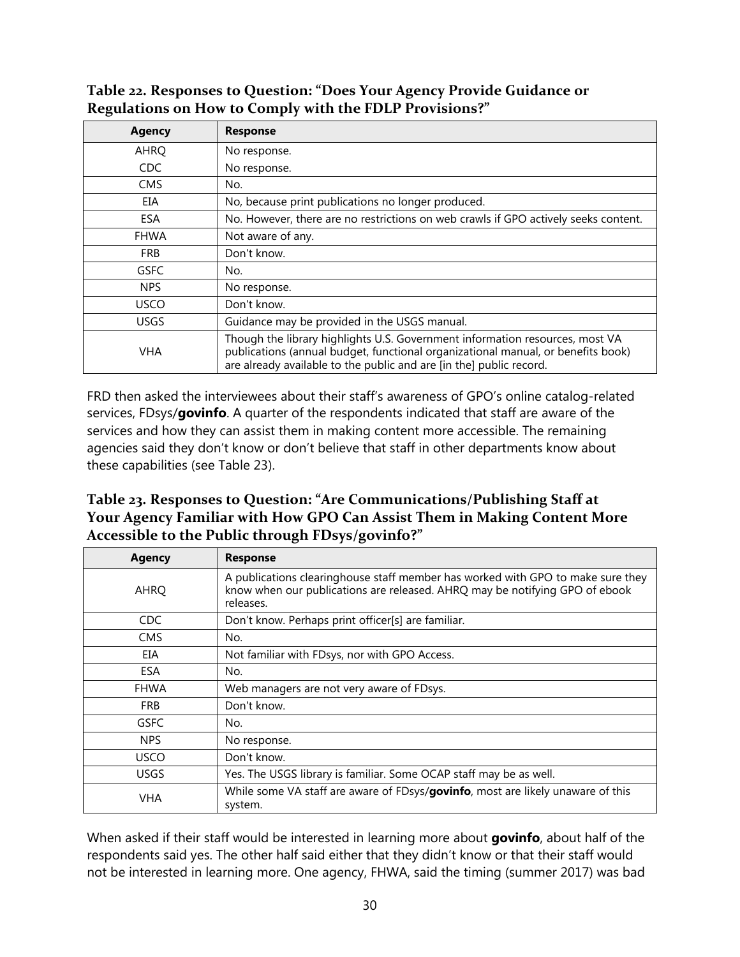#### <span id="page-34-0"></span>**Table 22. Responses to Question: "Does Your Agency Provide Guidance or Regulations on How to Comply with the FDLP Provisions?"**

| <b>Agency</b> | <b>Response</b>                                                                                                                                                                                                                         |
|---------------|-----------------------------------------------------------------------------------------------------------------------------------------------------------------------------------------------------------------------------------------|
| AHRQ          | No response.                                                                                                                                                                                                                            |
| CDC           | No response.                                                                                                                                                                                                                            |
| <b>CMS</b>    | No.                                                                                                                                                                                                                                     |
| EIA           | No, because print publications no longer produced.                                                                                                                                                                                      |
| <b>ESA</b>    | No. However, there are no restrictions on web crawls if GPO actively seeks content.                                                                                                                                                     |
| <b>FHWA</b>   | Not aware of any.                                                                                                                                                                                                                       |
| <b>FRB</b>    | Don't know.                                                                                                                                                                                                                             |
| <b>GSFC</b>   | No.                                                                                                                                                                                                                                     |
| <b>NPS</b>    | No response.                                                                                                                                                                                                                            |
| <b>USCO</b>   | Don't know.                                                                                                                                                                                                                             |
| <b>USGS</b>   | Guidance may be provided in the USGS manual.                                                                                                                                                                                            |
| <b>VHA</b>    | Though the library highlights U.S. Government information resources, most VA<br>publications (annual budget, functional organizational manual, or benefits book)<br>are already available to the public and are [in the] public record. |

FRD then asked the interviewees about their staff's awareness of GPO's online catalog-related services, FDsys/**govinfo**. A quarter of the respondents indicated that staff are aware of the services and how they can assist them in making content more accessible. The remaining agencies said they don't know or don't believe that staff in other departments know about these capabilities (see Table 23).

#### <span id="page-34-1"></span>**Table 23. Responses to Question: "Are Communications/Publishing Staff at Your Agency Familiar with How GPO Can Assist Them in Making Content More Accessible to the Public through FDsys/govinfo?"**

| <b>Agency</b> | <b>Response</b>                                                                                                                                                             |
|---------------|-----------------------------------------------------------------------------------------------------------------------------------------------------------------------------|
| <b>AHRQ</b>   | A publications clearinghouse staff member has worked with GPO to make sure they<br>know when our publications are released. AHRQ may be notifying GPO of ebook<br>releases. |
| CDC.          | Don't know. Perhaps print officer[s] are familiar.                                                                                                                          |
| <b>CMS</b>    | No.                                                                                                                                                                         |
| EIA           | Not familiar with FDsys, nor with GPO Access.                                                                                                                               |
| ESA           | No.                                                                                                                                                                         |
| <b>FHWA</b>   | Web managers are not very aware of FDsys.                                                                                                                                   |
| <b>FRB</b>    | Don't know.                                                                                                                                                                 |
| <b>GSFC</b>   | No.                                                                                                                                                                         |
| <b>NPS</b>    | No response.                                                                                                                                                                |
| <b>USCO</b>   | Don't know.                                                                                                                                                                 |
| <b>USGS</b>   | Yes. The USGS library is familiar. Some OCAP staff may be as well.                                                                                                          |
| <b>VHA</b>    | While some VA staff are aware of FDsys/govinfo, most are likely unaware of this<br>system.                                                                                  |

When asked if their staff would be interested in learning more about **govinfo**, about half of the respondents said yes. The other half said either that they didn't know or that their staff would not be interested in learning more. One agency, FHWA, said the timing (summer 2017) was bad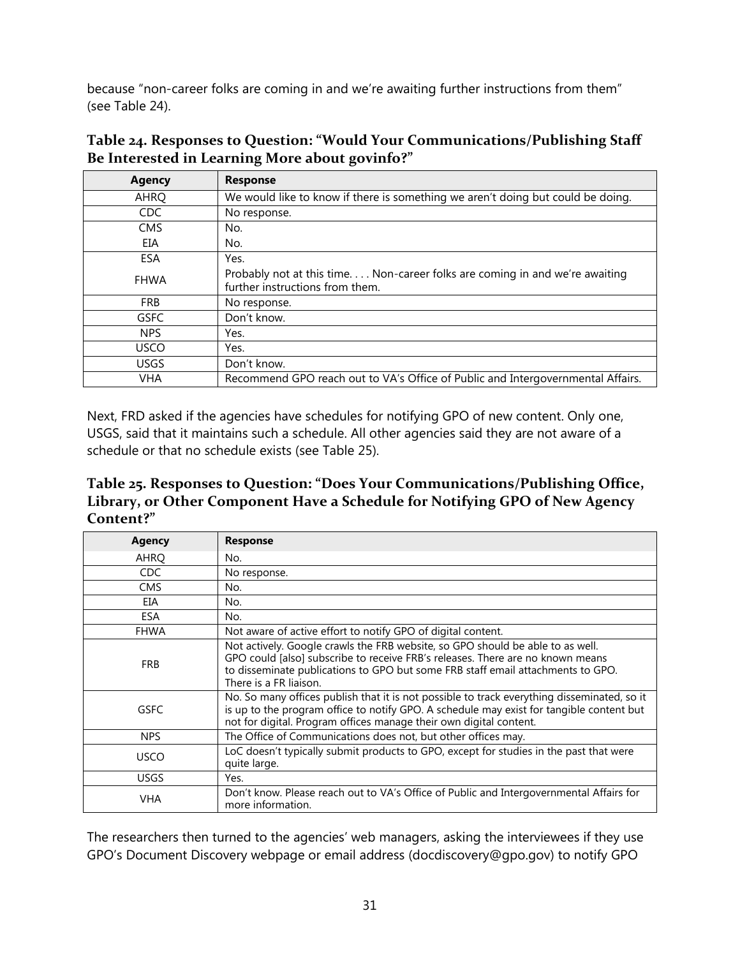because "non-career folks are coming in and we're awaiting further instructions from them" (see Table 24).

| <b>Agency</b> | <b>Response</b>                                                                                                |
|---------------|----------------------------------------------------------------------------------------------------------------|
| AHRQ          | We would like to know if there is something we aren't doing but could be doing.                                |
| CDC           | No response.                                                                                                   |
| <b>CMS</b>    | No.                                                                                                            |
| EIA           | No.                                                                                                            |
| ESA           | Yes.                                                                                                           |
| <b>FHWA</b>   | Probably not at this time Non-career folks are coming in and we're awaiting<br>further instructions from them. |
| <b>FRB</b>    | No response.                                                                                                   |
| <b>GSFC</b>   | Don't know.                                                                                                    |
| <b>NPS</b>    | Yes.                                                                                                           |
| <b>USCO</b>   | Yes.                                                                                                           |
| <b>USGS</b>   | Don't know.                                                                                                    |
| <b>VHA</b>    | Recommend GPO reach out to VA's Office of Public and Intergovernmental Affairs.                                |

<span id="page-35-0"></span>**Table 24. Responses to Question: "Would Your Communications/Publishing Staff Be Interested in Learning More about govinfo?"**

Next, FRD asked if the agencies have schedules for notifying GPO of new content. Only one, USGS, said that it maintains such a schedule. All other agencies said they are not aware of a schedule or that no schedule exists (see Table 25).

<span id="page-35-1"></span>**Table 25. Responses to Question: "Does Your Communications/Publishing Office, Library, or Other Component Have a Schedule for Notifying GPO of New Agency Content?"**

| Agency      | <b>Response</b>                                                                                                                                                                                                                                                               |
|-------------|-------------------------------------------------------------------------------------------------------------------------------------------------------------------------------------------------------------------------------------------------------------------------------|
| AHRO        | No.                                                                                                                                                                                                                                                                           |
| <b>CDC</b>  | No response.                                                                                                                                                                                                                                                                  |
| <b>CMS</b>  | No.                                                                                                                                                                                                                                                                           |
| EIA         | No.                                                                                                                                                                                                                                                                           |
| ESA         | No.                                                                                                                                                                                                                                                                           |
| <b>FHWA</b> | Not aware of active effort to notify GPO of digital content.                                                                                                                                                                                                                  |
| <b>FRB</b>  | Not actively. Google crawls the FRB website, so GPO should be able to as well.<br>GPO could [also] subscribe to receive FRB's releases. There are no known means<br>to disseminate publications to GPO but some FRB staff email attachments to GPO.<br>There is a FR liaison. |
| <b>GSFC</b> | No. So many offices publish that it is not possible to track everything disseminated, so it<br>is up to the program office to notify GPO. A schedule may exist for tangible content but<br>not for digital. Program offices manage their own digital content.                 |
| <b>NPS</b>  | The Office of Communications does not, but other offices may.                                                                                                                                                                                                                 |
| <b>USCO</b> | LoC doesn't typically submit products to GPO, except for studies in the past that were<br>quite large.                                                                                                                                                                        |
| <b>USGS</b> | Yes.                                                                                                                                                                                                                                                                          |
| <b>VHA</b>  | Don't know. Please reach out to VA's Office of Public and Intergovernmental Affairs for<br>more information.                                                                                                                                                                  |

The researchers then turned to the agencies' web managers, asking the interviewees if they use GPO's Document Discovery webpage or email address (docdiscovery@gpo.gov) to notify GPO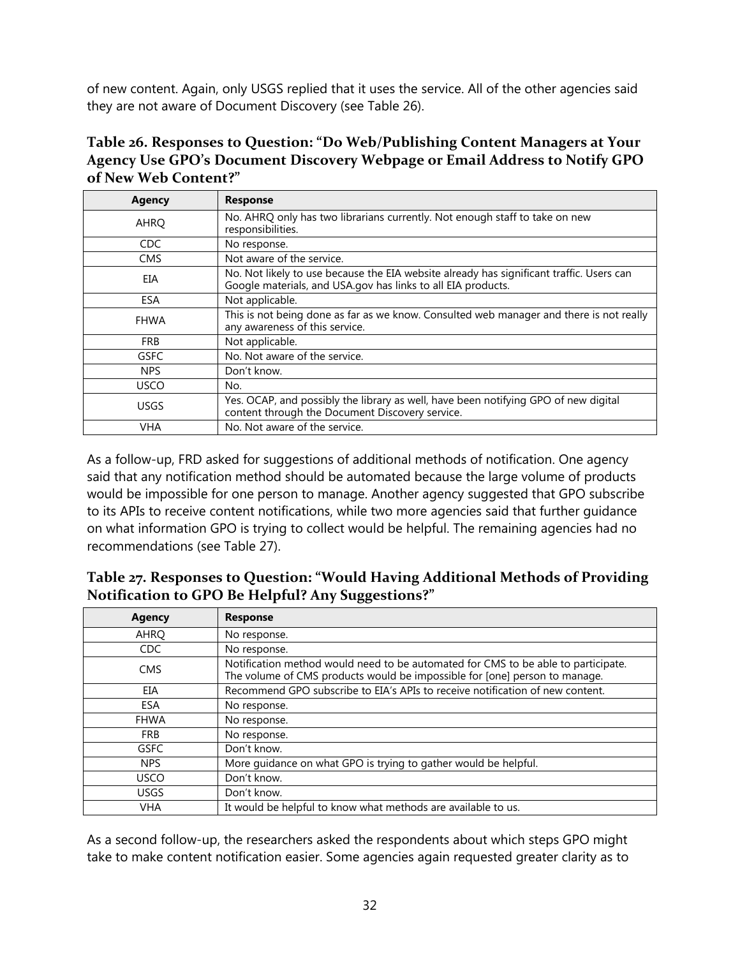of new content. Again, only USGS replied that it uses the service. All of the other agencies said they are not aware of Document Discovery (see Table 26).

<span id="page-36-0"></span>

| Table 26. Responses to Question: "Do Web/Publishing Content Managers at Your |
|------------------------------------------------------------------------------|
| Agency Use GPO's Document Discovery Webpage or Email Address to Notify GPO   |
| of New Web Content?"                                                         |

| <b>Agency</b> | <b>Response</b>                                                                                                                                          |
|---------------|----------------------------------------------------------------------------------------------------------------------------------------------------------|
| AHRQ          | No. AHRQ only has two librarians currently. Not enough staff to take on new<br>responsibilities.                                                         |
| CDC.          | No response.                                                                                                                                             |
| <b>CMS</b>    | Not aware of the service.                                                                                                                                |
| EIA           | No. Not likely to use because the EIA website already has significant traffic. Users can<br>Google materials, and USA.gov has links to all EIA products. |
| ESA           | Not applicable.                                                                                                                                          |
| <b>FHWA</b>   | This is not being done as far as we know. Consulted web manager and there is not really<br>any awareness of this service.                                |
| <b>FRB</b>    | Not applicable.                                                                                                                                          |
| <b>GSFC</b>   | No. Not aware of the service.                                                                                                                            |
| <b>NPS</b>    | Don't know.                                                                                                                                              |
| <b>USCO</b>   | No.                                                                                                                                                      |
| <b>USGS</b>   | Yes. OCAP, and possibly the library as well, have been notifying GPO of new digital<br>content through the Document Discovery service.                   |
| VHA           | No. Not aware of the service.                                                                                                                            |

As a follow-up, FRD asked for suggestions of additional methods of notification. One agency said that any notification method should be automated because the large volume of products would be impossible for one person to manage. Another agency suggested that GPO subscribe to its APIs to receive content notifications, while two more agencies said that further guidance on what information GPO is trying to collect would be helpful. The remaining agencies had no recommendations (see Table 27).

| <b>Agency</b> | <b>Response</b>                                                                                                                                                 |
|---------------|-----------------------------------------------------------------------------------------------------------------------------------------------------------------|
| <b>AHRO</b>   | No response.                                                                                                                                                    |
| <b>CDC</b>    | No response.                                                                                                                                                    |
| <b>CMS</b>    | Notification method would need to be automated for CMS to be able to participate.<br>The volume of CMS products would be impossible for [one] person to manage. |
| EIA           | Recommend GPO subscribe to EIA's APIs to receive notification of new content.                                                                                   |
| <b>ESA</b>    | No response.                                                                                                                                                    |
| <b>FHWA</b>   | No response.                                                                                                                                                    |
| <b>FRB</b>    | No response.                                                                                                                                                    |
| <b>GSFC</b>   | Don't know.                                                                                                                                                     |
| <b>NPS</b>    | More quidance on what GPO is trying to gather would be helpful.                                                                                                 |
| USCO          | Don't know.                                                                                                                                                     |
| <b>USGS</b>   | Don't know.                                                                                                                                                     |
| <b>VHA</b>    | It would be helpful to know what methods are available to us.                                                                                                   |

<span id="page-36-1"></span>

| Table 27. Responses to Question: "Would Having Additional Methods of Providing |
|--------------------------------------------------------------------------------|
| Notification to GPO Be Helpful? Any Suggestions?"                              |

As a second follow-up, the researchers asked the respondents about which steps GPO might take to make content notification easier. Some agencies again requested greater clarity as to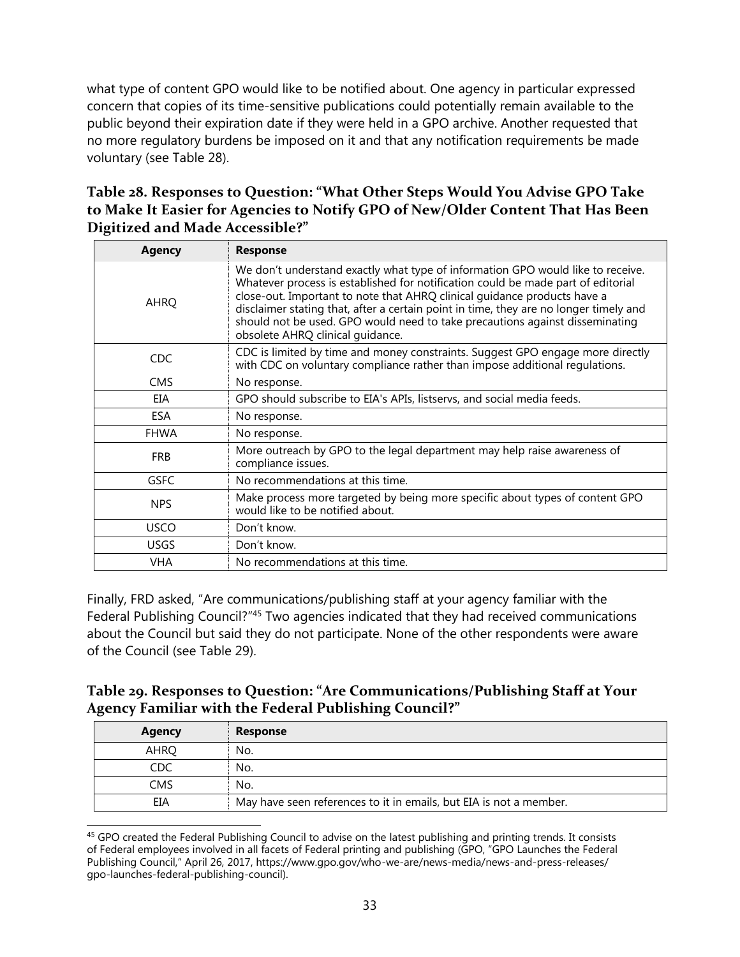what type of content GPO would like to be notified about. One agency in particular expressed concern that copies of its time-sensitive publications could potentially remain available to the public beyond their expiration date if they were held in a GPO archive. Another requested that no more regulatory burdens be imposed on it and that any notification requirements be made voluntary (see Table 28).

### <span id="page-37-0"></span>**Table 28. Responses to Question: "What Other Steps Would You Advise GPO Take to Make It Easier for Agencies to Notify GPO of New/Older Content That Has Been Digitized and Made Accessible?"**

| <b>Agency</b> | <b>Response</b>                                                                                                                                                                                                                                                                                                                                                                                                                                              |
|---------------|--------------------------------------------------------------------------------------------------------------------------------------------------------------------------------------------------------------------------------------------------------------------------------------------------------------------------------------------------------------------------------------------------------------------------------------------------------------|
| AHRQ          | We don't understand exactly what type of information GPO would like to receive.<br>Whatever process is established for notification could be made part of editorial<br>close-out. Important to note that AHRQ clinical quidance products have a<br>disclaimer stating that, after a certain point in time, they are no longer timely and<br>should not be used. GPO would need to take precautions against disseminating<br>obsolete AHRQ clinical quidance. |
| <b>CDC</b>    | CDC is limited by time and money constraints. Suggest GPO engage more directly<br>with CDC on voluntary compliance rather than impose additional requlations.                                                                                                                                                                                                                                                                                                |
| <b>CMS</b>    | No response.                                                                                                                                                                                                                                                                                                                                                                                                                                                 |
| EIA           | GPO should subscribe to EIA's APIs, listservs, and social media feeds.                                                                                                                                                                                                                                                                                                                                                                                       |
| <b>ESA</b>    | No response.                                                                                                                                                                                                                                                                                                                                                                                                                                                 |
| <b>FHWA</b>   | No response.                                                                                                                                                                                                                                                                                                                                                                                                                                                 |
| <b>FRB</b>    | More outreach by GPO to the legal department may help raise awareness of<br>compliance issues.                                                                                                                                                                                                                                                                                                                                                               |
| <b>GSFC</b>   | No recommendations at this time.                                                                                                                                                                                                                                                                                                                                                                                                                             |
| <b>NPS</b>    | Make process more targeted by being more specific about types of content GPO<br>would like to be notified about.                                                                                                                                                                                                                                                                                                                                             |
| <b>USCO</b>   | Don't know.                                                                                                                                                                                                                                                                                                                                                                                                                                                  |
| <b>USGS</b>   | Don't know.                                                                                                                                                                                                                                                                                                                                                                                                                                                  |
| <b>VHA</b>    | No recommendations at this time.                                                                                                                                                                                                                                                                                                                                                                                                                             |

Finally, FRD asked, "Are communications/publishing staff at your agency familiar with the Federal Publishing Council?"<sup>45</sup> Two agencies indicated that they had received communications about the Council but said they do not participate. None of the other respondents were aware of the Council (see Table 29).

#### <span id="page-37-1"></span>**Table 29. Responses to Question: "Are Communications/Publishing Staff at Your Agency Familiar with the Federal Publishing Council?"**

| Agency | <b>Response</b>                                                    |
|--------|--------------------------------------------------------------------|
| AHRO   | No.                                                                |
| CDC    | No.                                                                |
| CMS    | No.                                                                |
| EIA    | May have seen references to it in emails, but EIA is not a member. |

 $\overline{\phantom{a}}$ <sup>45</sup> GPO created the Federal Publishing Council to advise on the latest publishing and printing trends. It consists of Federal employees involved in all facets of Federal printing and publishing (GPO, "GPO Launches the Federal Publishing Council," April 26, 2017, https://www.gpo.gov/who-we-are/news-media/news-and-press-releases/ gpo-launches-federal-publishing-council).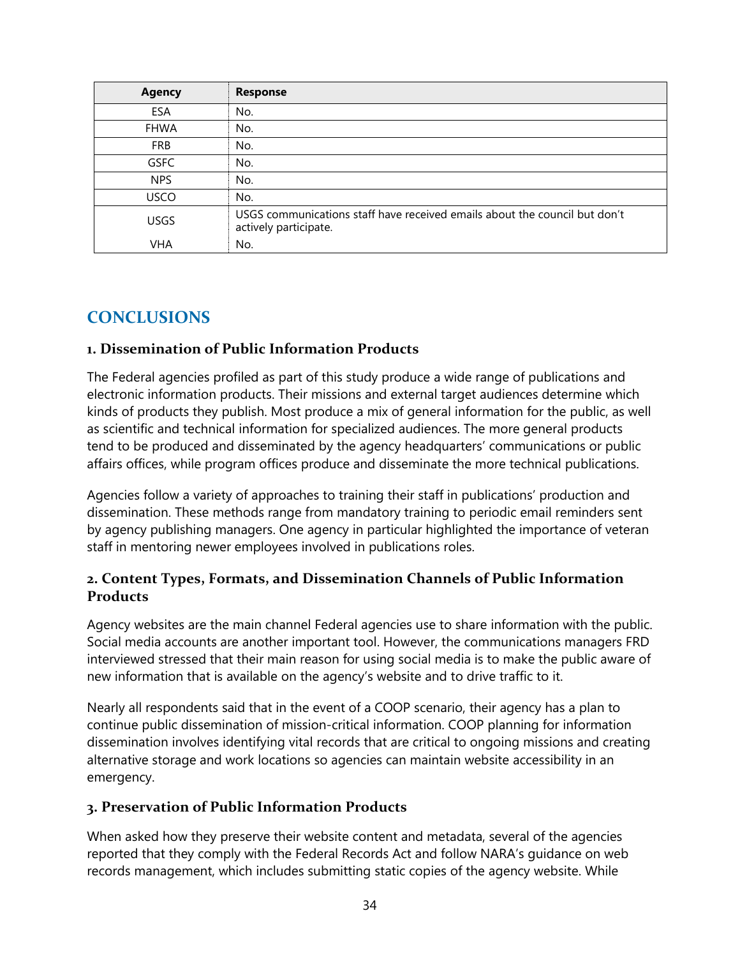| <b>Agency</b> | <b>Response</b>                                                                                     |
|---------------|-----------------------------------------------------------------------------------------------------|
| ESA           | No.                                                                                                 |
| <b>FHWA</b>   | No.                                                                                                 |
| <b>FRB</b>    | No.                                                                                                 |
| <b>GSFC</b>   | No.                                                                                                 |
| <b>NPS</b>    | No.                                                                                                 |
| <b>USCO</b>   | No.                                                                                                 |
| <b>USGS</b>   | USGS communications staff have received emails about the council but don't<br>actively participate. |
| VHA           | No.                                                                                                 |

# <span id="page-38-0"></span>**CONCLUSIONS**

#### <span id="page-38-1"></span>**1. Dissemination of Public Information Products**

The Federal agencies profiled as part of this study produce a wide range of publications and electronic information products. Their missions and external target audiences determine which kinds of products they publish. Most produce a mix of general information for the public, as well as scientific and technical information for specialized audiences. The more general products tend to be produced and disseminated by the agency headquarters' communications or public affairs offices, while program offices produce and disseminate the more technical publications.

Agencies follow a variety of approaches to training their staff in publications' production and dissemination. These methods range from mandatory training to periodic email reminders sent by agency publishing managers. One agency in particular highlighted the importance of veteran staff in mentoring newer employees involved in publications roles.

#### <span id="page-38-2"></span>**2. Content Types, Formats, and Dissemination Channels of Public Information Products**

Agency websites are the main channel Federal agencies use to share information with the public. Social media accounts are another important tool. However, the communications managers FRD interviewed stressed that their main reason for using social media is to make the public aware of new information that is available on the agency's website and to drive traffic to it.

Nearly all respondents said that in the event of a COOP scenario, their agency has a plan to continue public dissemination of mission-critical information. COOP planning for information dissemination involves identifying vital records that are critical to ongoing missions and creating alternative storage and work locations so agencies can maintain website accessibility in an emergency.

#### <span id="page-38-3"></span>**3. Preservation of Public Information Products**

When asked how they preserve their website content and metadata, several of the agencies reported that they comply with the Federal Records Act and follow NARA's guidance on web records management, which includes submitting static copies of the agency website. While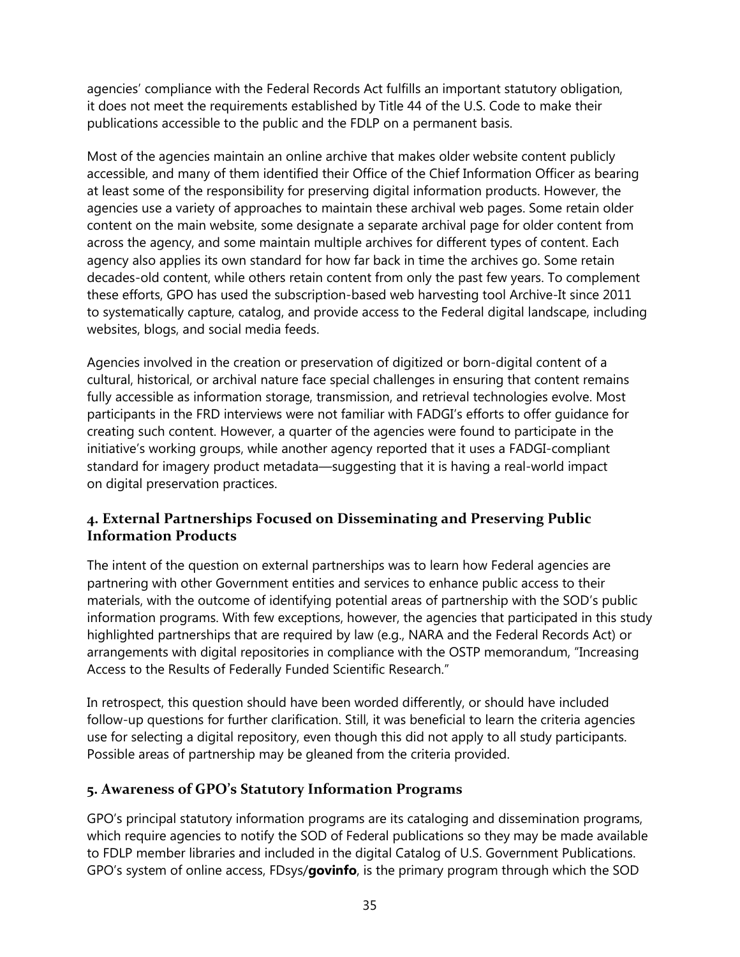agencies' compliance with the Federal Records Act fulfills an important statutory obligation, it does not meet the requirements established by Title 44 of the U.S. Code to make their publications accessible to the public and the FDLP on a permanent basis.

Most of the agencies maintain an online archive that makes older website content publicly accessible, and many of them identified their Office of the Chief Information Officer as bearing at least some of the responsibility for preserving digital information products. However, the agencies use a variety of approaches to maintain these archival web pages. Some retain older content on the main website, some designate a separate archival page for older content from across the agency, and some maintain multiple archives for different types of content. Each agency also applies its own standard for how far back in time the archives go. Some retain decades-old content, while others retain content from only the past few years. To complement these efforts, GPO has used the subscription-based web harvesting tool Archive-It since 2011 to systematically capture, catalog, and provide access to the Federal digital landscape, including websites, blogs, and social media feeds.

Agencies involved in the creation or preservation of digitized or born-digital content of a cultural, historical, or archival nature face special challenges in ensuring that content remains fully accessible as information storage, transmission, and retrieval technologies evolve. Most participants in the FRD interviews were not familiar with FADGI's efforts to offer guidance for creating such content. However, a quarter of the agencies were found to participate in the initiative's working groups, while another agency reported that it uses a FADGI-compliant standard for imagery product metadata—suggesting that it is having a real-world impact on digital preservation practices.

### <span id="page-39-0"></span>**4. External Partnerships Focused on Disseminating and Preserving Public Information Products**

The intent of the question on external partnerships was to learn how Federal agencies are partnering with other Government entities and services to enhance public access to their materials, with the outcome of identifying potential areas of partnership with the SOD's public information programs. With few exceptions, however, the agencies that participated in this study highlighted partnerships that are required by law (e.g., NARA and the Federal Records Act) or arrangements with digital repositories in compliance with the OSTP memorandum, "Increasing Access to the Results of Federally Funded Scientific Research."

In retrospect, this question should have been worded differently, or should have included follow-up questions for further clarification. Still, it was beneficial to learn the criteria agencies use for selecting a digital repository, even though this did not apply to all study participants. Possible areas of partnership may be gleaned from the criteria provided.

#### <span id="page-39-1"></span>**5. Awareness of GPO's Statutory Information Programs**

GPO's principal statutory information programs are its cataloging and dissemination programs, which require agencies to notify the SOD of Federal publications so they may be made available to FDLP member libraries and included in the digital Catalog of U.S. Government Publications. GPO's system of online access, FDsys/**govinfo**, is the primary program through which the SOD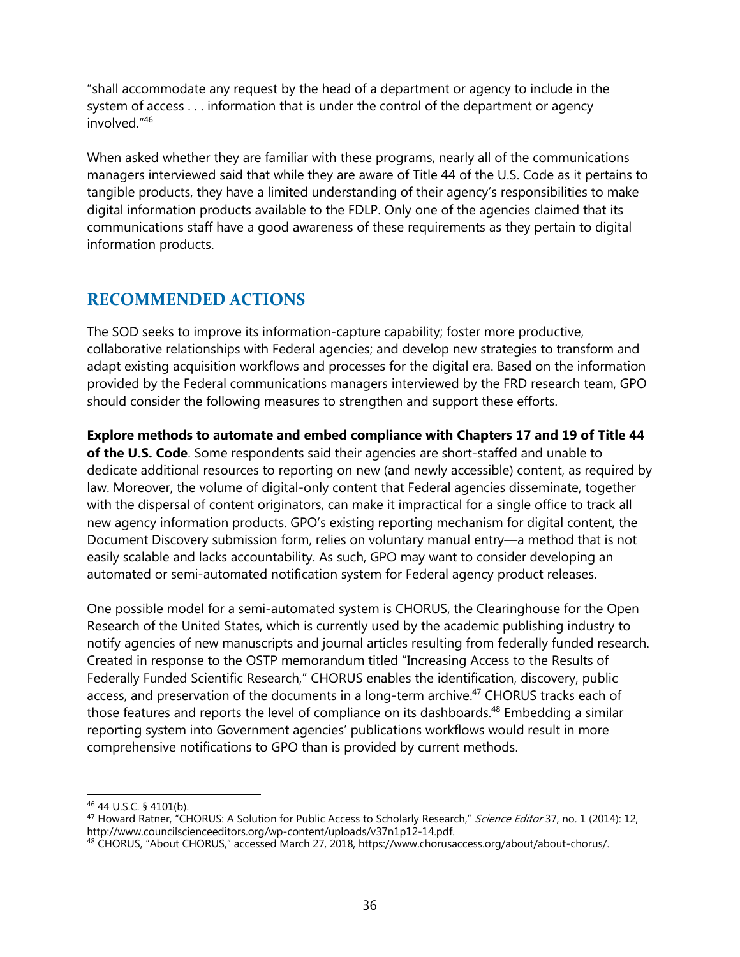"shall accommodate any request by the head of a department or agency to include in the system of access . . . information that is under the control of the department or agency involved." 46

When asked whether they are familiar with these programs, nearly all of the communications managers interviewed said that while they are aware of Title 44 of the U.S. Code as it pertains to tangible products, they have a limited understanding of their agency's responsibilities to make digital information products available to the FDLP. Only one of the agencies claimed that its communications staff have a good awareness of these requirements as they pertain to digital information products.

## <span id="page-40-0"></span>**RECOMMENDED ACTIONS**

The SOD seeks to improve its information-capture capability; foster more productive, collaborative relationships with Federal agencies; and develop new strategies to transform and adapt existing acquisition workflows and processes for the digital era. Based on the information provided by the Federal communications managers interviewed by the FRD research team, GPO should consider the following measures to strengthen and support these efforts.

**Explore methods to automate and embed compliance with Chapters 17 and 19 of Title 44 of the U.S. Code**. Some respondents said their agencies are short-staffed and unable to dedicate additional resources to reporting on new (and newly accessible) content, as required by law. Moreover, the volume of digital-only content that Federal agencies disseminate, together with the dispersal of content originators, can make it impractical for a single office to track all new agency information products. GPO's existing reporting mechanism for digital content, the Document Discovery submission form, relies on voluntary manual entry—a method that is not easily scalable and lacks accountability. As such, GPO may want to consider developing an automated or semi-automated notification system for Federal agency product releases.

One possible model for a semi-automated system is CHORUS, the Clearinghouse for the Open Research of the United States, which is currently used by the academic publishing industry to notify agencies of new manuscripts and journal articles resulting from federally funded research. Created in response to the OSTP memorandum titled "Increasing Access to the Results of Federally Funded Scientific Research," CHORUS enables the identification, discovery, public access, and preservation of the documents in a long-term archive.<sup>47</sup> CHORUS tracks each of those features and reports the level of compliance on its dashboards.<sup>48</sup> Embedding a similar reporting system into Government agencies' publications workflows would result in more comprehensive notifications to GPO than is provided by current methods.

 $\overline{\phantom{a}}$ <sup>46</sup> 44 U.S.C. § 4101(b).

<sup>&</sup>lt;sup>47</sup> Howard Ratner, "CHORUS: A Solution for Public Access to Scholarly Research," Science Editor 37, no. 1 (2014): 12, http://www.councilscienceeditors.org/wp-content/uploads/v37n1p12-14.pdf.

<sup>48</sup> CHORUS, "About CHORUS," accessed March 27, 2018, https://www.chorusaccess.org/about/about-chorus/.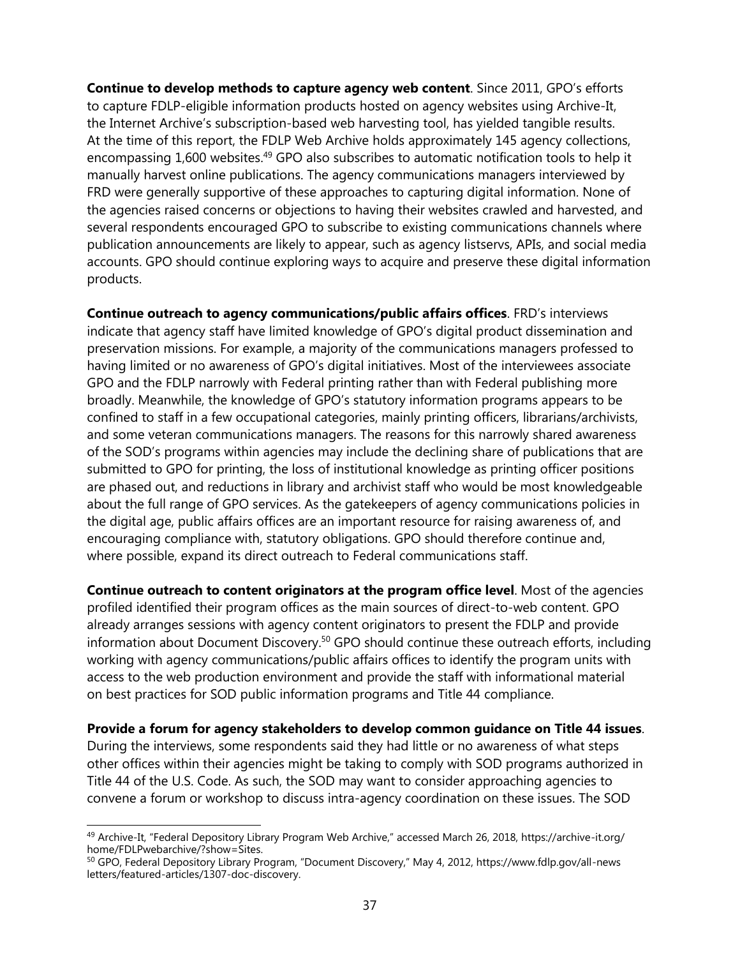**Continue to develop methods to capture agency web content**. Since 2011, GPO's efforts to capture FDLP-eligible information products hosted on agency websites using Archive-It, the Internet Archive's subscription-based web harvesting tool, has yielded tangible results. At the time of this report, the FDLP Web Archive holds approximately 145 agency collections, encompassing 1,600 websites.<sup>49</sup> GPO also subscribes to automatic notification tools to help it manually harvest online publications. The agency communications managers interviewed by FRD were generally supportive of these approaches to capturing digital information. None of the agencies raised concerns or objections to having their websites crawled and harvested, and several respondents encouraged GPO to subscribe to existing communications channels where publication announcements are likely to appear, such as agency listservs, APIs, and social media accounts. GPO should continue exploring ways to acquire and preserve these digital information products.

**Continue outreach to agency communications/public affairs offices**. FRD's interviews indicate that agency staff have limited knowledge of GPO's digital product dissemination and preservation missions. For example, a majority of the communications managers professed to having limited or no awareness of GPO's digital initiatives. Most of the interviewees associate GPO and the FDLP narrowly with Federal printing rather than with Federal publishing more broadly. Meanwhile, the knowledge of GPO's statutory information programs appears to be confined to staff in a few occupational categories, mainly printing officers, librarians/archivists, and some veteran communications managers. The reasons for this narrowly shared awareness of the SOD's programs within agencies may include the declining share of publications that are submitted to GPO for printing, the loss of institutional knowledge as printing officer positions are phased out, and reductions in library and archivist staff who would be most knowledgeable about the full range of GPO services. As the gatekeepers of agency communications policies in the digital age, public affairs offices are an important resource for raising awareness of, and encouraging compliance with, statutory obligations. GPO should therefore continue and, where possible, expand its direct outreach to Federal communications staff.

**Continue outreach to content originators at the program office level**. Most of the agencies profiled identified their program offices as the main sources of direct-to-web content. GPO already arranges sessions with agency content originators to present the FDLP and provide information about Document Discovery.<sup>50</sup> GPO should continue these outreach efforts, including working with agency communications/public affairs offices to identify the program units with access to the web production environment and provide the staff with informational material on best practices for SOD public information programs and Title 44 compliance.

**Provide a forum for agency stakeholders to develop common guidance on Title 44 issues**. During the interviews, some respondents said they had little or no awareness of what steps other offices within their agencies might be taking to comply with SOD programs authorized in Title 44 of the U.S. Code. As such, the SOD may want to consider approaching agencies to convene a forum or workshop to discuss intra-agency coordination on these issues. The SOD

 $\overline{\phantom{a}}$ <sup>49</sup> Archive-It, "Federal Depository Library Program Web Archive," accessed March 26, 2018, https://archive-it.org/ home/FDLPwebarchive/?show=Sites.

<sup>50</sup> GPO, Federal Depository Library Program, "Document Discovery," May 4, 2012, https://www.fdlp.gov/all-news letters/featured-articles/1307-doc-discovery.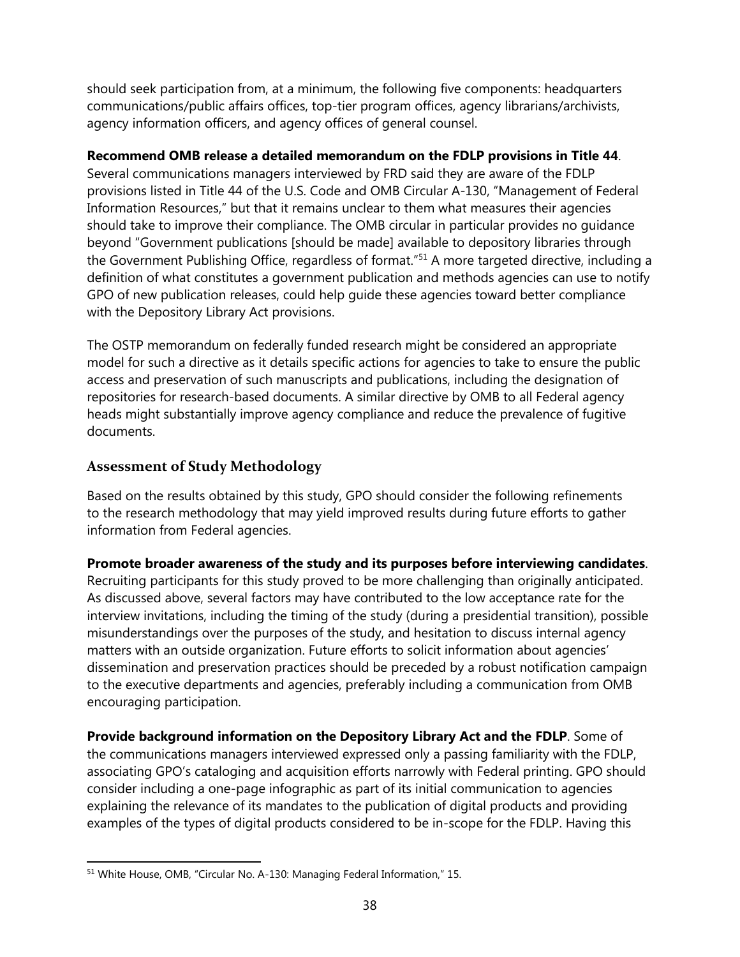should seek participation from, at a minimum, the following five components: headquarters communications/public affairs offices, top-tier program offices, agency librarians/archivists, agency information officers, and agency offices of general counsel.

#### **Recommend OMB release a detailed memorandum on the FDLP provisions in Title 44**.

Several communications managers interviewed by FRD said they are aware of the FDLP provisions listed in Title 44 of the U.S. Code and OMB Circular A-130, "Management of Federal Information Resources," but that it remains unclear to them what measures their agencies should take to improve their compliance. The OMB circular in particular provides no guidance beyond "Government publications [should be made] available to depository libraries through the Government Publishing Office, regardless of format."<sup>51</sup> A more targeted directive, including a definition of what constitutes a government publication and methods agencies can use to notify GPO of new publication releases, could help guide these agencies toward better compliance with the Depository Library Act provisions.

The OSTP memorandum on federally funded research might be considered an appropriate model for such a directive as it details specific actions for agencies to take to ensure the public access and preservation of such manuscripts and publications, including the designation of repositories for research-based documents. A similar directive by OMB to all Federal agency heads might substantially improve agency compliance and reduce the prevalence of fugitive documents.

#### <span id="page-42-0"></span>**Assessment of Study Methodology**

Based on the results obtained by this study, GPO should consider the following refinements to the research methodology that may yield improved results during future efforts to gather information from Federal agencies.

**Promote broader awareness of the study and its purposes before interviewing candidates**. Recruiting participants for this study proved to be more challenging than originally anticipated. As discussed above, several factors may have contributed to the low acceptance rate for the interview invitations, including the timing of the study (during a presidential transition), possible misunderstandings over the purposes of the study, and hesitation to discuss internal agency matters with an outside organization. Future efforts to solicit information about agencies' dissemination and preservation practices should be preceded by a robust notification campaign to the executive departments and agencies, preferably including a communication from OMB encouraging participation.

**Provide background information on the Depository Library Act and the FDLP**. Some of the communications managers interviewed expressed only a passing familiarity with the FDLP, associating GPO's cataloging and acquisition efforts narrowly with Federal printing. GPO should consider including a one-page infographic as part of its initial communication to agencies explaining the relevance of its mandates to the publication of digital products and providing examples of the types of digital products considered to be in-scope for the FDLP. Having this

 $\overline{a}$ <sup>51</sup> White House, OMB, "Circular No. A-130: Managing Federal Information," 15.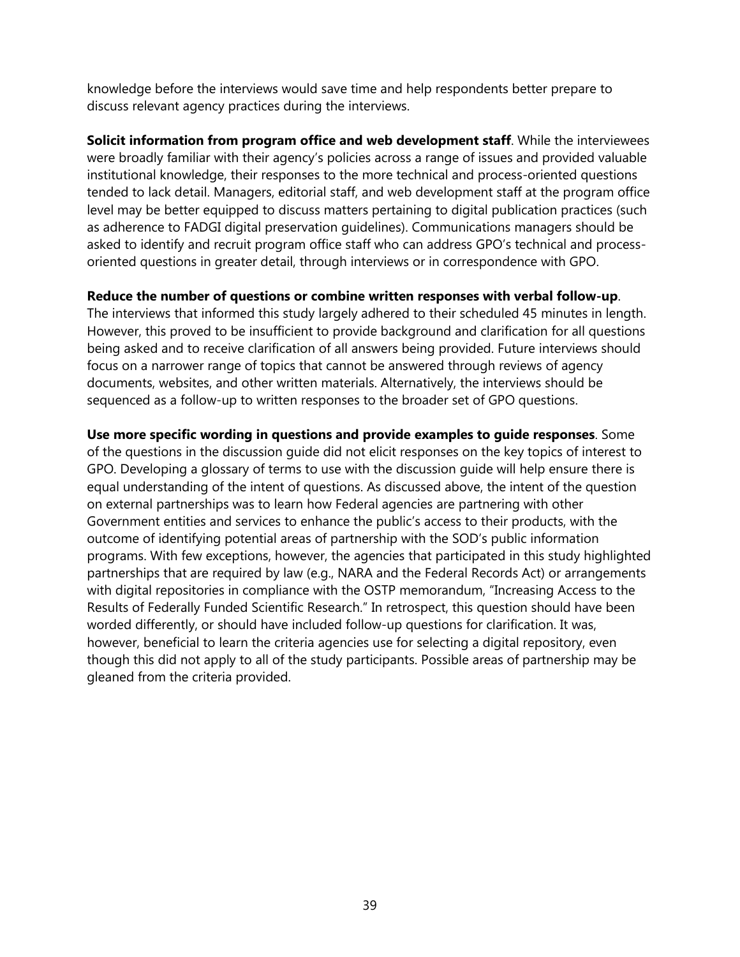knowledge before the interviews would save time and help respondents better prepare to discuss relevant agency practices during the interviews.

**Solicit information from program office and web development staff**. While the interviewees were broadly familiar with their agency's policies across a range of issues and provided valuable institutional knowledge, their responses to the more technical and process-oriented questions tended to lack detail. Managers, editorial staff, and web development staff at the program office level may be better equipped to discuss matters pertaining to digital publication practices (such as adherence to FADGI digital preservation guidelines). Communications managers should be asked to identify and recruit program office staff who can address GPO's technical and processoriented questions in greater detail, through interviews or in correspondence with GPO.

#### **Reduce the number of questions or combine written responses with verbal follow-up**.

The interviews that informed this study largely adhered to their scheduled 45 minutes in length. However, this proved to be insufficient to provide background and clarification for all questions being asked and to receive clarification of all answers being provided. Future interviews should focus on a narrower range of topics that cannot be answered through reviews of agency documents, websites, and other written materials. Alternatively, the interviews should be sequenced as a follow-up to written responses to the broader set of GPO questions.

<span id="page-43-0"></span>**Use more specific wording in questions and provide examples to guide responses**. Some of the questions in the discussion guide did not elicit responses on the key topics of interest to GPO. Developing a glossary of terms to use with the discussion guide will help ensure there is equal understanding of the intent of questions. As discussed above, the intent of the question on external partnerships was to learn how Federal agencies are partnering with other Government entities and services to enhance the public's access to their products, with the outcome of identifying potential areas of partnership with the SOD's public information programs. With few exceptions, however, the agencies that participated in this study highlighted partnerships that are required by law (e.g., NARA and the Federal Records Act) or arrangements with digital repositories in compliance with the OSTP memorandum, "Increasing Access to the Results of Federally Funded Scientific Research." In retrospect, this question should have been worded differently, or should have included follow-up questions for clarification. It was, however, beneficial to learn the criteria agencies use for selecting a digital repository, even though this did not apply to all of the study participants. Possible areas of partnership may be gleaned from the criteria provided.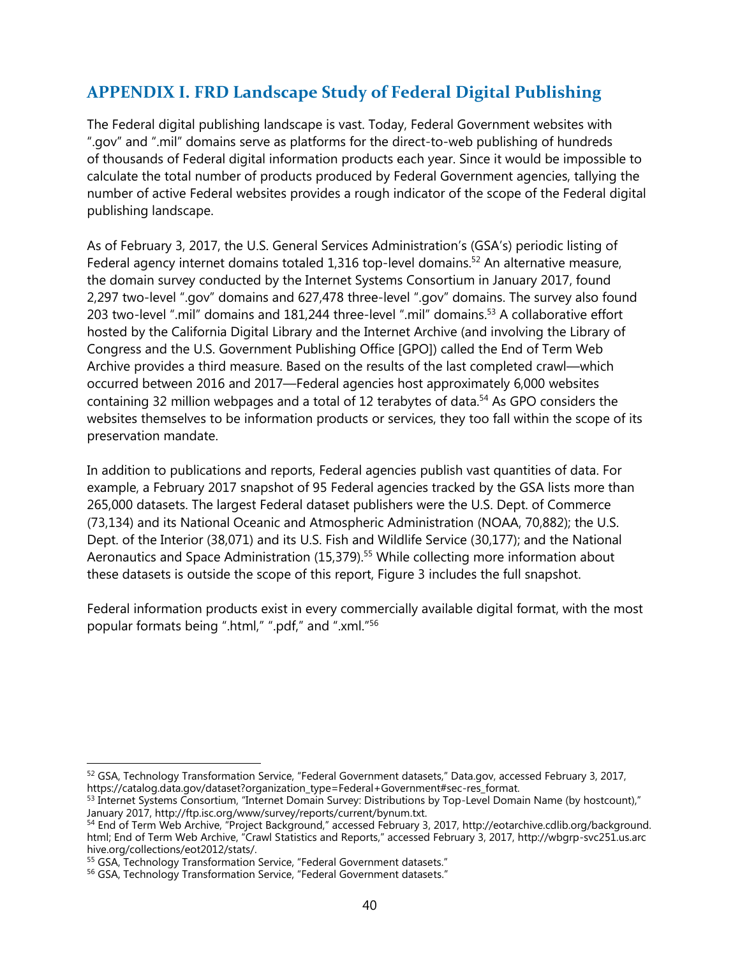# **APPENDIX I. FRD Landscape Study of Federal Digital Publishing**

The Federal digital publishing landscape is vast. Today, Federal Government websites with ".gov" and ".mil" domains serve as platforms for the direct-to-web publishing of hundreds of thousands of Federal digital information products each year. Since it would be impossible to calculate the total number of products produced by Federal Government agencies, tallying the number of active Federal websites provides a rough indicator of the scope of the Federal digital publishing landscape.

As of February 3, 2017, the U.S. General Services Administration's (GSA's) periodic listing of Federal agency internet domains totaled 1,316 top-level domains.<sup>52</sup> An alternative measure, the domain survey conducted by the Internet Systems Consortium in January 2017, found 2,297 two-level ".gov" domains and 627,478 three-level ".gov" domains. The survey also found 203 two-level ".mil" domains and 181,244 three-level ".mil" domains.<sup>53</sup> A collaborative effort hosted by the California Digital Library and the Internet Archive (and involving the Library of Congress and the U.S. Government Publishing Office [GPO]) called the End of Term Web Archive provides a third measure. Based on the results of the last completed crawl—which occurred between 2016 and 2017—Federal agencies host approximately 6,000 websites containing 32 million webpages and a total of 12 terabytes of data.<sup>54</sup> As GPO considers the websites themselves to be information products or services, they too fall within the scope of its preservation mandate.

In addition to publications and reports, Federal agencies publish vast quantities of data. For example, a February 2017 snapshot of 95 Federal agencies tracked by the GSA lists more than 265,000 datasets. The largest Federal dataset publishers were the U.S. Dept. of Commerce (73,134) and its National Oceanic and Atmospheric Administration (NOAA, 70,882); the U.S. Dept. of the Interior (38,071) and its U.S. Fish and Wildlife Service (30,177); and the National Aeronautics and Space Administration (15,379).<sup>55</sup> While collecting more information about these datasets is outside the scope of this report, Figure 3 includes the full snapshot.

Federal information products exist in every commercially available digital format, with the most popular formats being ".html," ".pdf," and ".xml." 56

 $\overline{\phantom{a}}$ <sup>52</sup> GSA, Technology Transformation Service, "Federal Government datasets," Data.gov, accessed February 3, 2017, https://catalog.data.gov/dataset?organization\_type=Federal+Government#sec-res\_format.

<sup>53</sup> Internet Systems Consortium, "Internet Domain Survey: Distributions by Top-Level Domain Name (by hostcount)," January 2017, http://ftp.isc.org/www/survey/reports/current/bynum.txt.

<sup>54</sup> End of Term Web Archive, "Project Background," accessed February 3, 2017, http://eotarchive.cdlib.org/background. html; End of Term Web Archive, "Crawl Statistics and Reports," accessed February 3, 2017, http://wbgrp-svc251.us.arc hive.org/collections/eot2012/stats/.

<sup>&</sup>lt;sup>55</sup> GSA, Technology Transformation Service, "Federal Government datasets."

<sup>56</sup> GSA, Technology Transformation Service, "Federal Government datasets."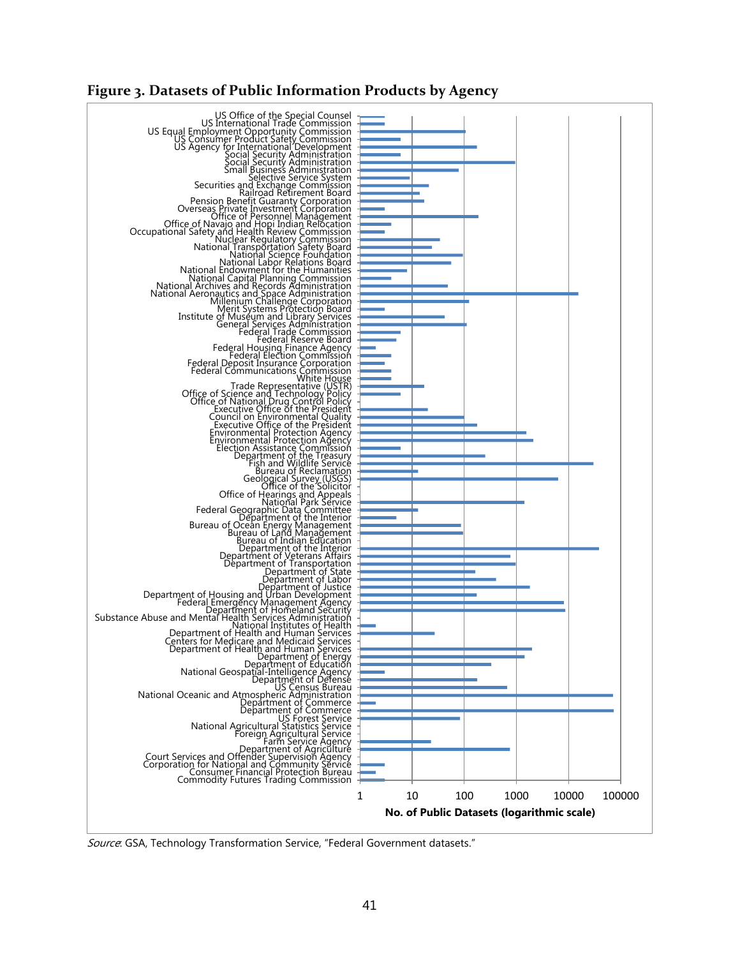#### <span id="page-45-0"></span>**Figure 3. Datasets of Public Information Products by Agency**



Source: GSA, Technology Transformation Service, "Federal Government datasets."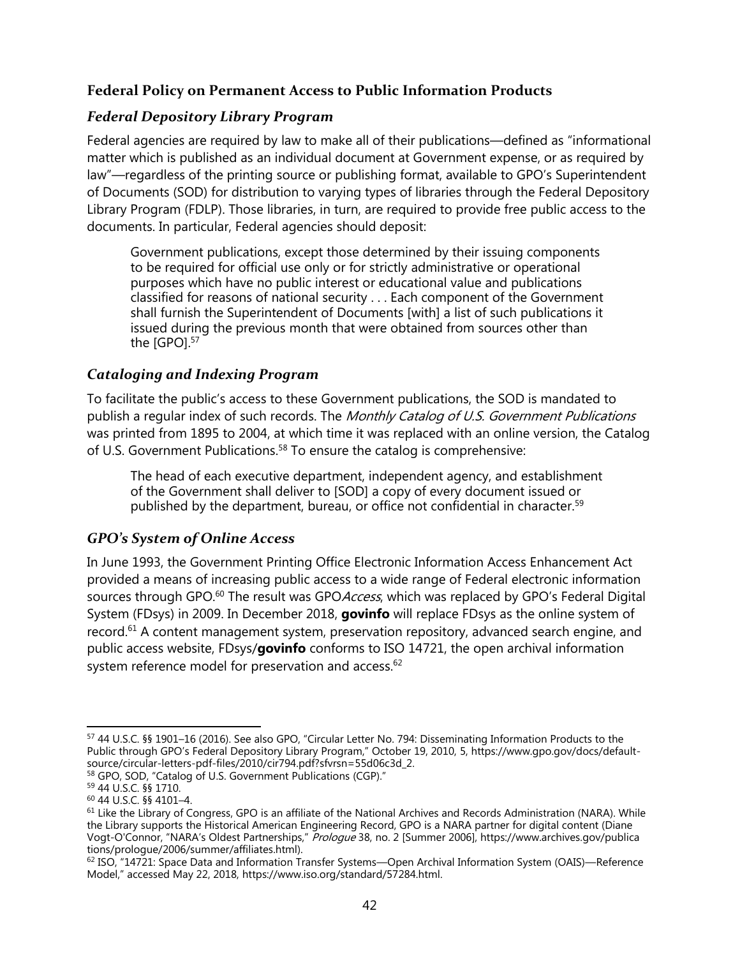### **Federal Policy on Permanent Access to Public Information Products**

#### *Federal Depository Library Program*

Federal agencies are required by law to make all of their publications—defined as "informational matter which is published as an individual document at Government expense, or as required by law"—regardless of the printing source or publishing format, available to GPO's Superintendent of Documents (SOD) for distribution to varying types of libraries through the Federal Depository Library Program (FDLP). Those libraries, in turn, are required to provide free public access to the documents. In particular, Federal agencies should deposit:

Government publications, except those determined by their issuing components to be required for official use only or for strictly administrative or operational purposes which have no public interest or educational value and publications classified for reasons of national security . . . Each component of the Government shall furnish the Superintendent of Documents [with] a list of such publications it issued during the previous month that were obtained from sources other than the [GPO].<sup>57</sup>

#### *Cataloging and Indexing Program*

To facilitate the public's access to these Government publications, the SOD is mandated to publish a regular index of such records. The Monthly Catalog of U.S. Government Publications was printed from 1895 to 2004, at which time it was replaced with an online version, the Catalog of U.S. Government Publications.<sup>58</sup> To ensure the catalog is comprehensive:

The head of each executive department, independent agency, and establishment of the Government shall deliver to [SOD] a copy of every document issued or published by the department, bureau, or office not confidential in character.<sup>59</sup>

#### *GPO's System of Online Access*

In June 1993, the Government Printing Office Electronic Information Access Enhancement Act provided a means of increasing public access to a wide range of Federal electronic information sources through GPO.<sup>60</sup> The result was GPO *Access*, which was replaced by GPO's Federal Digital System (FDsys) in 2009. In December 2018, **govinfo** will replace FDsys as the online system of record.<sup>61</sup> A content management system, preservation repository, advanced search engine, and public access website, FDsys/**govinfo** conforms to ISO 14721, the open archival information system reference model for preservation and access.<sup>62</sup>

 $\overline{a}$ <sup>57</sup> 44 U.S.C. §§ 1901–16 (2016). See also GPO, "Circular Letter No. 794: Disseminating Information Products to the Public through GPO's Federal Depository Library Program," October 19, 2010, 5, https://www.gpo.gov/docs/defaultsource/circular-letters-pdf-files/2010/cir794.pdf?sfvrsn=55d06c3d\_2.

<sup>58</sup> GPO, SOD, "Catalog of U.S. Government Publications (CGP)."

<sup>59</sup> 44 U.S.C. §§ 1710.

<sup>60</sup> 44 U.S.C. §§ 4101–4.

 $61$  Like the Library of Congress, GPO is an affiliate of the National Archives and Records Administration (NARA). While the Library supports the Historical American Engineering Record, GPO is a NARA partner for digital content (Diane Vogt-O'Connor, "NARA's Oldest Partnerships," Prologue 38, no. 2 [Summer 2006], https://www.archives.gov/publica tions/prologue/2006/summer/affiliates.html).

<sup>62</sup> ISO, "14721: Space Data and Information Transfer Systems—Open Archival Information System (OAIS)—Reference Model," accessed May 22, 2018, https://www.iso.org/standard/57284.html.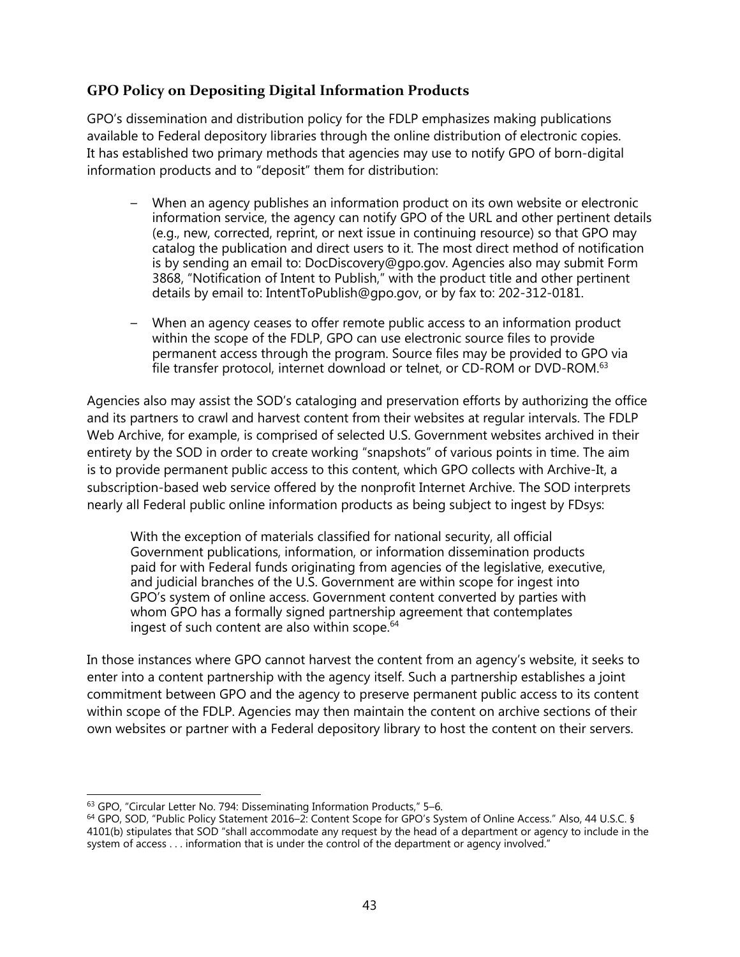#### **GPO Policy on Depositing Digital Information Products**

GPO's dissemination and distribution policy for the FDLP emphasizes making publications available to Federal depository libraries through the online distribution of electronic copies. It has established two primary methods that agencies may use to notify GPO of born-digital information products and to "deposit" them for distribution:

- When an agency publishes an information product on its own website or electronic information service, the agency can notify GPO of the URL and other pertinent details (e.g., new, corrected, reprint, or next issue in continuing resource) so that GPO may catalog the publication and direct users to it. The most direct method of notification is by sending an email to: DocDiscovery@gpo.gov. Agencies also may submit Form 3868, "Notification of Intent to Publish," with the product title and other pertinent details by email to: IntentToPublish@gpo.gov, or by fax to: 202-312-0181.
- When an agency ceases to offer remote public access to an information product within the scope of the FDLP, GPO can use electronic source files to provide permanent access through the program. Source files may be provided to GPO via file transfer protocol, internet download or telnet, or CD-ROM or DVD-ROM.<sup>63</sup>

Agencies also may assist the SOD's cataloging and preservation efforts by authorizing the office and its partners to crawl and harvest content from their websites at regular intervals. The FDLP Web Archive, for example, is comprised of selected U.S. Government websites archived in their entirety by the SOD in order to create working "snapshots" of various points in time. The aim is to provide permanent public access to this content, which GPO collects with Archive-It, a subscription-based web service offered by the nonprofit Internet Archive. The SOD interprets nearly all Federal public online information products as being subject to ingest by FDsys:

With the exception of materials classified for national security, all official Government publications, information, or information dissemination products paid for with Federal funds originating from agencies of the legislative, executive, and judicial branches of the U.S. Government are within scope for ingest into GPO's system of online access. Government content converted by parties with whom GPO has a formally signed partnership agreement that contemplates ingest of such content are also within scope.<sup>64</sup>

In those instances where GPO cannot harvest the content from an agency's website, it seeks to enter into a content partnership with the agency itself. Such a partnership establishes a joint commitment between GPO and the agency to preserve permanent public access to its content within scope of the FDLP. Agencies may then maintain the content on archive sections of their own websites or partner with a Federal depository library to host the content on their servers.

 $\overline{\phantom{a}}$ 63 GPO, "Circular Letter No. 794: Disseminating Information Products," 5-6.

<sup>64</sup> GPO, SOD, "Public Policy Statement 2016–2: Content Scope for GPO's System of Online Access." Also, 44 U.S.C. § 4101(b) stipulates that SOD "shall accommodate any request by the head of a department or agency to include in the system of access . . . information that is under the control of the department or agency involved."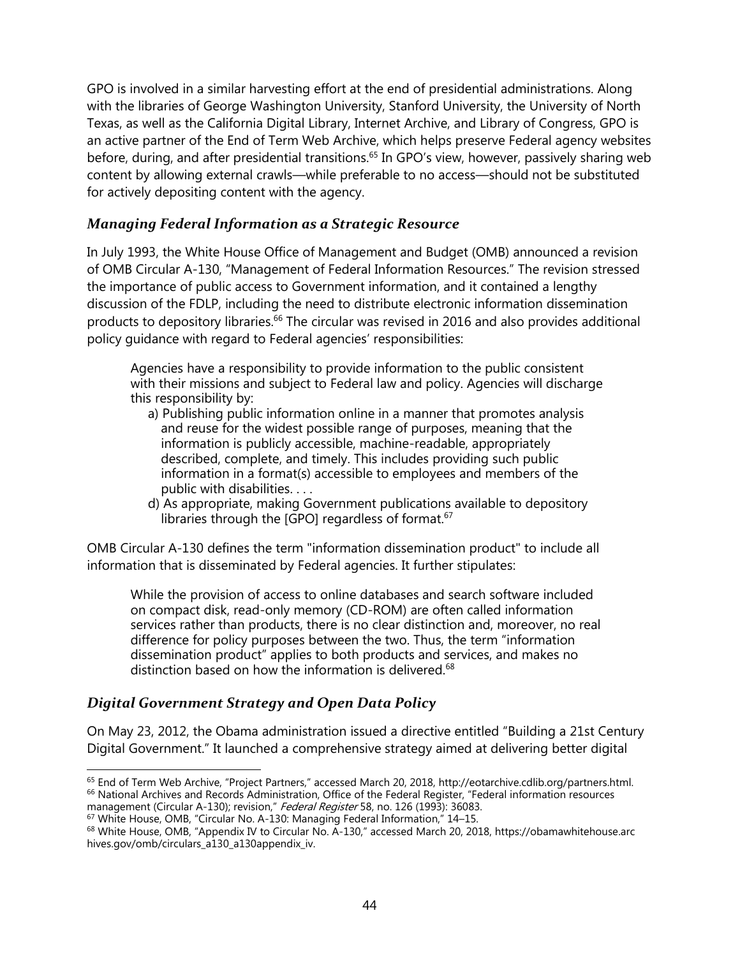GPO is involved in a similar harvesting effort at the end of presidential administrations. Along with the libraries of George Washington University, Stanford University, the University of North Texas, as well as the California Digital Library, Internet Archive, and Library of Congress, GPO is an active partner of the End of Term Web Archive, which helps preserve Federal agency websites before, during, and after presidential transitions.<sup>65</sup> In GPO's view, however, passively sharing web content by allowing external crawls—while preferable to no access—should not be substituted for actively depositing content with the agency.

#### *Managing Federal Information as a Strategic Resource*

In July 1993, the White House Office of Management and Budget (OMB) announced a revision of OMB Circular A-130, "Management of Federal Information Resources." The revision stressed the importance of public access to Government information, and it contained a lengthy discussion of the FDLP, including the need to distribute electronic information dissemination products to depository libraries.<sup>66</sup> The circular was revised in 2016 and also provides additional policy guidance with regard to Federal agencies' responsibilities:

Agencies have a responsibility to provide information to the public consistent with their missions and subject to Federal law and policy. Agencies will discharge this responsibility by:

- a) Publishing public information online in a manner that promotes analysis and reuse for the widest possible range of purposes, meaning that the information is publicly accessible, machine-readable, appropriately described, complete, and timely. This includes providing such public information in a format(s) accessible to employees and members of the public with disabilities. . . .
- d) As appropriate, making Government publications available to depository libraries through the [GPO] regardless of format.<sup>67</sup>

OMB Circular A-130 defines the term "information dissemination product" to include all information that is disseminated by Federal agencies. It further stipulates:

While the provision of access to online databases and search software included on compact disk, read-only memory (CD-ROM) are often called information services rather than products, there is no clear distinction and, moreover, no real difference for policy purposes between the two. Thus, the term "information dissemination product" applies to both products and services, and makes no distinction based on how the information is delivered.<sup>68</sup>

#### *Digital Government Strategy and Open Data Policy*

On May 23, 2012, the Obama administration issued a directive entitled "Building a 21st Century Digital Government." It launched a comprehensive strategy aimed at delivering better digital

 $\overline{\phantom{a}}$ <sup>65</sup> End of Term Web Archive, "Project Partners," accessed March 20, 2018, http://eotarchive.cdlib.org/partners.html. <sup>66</sup> National Archives and Records Administration, Office of the Federal Register, "Federal information resources management (Circular A-130); revision," Federal Register 58, no. 126 (1993): 36083.

<sup>67</sup> White House, OMB, "Circular No. A-130: Managing Federal Information," 14–15.

<sup>&</sup>lt;sup>68</sup> White House, OMB, "Appendix IV to Circular No. A-130," accessed March 20, 2018, https://obamawhitehouse.arc hives.gov/omb/circulars\_a130\_a130appendix\_iv.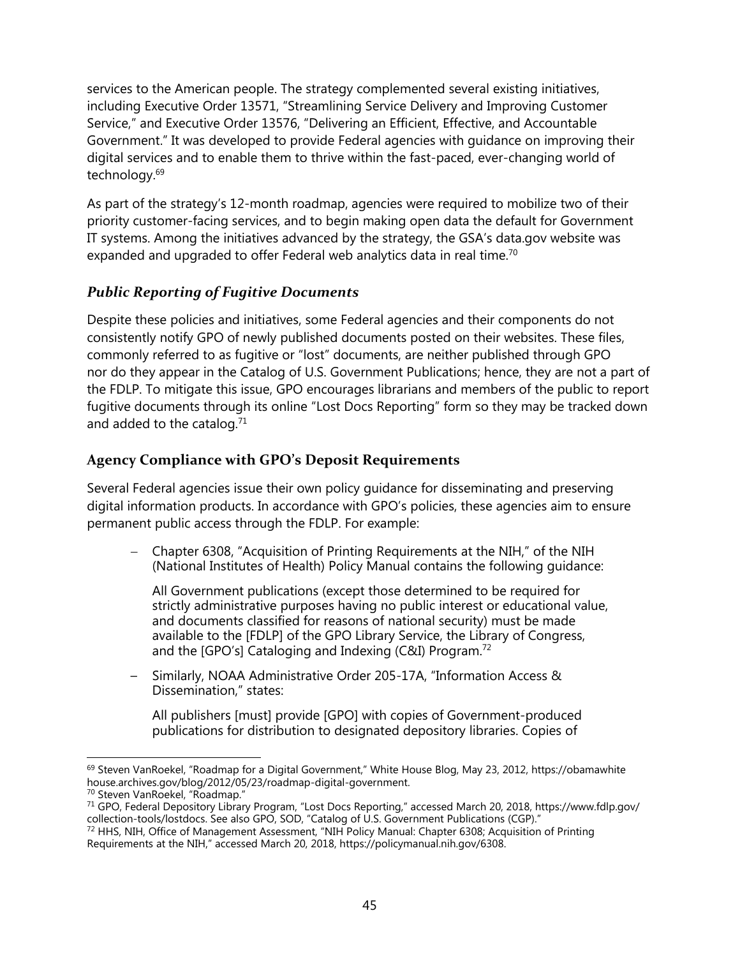services to the American people. The strategy complemented several existing initiatives, including Executive Order 13571, "Streamlining Service Delivery and Improving Customer Service," and Executive Order 13576, "Delivering an Efficient, Effective, and Accountable Government." It was developed to provide Federal agencies with guidance on improving their digital services and to enable them to thrive within the fast-paced, ever-changing world of technology.<sup>69</sup>

As part of the strategy's 12-month roadmap, agencies were required to mobilize two of their priority customer-facing services, and to begin making open data the default for Government IT systems. Among the initiatives advanced by the strategy, the GSA's data.gov website was expanded and upgraded to offer Federal web analytics data in real time.<sup>70</sup>

#### *Public Reporting of Fugitive Documents*

Despite these policies and initiatives, some Federal agencies and their components do not consistently notify GPO of newly published documents posted on their websites. These files, commonly referred to as fugitive or "lost" documents, are neither published through GPO nor do they appear in the Catalog of U.S. Government Publications; hence, they are not a part of the FDLP. To mitigate this issue, GPO encourages librarians and members of the public to report fugitive documents through its online "Lost Docs Reporting" form so they may be tracked down and added to the catalog. $71$ 

### **Agency Compliance with GPO's Deposit Requirements**

Several Federal agencies issue their own policy guidance for disseminating and preserving digital information products. In accordance with GPO's policies, these agencies aim to ensure permanent public access through the FDLP. For example:

 Chapter 6308, "Acquisition of Printing Requirements at the NIH," of the NIH (National Institutes of Health) Policy Manual contains the following guidance:

All Government publications (except those determined to be required for strictly administrative purposes having no public interest or educational value, and documents classified for reasons of national security) must be made available to the [FDLP] of the GPO Library Service, the Library of Congress, and the [GPO's] Cataloging and Indexing (C&I) Program.<sup>72</sup>

– Similarly, NOAA Administrative Order 205-17A, "Information Access & Dissemination," states:

All publishers [must] provide [GPO] with copies of Government-produced publications for distribution to designated depository libraries. Copies of

l <sup>69</sup> Steven VanRoekel, "Roadmap for a Digital Government," White House Blog, May 23, 2012, https://obamawhite house.archives.gov/blog/2012/05/23/roadmap-digital-government.

<sup>70</sup> Steven VanRoekel, "Roadmap."

<sup>71</sup> GPO, Federal Depository Library Program, "Lost Docs Reporting," accessed March 20, 2018, https://www.fdlp.gov/ collection-tools/lostdocs. See also GPO, SOD, "Catalog of U.S. Government Publications (CGP)."

<sup>72</sup> HHS, NIH, Office of Management Assessment, "NIH Policy Manual: Chapter 6308; Acquisition of Printing Requirements at the NIH," accessed March 20, 2018, https://policymanual.nih.gov/6308.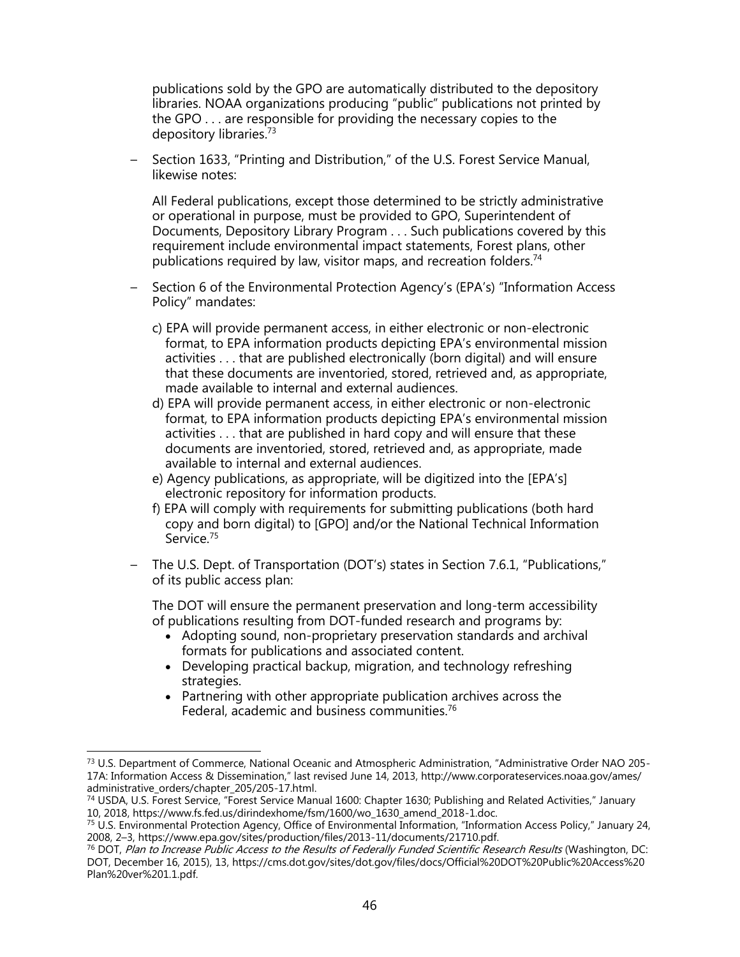publications sold by the GPO are automatically distributed to the depository libraries. NOAA organizations producing "public" publications not printed by the GPO . . . are responsible for providing the necessary copies to the depository libraries.<sup>73</sup>

– Section 1633, "Printing and Distribution," of the U.S. Forest Service Manual, likewise notes:

All Federal publications, except those determined to be strictly administrative or operational in purpose, must be provided to GPO, Superintendent of Documents, Depository Library Program . . . Such publications covered by this requirement include environmental impact statements, Forest plans, other publications required by law, visitor maps, and recreation folders.<sup>74</sup>

- Section 6 of the Environmental Protection Agency's (EPA's) "Information Access Policy" mandates:
	- c) EPA will provide permanent access, in either electronic or non-electronic format, to EPA information products depicting EPA's environmental mission activities . . . that are published electronically (born digital) and will ensure that these documents are inventoried, stored, retrieved and, as appropriate, made available to internal and external audiences.
	- d) EPA will provide permanent access, in either electronic or non-electronic format, to EPA information products depicting EPA's environmental mission activities . . . that are published in hard copy and will ensure that these documents are inventoried, stored, retrieved and, as appropriate, made available to internal and external audiences.
	- e) Agency publications, as appropriate, will be digitized into the [EPA's] electronic repository for information products.
	- f) EPA will comply with requirements for submitting publications (both hard copy and born digital) to [GPO] and/or the National Technical Information Service.<sup>75</sup>
- The U.S. Dept. of Transportation (DOT's) states in Section 7.6.1, "Publications," of its public access plan:

The DOT will ensure the permanent preservation and long-term accessibility of publications resulting from DOT-funded research and programs by:

- Adopting sound, non-proprietary preservation standards and archival formats for publications and associated content.
- Developing practical backup, migration, and technology refreshing strategies.
- Partnering with other appropriate publication archives across the Federal, academic and business communities. 76

 $\overline{\phantom{a}}$ 

<sup>&</sup>lt;sup>73</sup> U.S. Department of Commerce, National Oceanic and Atmospheric Administration, "Administrative Order NAO 205-17A: Information Access & Dissemination," last revised June 14, 2013, http://www.corporateservices.noaa.gov/ames/ administrative\_orders/chapter\_205/205-17.html.

<sup>74</sup> USDA, U.S. Forest Service, "Forest Service Manual 1600: Chapter 1630; Publishing and Related Activities," January 10, 2018, https://www.fs.fed.us/dirindexhome/fsm/1600/wo\_1630\_amend\_2018-1.doc.

<sup>75</sup> U.S. Environmental Protection Agency, Office of Environmental Information, "Information Access Policy," January 24, 2008, 2–3, https://www.epa.gov/sites/production/files/2013-11/documents/21710.pdf.

<sup>&</sup>lt;sup>76</sup> DOT, Plan to Increase Public Access to the Results of Federally Funded Scientific Research Results (Washington, DC: DOT, December 16, 2015), 13, https://cms.dot.gov/sites/dot.gov/files/docs/Official%20DOT%20Public%20Access%20 Plan%20ver%201.1.pdf.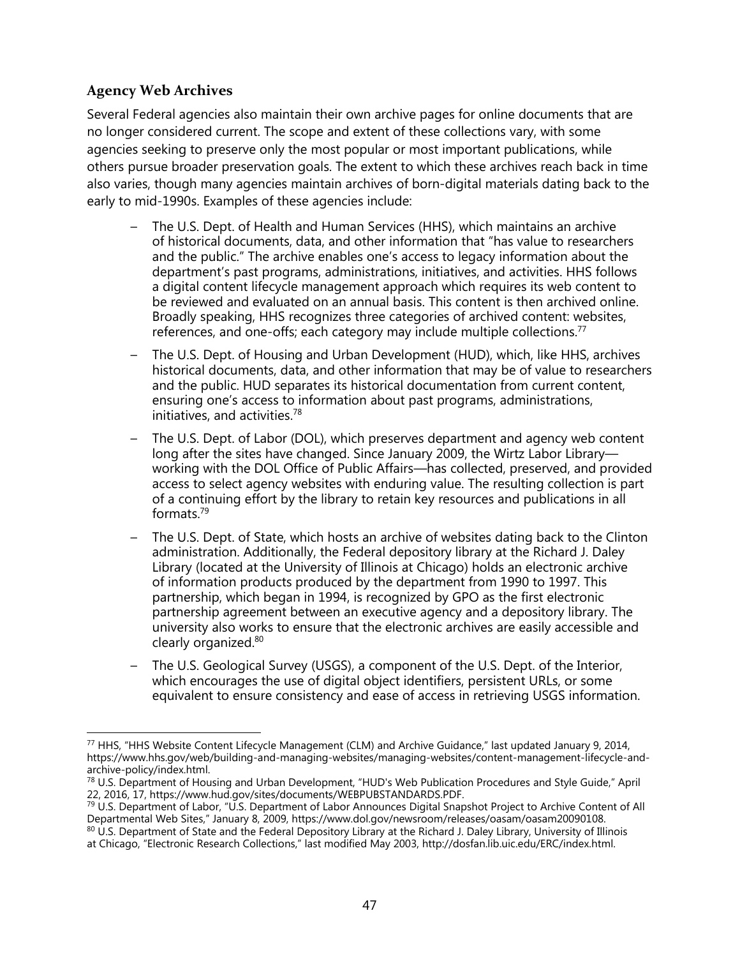#### **Agency Web Archives**

Several Federal agencies also maintain their own archive pages for online documents that are no longer considered current. The scope and extent of these collections vary, with some agencies seeking to preserve only the most popular or most important publications, while others pursue broader preservation goals. The extent to which these archives reach back in time also varies, though many agencies maintain archives of born-digital materials dating back to the early to mid-1990s. Examples of these agencies include:

- The U.S. Dept. of Health and Human Services (HHS), which maintains an archive of historical documents, data, and other information that "has value to researchers and the public." The archive enables one's access to legacy information about the department's past programs, administrations, initiatives, and activities. HHS follows a digital content lifecycle management approach which requires its web content to be reviewed and evaluated on an annual basis. This content is then archived online. Broadly speaking, HHS recognizes three categories of archived content: websites, references, and one-offs; each category may include multiple collections.<sup>77</sup>
- The U.S. Dept. of Housing and Urban Development (HUD), which, like HHS, archives historical documents, data, and other information that may be of value to researchers and the public. HUD separates its historical documentation from current content, ensuring one's access to information about past programs, administrations, initiatives, and activities.<sup>78</sup>
- The U.S. Dept. of Labor (DOL), which preserves department and agency web content long after the sites have changed. Since January 2009, the Wirtz Labor Library working with the DOL Office of Public Affairs—has collected, preserved, and provided access to select agency websites with enduring value. The resulting collection is part of a continuing effort by the library to retain key resources and publications in all formats.<sup>79</sup>
- The U.S. Dept. of State, which hosts an archive of websites dating back to the Clinton administration. Additionally, the Federal depository library at the Richard J. Daley Library (located at the University of Illinois at Chicago) holds an electronic archive of information products produced by the department from 1990 to 1997. This partnership, which began in 1994, is recognized by GPO as the first electronic partnership agreement between an executive agency and a depository library. The university also works to ensure that the electronic archives are easily accessible and clearly organized.<sup>80</sup>
- The U.S. Geological Survey (USGS), a component of the U.S. Dept. of the Interior, which encourages the use of digital object identifiers, persistent URLs, or some equivalent to ensure consistency and ease of access in retrieving USGS information.

 $\overline{\phantom{a}}$  $^{77}$  HHS, "HHS Website Content Lifecycle Management (CLM) and Archive Guidance," last updated January 9, 2014, https://www.hhs.gov/web/building-and-managing-websites/managing-websites/content-management-lifecycle-andarchive-policy/index.html.

<sup>&</sup>lt;sup>78</sup> U.S. Department of Housing and Urban Development, "HUD's Web Publication Procedures and Style Guide," April 22, 2016, 17, https://www.hud.gov/sites/documents/WEBPUBSTANDARDS.PDF.

<sup>79</sup> U.S. Department of Labor, "U.S. Department of Labor Announces Digital Snapshot Project to Archive Content of All Departmental Web Sites," January 8, 2009, https://www.dol.gov/newsroom/releases/oasam/oasam20090108. 80 U.S. Department of State and the Federal Depository Library at the Richard J. Daley Library, University of Illinois at Chicago, "Electronic Research Collections," last modified May 2003, http://dosfan.lib.uic.edu/ERC/index.html.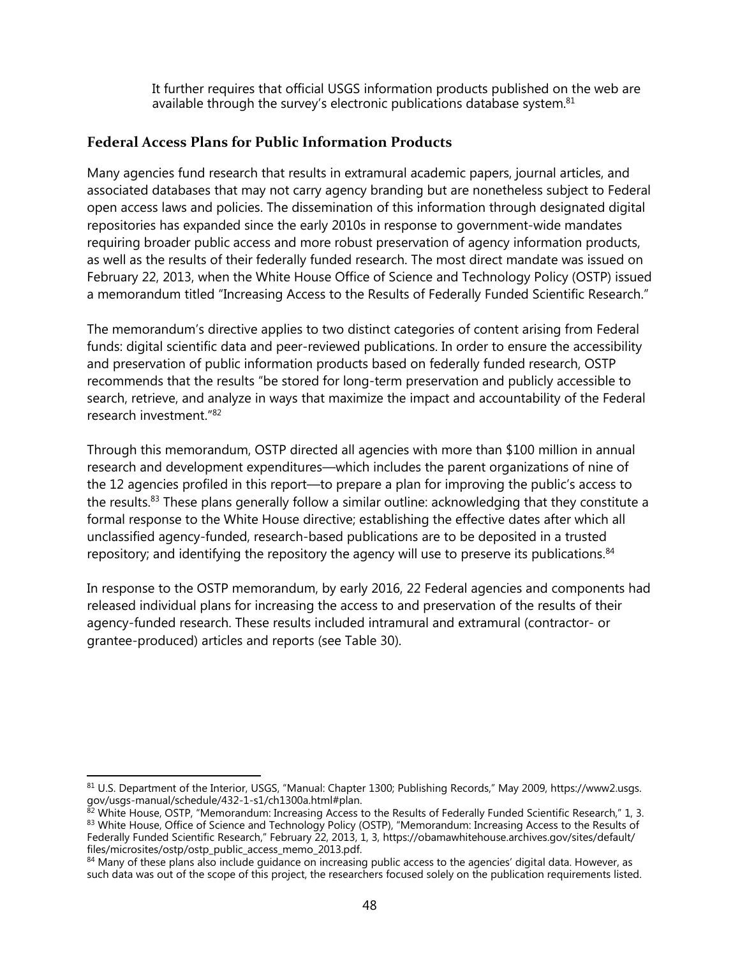It further requires that official USGS information products published on the web are available through the survey's electronic publications database system.<sup>81</sup>

#### **Federal Access Plans for Public Information Products**

Many agencies fund research that results in extramural academic papers, journal articles, and associated databases that may not carry agency branding but are nonetheless subject to Federal open access laws and policies. The dissemination of this information through designated digital repositories has expanded since the early 2010s in response to government-wide mandates requiring broader public access and more robust preservation of agency information products, as well as the results of their federally funded research. The most direct mandate was issued on February 22, 2013, when the White House Office of Science and Technology Policy (OSTP) issued a memorandum titled "Increasing Access to the Results of Federally Funded Scientific Research."

The memorandum's directive applies to two distinct categories of content arising from Federal funds: digital scientific data and peer-reviewed publications. In order to ensure the accessibility and preservation of public information products based on federally funded research, OSTP recommends that the results "be stored for long-term preservation and publicly accessible to search, retrieve, and analyze in ways that maximize the impact and accountability of the Federal research investment."<sup>82</sup>

Through this memorandum, OSTP directed all agencies with more than \$100 million in annual research and development expenditures—which includes the parent organizations of nine of the 12 agencies profiled in this report—to prepare a plan for improving the public's access to the results.<sup>83</sup> These plans generally follow a similar outline: acknowledging that they constitute a formal response to the White House directive; establishing the effective dates after which all unclassified agency-funded, research-based publications are to be deposited in a trusted repository; and identifying the repository the agency will use to preserve its publications.<sup>84</sup>

In response to the OSTP memorandum, by early 2016, 22 Federal agencies and components had released individual plans for increasing the access to and preservation of the results of their agency-funded research. These results included intramural and extramural (contractor- or grantee-produced) articles and reports (see Table 30).

 $\overline{a}$ <sup>81</sup> U.S. Department of the Interior, USGS, "Manual: Chapter 1300; Publishing Records," May 2009, https://www2.usgs. gov/usgs-manual/schedule/432-1-s1/ch1300a.html#plan.

 $82$  White House, OSTP, "Memorandum: Increasing Access to the Results of Federally Funded Scientific Research," 1, 3. 83 White House, Office of Science and Technology Policy (OSTP), "Memorandum: Increasing Access to the Results of Federally Funded Scientific Research," February 22, 2013, 1, 3, https://obamawhitehouse.archives.gov/sites/default/ files/microsites/ostp/ostp\_public\_access\_memo\_2013.pdf.

<sup>84</sup> Many of these plans also include quidance on increasing public access to the agencies' digital data. However, as such data was out of the scope of this project, the researchers focused solely on the publication requirements listed.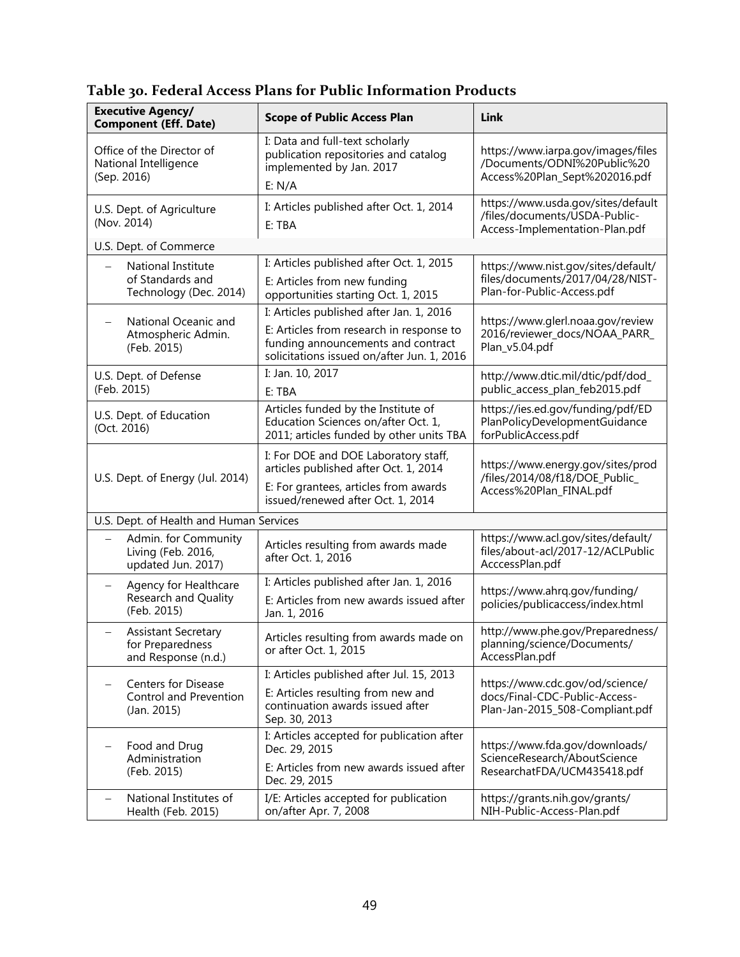| <b>Executive Agency/</b><br><b>Component (Eff. Date)</b>                   | <b>Scope of Public Access Plan</b>                                                                                                                                       | Link                                                                                                  |
|----------------------------------------------------------------------------|--------------------------------------------------------------------------------------------------------------------------------------------------------------------------|-------------------------------------------------------------------------------------------------------|
| Office of the Director of<br>National Intelligence<br>(Sep. 2016)          | I: Data and full-text scholarly<br>publication repositories and catalog<br>implemented by Jan. 2017<br>E: N/A                                                            | https://www.iarpa.gov/images/files<br>/Documents/ODNI%20Public%20<br>Access%20Plan_Sept%202016.pdf    |
| U.S. Dept. of Agriculture<br>(Nov. 2014)                                   | I: Articles published after Oct. 1, 2014<br>E: TBA                                                                                                                       | https://www.usda.gov/sites/default<br>/files/documents/USDA-Public-<br>Access-Implementation-Plan.pdf |
| U.S. Dept. of Commerce                                                     |                                                                                                                                                                          |                                                                                                       |
| National Institute<br>of Standards and<br>Technology (Dec. 2014)           | I: Articles published after Oct. 1, 2015<br>E: Articles from new funding<br>opportunities starting Oct. 1, 2015                                                          | https://www.nist.gov/sites/default/<br>files/documents/2017/04/28/NIST-<br>Plan-for-Public-Access.pdf |
| National Oceanic and<br>Atmospheric Admin.<br>(Feb. 2015)                  | I: Articles published after Jan. 1, 2016<br>E: Articles from research in response to<br>funding announcements and contract<br>solicitations issued on/after Jun. 1, 2016 | https://www.glerl.noaa.gov/review<br>2016/reviewer_docs/NOAA_PARR_<br>Plan v5.04.pdf                  |
| U.S. Dept. of Defense<br>(Feb. 2015)                                       | I: Jan. 10, 2017<br>E: TBA                                                                                                                                               | http://www.dtic.mil/dtic/pdf/dod_<br>public_access_plan_feb2015.pdf                                   |
| U.S. Dept. of Education<br>(Oct. 2016)                                     | Articles funded by the Institute of<br>Education Sciences on/after Oct. 1,<br>2011; articles funded by other units TBA                                                   | https://ies.ed.gov/funding/pdf/ED<br>PlanPolicyDevelopmentGuidance<br>forPublicAccess.pdf             |
| U.S. Dept. of Energy (Jul. 2014)                                           | I: For DOE and DOE Laboratory staff,<br>articles published after Oct. 1, 2014<br>E: For grantees, articles from awards<br>issued/renewed after Oct. 1, 2014              | https://www.energy.gov/sites/prod<br>/files/2014/08/f18/DOE_Public_<br>Access%20Plan_FINAL.pdf        |
| U.S. Dept. of Health and Human Services                                    |                                                                                                                                                                          |                                                                                                       |
| Admin. for Community<br>Living (Feb. 2016,<br>updated Jun. 2017)           | Articles resulting from awards made<br>after Oct. 1, 2016                                                                                                                | https://www.acl.gov/sites/default/<br>files/about-acl/2017-12/ACLPublic<br>AcccessPlan.pdf            |
| Agency for Healthcare<br><b>Research and Quality</b><br>(Feb. 2015)        | I: Articles published after Jan. 1, 2016<br>E: Articles from new awards issued after<br>Jan. 1, 2016                                                                     | https://www.ahrq.gov/funding/<br>policies/publicaccess/index.html                                     |
| <b>Assistant Secretary</b><br>-<br>for Preparedness<br>and Response (n.d.) | Articles resulting from awards made on<br>or after Oct. 1, 2015                                                                                                          | http://www.phe.gov/Preparedness/<br>planning/science/Documents/<br>AccessPlan.pdf                     |
| <b>Centers for Disease</b><br>Control and Prevention<br>(Jan. 2015)        | I: Articles published after Jul. 15, 2013<br>E: Articles resulting from new and<br>continuation awards issued after<br>Sep. 30, 2013                                     | https://www.cdc.gov/od/science/<br>docs/Final-CDC-Public-Access-<br>Plan-Jan-2015_508-Compliant.pdf   |
| Food and Drug<br>Administration<br>(Feb. 2015)                             | I: Articles accepted for publication after<br>Dec. 29, 2015<br>E: Articles from new awards issued after<br>Dec. 29, 2015                                                 | https://www.fda.gov/downloads/<br>ScienceResearch/AboutScience<br>ResearchatFDA/UCM435418.pdf         |
| National Institutes of<br>Health (Feb. 2015)                               | I/E: Articles accepted for publication<br>on/after Apr. 7, 2008                                                                                                          | https://grants.nih.gov/grants/<br>NIH-Public-Access-Plan.pdf                                          |

**Table 30. Federal Access Plans for Public Information Products**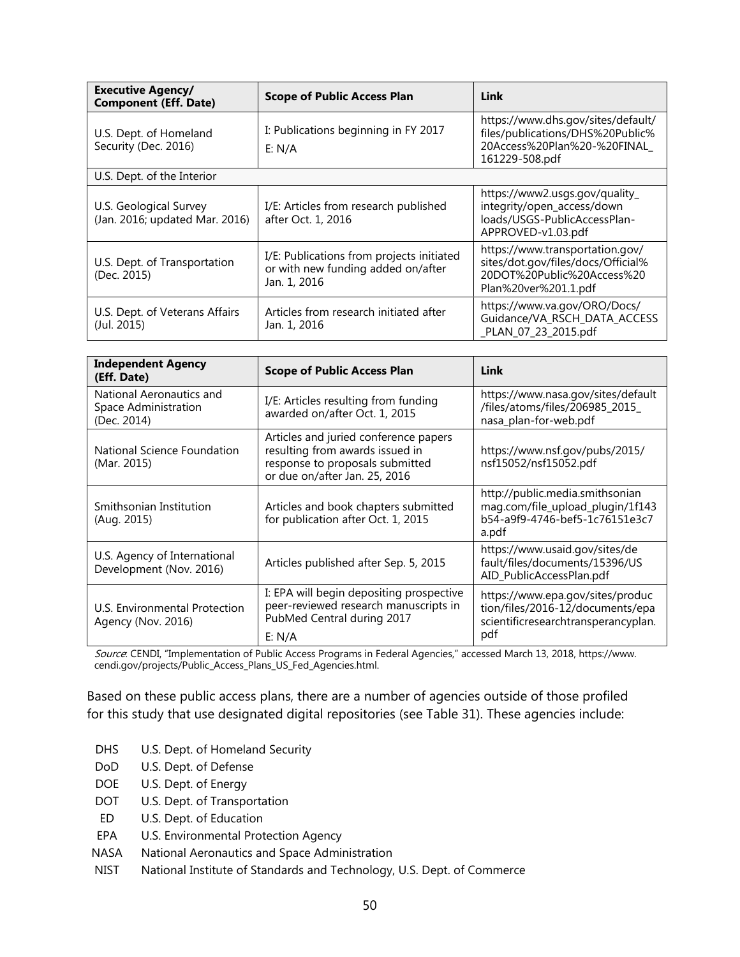| <b>Executive Agency/</b><br><b>Component (Eff. Date)</b> | <b>Scope of Public Access Plan</b>                                                              | Link                                                                                                                        |
|----------------------------------------------------------|-------------------------------------------------------------------------------------------------|-----------------------------------------------------------------------------------------------------------------------------|
| U.S. Dept. of Homeland<br>Security (Dec. 2016)           | I: Publications beginning in FY 2017<br>E: N/A                                                  | https://www.dhs.gov/sites/default/<br>files/publications/DHS%20Public%<br>20Access%20Plan%20-%20FINAL<br>161229-508.pdf     |
| U.S. Dept. of the Interior                               |                                                                                                 |                                                                                                                             |
| U.S. Geological Survey<br>(Jan. 2016; updated Mar. 2016) | I/E: Articles from research published<br>after Oct. 1, 2016                                     | https://www2.usgs.gov/quality_<br>integrity/open_access/down<br>loads/USGS-PublicAccessPlan-<br>APPROVED-v1.03.pdf          |
| U.S. Dept. of Transportation<br>(Dec. 2015)              | I/E: Publications from projects initiated<br>or with new funding added on/after<br>Jan. 1, 2016 | https://www.transportation.gov/<br>sites/dot.gov/files/docs/Official%<br>20DOT%20Public%20Access%20<br>Plan%20ver%201.1.pdf |
| U.S. Dept. of Veterans Affairs<br>(Jul. 2015)            | Articles from research initiated after<br>Jan. 1, 2016                                          | https://www.va.gov/ORO/Docs/<br>Guidance/VA_RSCH_DATA_ACCESS<br>_PLAN_07_23_2015.pdf                                        |

| <b>Independent Agency</b><br>(Eff. Date)                        | <b>Scope of Public Access Plan</b>                                                                                                           | Link                                                                                                               |
|-----------------------------------------------------------------|----------------------------------------------------------------------------------------------------------------------------------------------|--------------------------------------------------------------------------------------------------------------------|
| National Aeronautics and<br>Space Administration<br>(Dec. 2014) | I/E: Articles resulting from funding<br>awarded on/after Oct. 1, 2015                                                                        | https://www.nasa.gov/sites/default<br>files/atoms/files/206985 2015/<br>nasa_plan-for-web.pdf                      |
| National Science Foundation<br>(Mar. 2015)                      | Articles and juried conference papers<br>resulting from awards issued in<br>response to proposals submitted<br>or due on/after Jan. 25, 2016 | https://www.nsf.gov/pubs/2015/<br>nsf15052/nsf15052.pdf                                                            |
| Smithsonian Institution<br>(Aug. 2015)                          | Articles and book chapters submitted<br>for publication after Oct. 1, 2015                                                                   | http://public.media.smithsonian<br>mag.com/file_upload_plugin/1f143<br>b54-a9f9-4746-bef5-1c76151e3c7<br>a.pdf     |
| U.S. Agency of International<br>Development (Nov. 2016)         | Articles published after Sep. 5, 2015                                                                                                        | https://www.usaid.gov/sites/de<br>fault/files/documents/15396/US<br>AID_PublicAccessPlan.pdf                       |
| U.S. Environmental Protection<br>Agency (Nov. 2016)             | I: EPA will begin depositing prospective<br>peer-reviewed research manuscripts in<br>PubMed Central during 2017<br>E: N/A                    | https://www.epa.gov/sites/produc<br>tion/files/2016-12/documents/epa<br>scientificresearchtransperancyplan.<br>pdt |

Source: CENDI, "Implementation of Public Access Programs in Federal Agencies," accessed March 13, 2018, https://www. cendi.gov/projects/Public\_Access\_Plans\_US\_Fed\_Agencies.html.

Based on these public access plans, there are a number of agencies outside of those profiled for this study that use designated digital repositories (see Table 31). These agencies include:

- DHS U.S. Dept. of Homeland Security
- DoD U.S. Dept. of Defense
- DOE U.S. Dept. of Energy
- DOT U.S. Dept. of Transportation
- ED U.S. Dept. of Education
- EPA U.S. Environmental Protection Agency
- NASA National Aeronautics and Space Administration
- NIST National Institute of Standards and Technology, U.S. Dept. of Commerce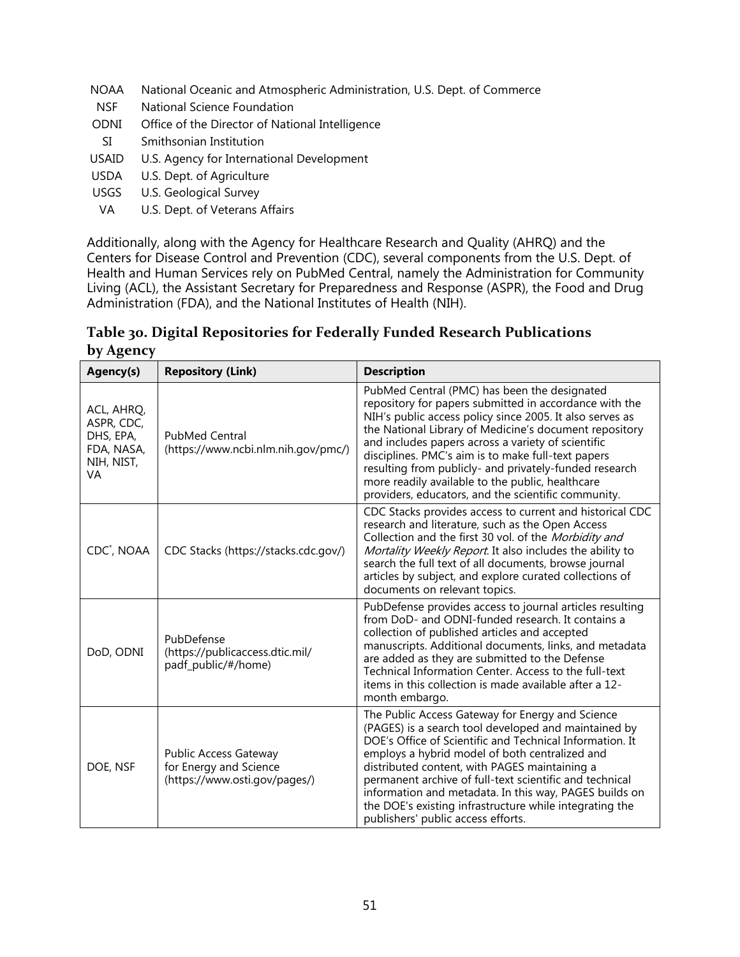- NOAA National Oceanic and Atmospheric Administration, U.S. Dept. of Commerce
- NSF National Science Foundation
- ODNI Office of the Director of National Intelligence
- SI Smithsonian Institution
- USAID U.S. Agency for International Development
- USDA U.S. Dept. of Agriculture
- USGS U.S. Geological Survey
- VA U.S. Dept. of Veterans Affairs

Additionally, along with the Agency for Healthcare Research and Quality (AHRQ) and the Centers for Disease Control and Prevention (CDC), several components from the U.S. Dept. of Health and Human Services rely on PubMed Central, namely the Administration for Community Living (ACL), the Assistant Secretary for Preparedness and Response (ASPR), the Food and Drug Administration (FDA), and the National Institutes of Health (NIH).

#### **Table 30. Digital Repositories for Federally Funded Research Publications by Agency**

| Agency(s)                                                               | <b>Repository (Link)</b>                                                                | <b>Description</b>                                                                                                                                                                                                                                                                                                                                                                                                                                                                                            |
|-------------------------------------------------------------------------|-----------------------------------------------------------------------------------------|---------------------------------------------------------------------------------------------------------------------------------------------------------------------------------------------------------------------------------------------------------------------------------------------------------------------------------------------------------------------------------------------------------------------------------------------------------------------------------------------------------------|
| ACL, AHRQ,<br>ASPR, CDC,<br>DHS, EPA,<br>FDA, NASA,<br>NIH, NIST,<br>VA | <b>PubMed Central</b><br>(https://www.ncbi.nlm.nih.gov/pmc/)                            | PubMed Central (PMC) has been the designated<br>repository for papers submitted in accordance with the<br>NIH's public access policy since 2005. It also serves as<br>the National Library of Medicine's document repository<br>and includes papers across a variety of scientific<br>disciplines. PMC's aim is to make full-text papers<br>resulting from publicly- and privately-funded research<br>more readily available to the public, healthcare<br>providers, educators, and the scientific community. |
| CDC <sup>*</sup> , NOAA                                                 | CDC Stacks (https://stacks.cdc.gov/)                                                    | CDC Stacks provides access to current and historical CDC<br>research and literature, such as the Open Access<br>Collection and the first 30 vol. of the Morbidity and<br>Mortality Weekly Report. It also includes the ability to<br>search the full text of all documents, browse journal<br>articles by subject, and explore curated collections of<br>documents on relevant topics.                                                                                                                        |
| DoD, ODNI                                                               | PubDefense<br>(https://publicaccess.dtic.mil/<br>padf_public/#/home)                    | PubDefense provides access to journal articles resulting<br>from DoD- and ODNI-funded research. It contains a<br>collection of published articles and accepted<br>manuscripts. Additional documents, links, and metadata<br>are added as they are submitted to the Defense<br>Technical Information Center. Access to the full-text<br>items in this collection is made available after a 12-<br>month embargo.                                                                                               |
| DOE, NSF                                                                | <b>Public Access Gateway</b><br>for Energy and Science<br>(https://www.osti.gov/pages/) | The Public Access Gateway for Energy and Science<br>(PAGES) is a search tool developed and maintained by<br>DOE's Office of Scientific and Technical Information. It<br>employs a hybrid model of both centralized and<br>distributed content, with PAGES maintaining a<br>permanent archive of full-text scientific and technical<br>information and metadata. In this way, PAGES builds on<br>the DOE's existing infrastructure while integrating the<br>publishers' public access efforts.                 |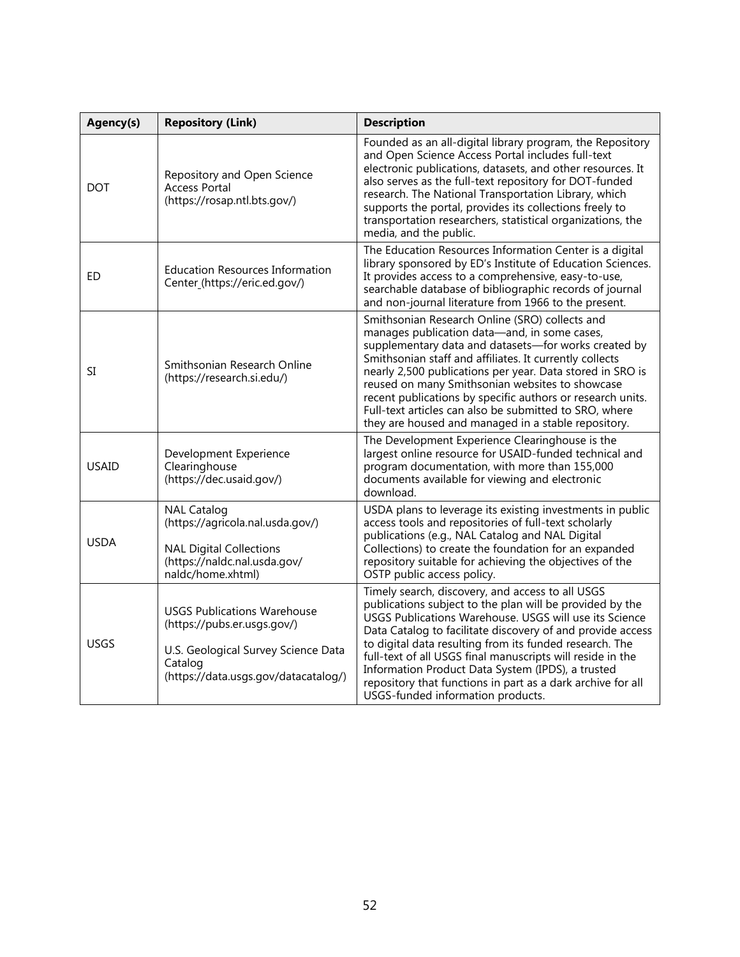| Agency(s)    | <b>Repository (Link)</b>                                                                                                                                    | <b>Description</b>                                                                                                                                                                                                                                                                                                                                                                                                                                                                                                     |
|--------------|-------------------------------------------------------------------------------------------------------------------------------------------------------------|------------------------------------------------------------------------------------------------------------------------------------------------------------------------------------------------------------------------------------------------------------------------------------------------------------------------------------------------------------------------------------------------------------------------------------------------------------------------------------------------------------------------|
| <b>DOT</b>   | Repository and Open Science<br><b>Access Portal</b><br>(https://rosap.ntl.bts.gov/)                                                                         | Founded as an all-digital library program, the Repository<br>and Open Science Access Portal includes full-text<br>electronic publications, datasets, and other resources. It<br>also serves as the full-text repository for DOT-funded<br>research. The National Transportation Library, which<br>supports the portal, provides its collections freely to<br>transportation researchers, statistical organizations, the<br>media, and the public.                                                                      |
| ED           | <b>Education Resources Information</b><br>Center (https://eric.ed.gov/)                                                                                     | The Education Resources Information Center is a digital<br>library sponsored by ED's Institute of Education Sciences.<br>It provides access to a comprehensive, easy-to-use,<br>searchable database of bibliographic records of journal<br>and non-journal literature from 1966 to the present.                                                                                                                                                                                                                        |
| SI           | Smithsonian Research Online<br>(https://research.si.edu/)                                                                                                   | Smithsonian Research Online (SRO) collects and<br>manages publication data-and, in some cases,<br>supplementary data and datasets-for works created by<br>Smithsonian staff and affiliates. It currently collects<br>nearly 2,500 publications per year. Data stored in SRO is<br>reused on many Smithsonian websites to showcase<br>recent publications by specific authors or research units.<br>Full-text articles can also be submitted to SRO, where<br>they are housed and managed in a stable repository.       |
| <b>USAID</b> | Development Experience<br>Clearinghouse<br>(https://dec.usaid.gov/)                                                                                         | The Development Experience Clearinghouse is the<br>largest online resource for USAID-funded technical and<br>program documentation, with more than 155,000<br>documents available for viewing and electronic<br>download.                                                                                                                                                                                                                                                                                              |
| <b>USDA</b>  | <b>NAL Catalog</b><br>(https://agricola.nal.usda.gov/)<br><b>NAL Digital Collections</b><br>(https://naldc.nal.usda.gov/<br>naldc/home.xhtml)               | USDA plans to leverage its existing investments in public<br>access tools and repositories of full-text scholarly<br>publications (e.g., NAL Catalog and NAL Digital<br>Collections) to create the foundation for an expanded<br>repository suitable for achieving the objectives of the<br>OSTP public access policy.                                                                                                                                                                                                 |
| <b>USGS</b>  | <b>USGS Publications Warehouse</b><br>(https://pubs.er.usgs.gov/)<br>U.S. Geological Survey Science Data<br>Catalog<br>(https://data.usgs.gov/datacatalog/) | Timely search, discovery, and access to all USGS<br>publications subject to the plan will be provided by the<br>USGS Publications Warehouse. USGS will use its Science<br>Data Catalog to facilitate discovery of and provide access<br>to digital data resulting from its funded research. The<br>full-text of all USGS final manuscripts will reside in the<br>Information Product Data System (IPDS), a trusted<br>repository that functions in part as a dark archive for all<br>USGS-funded information products. |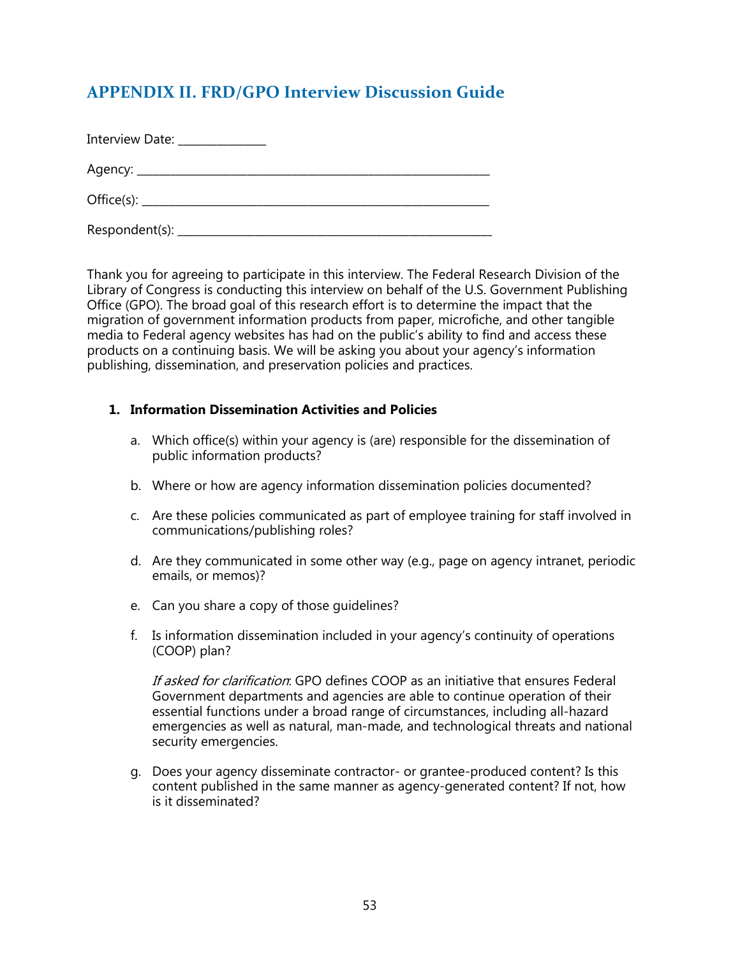# <span id="page-57-0"></span>**APPENDIX II. FRD/GPO Interview Discussion Guide**

| Interview Date: ______________ |  |
|--------------------------------|--|
|                                |  |
|                                |  |
|                                |  |

Thank you for agreeing to participate in this interview. The Federal Research Division of the Library of Congress is conducting this interview on behalf of the U.S. Government Publishing Office (GPO). The broad goal of this research effort is to determine the impact that the migration of government information products from paper, microfiche, and other tangible media to Federal agency websites has had on the public's ability to find and access these products on a continuing basis. We will be asking you about your agency's information publishing, dissemination, and preservation policies and practices.

#### **1. Information Dissemination Activities and Policies**

- a. Which office(s) within your agency is (are) responsible for the dissemination of public information products?
- b. Where or how are agency information dissemination policies documented?
- c. Are these policies communicated as part of employee training for staff involved in communications/publishing roles?
- d. Are they communicated in some other way (e.g., page on agency intranet, periodic emails, or memos)?
- e. Can you share a copy of those guidelines?
- f. Is information dissemination included in your agency's continuity of operations (COOP) plan?

If asked for clarification: GPO defines COOP as an initiative that ensures Federal Government departments and agencies are able to continue operation of their essential functions under a broad range of circumstances, including all-hazard emergencies as well as natural, man-made, and technological threats and national security emergencies.

g. Does your agency disseminate contractor- or grantee-produced content? Is this content published in the same manner as agency-generated content? If not, how is it disseminated?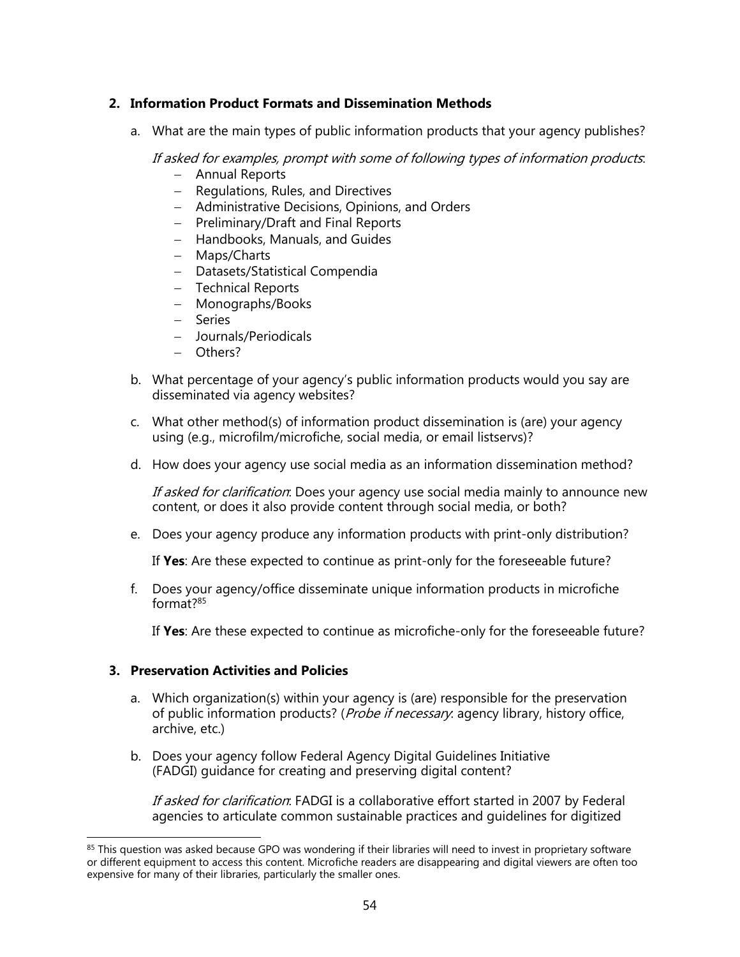#### **2. Information Product Formats and Dissemination Methods**

a. What are the main types of public information products that your agency publishes?

If asked for examples, prompt with some of following types of information products:

- Annual Reports
- Regulations, Rules, and Directives
- Administrative Decisions, Opinions, and Orders
- $-$  Preliminary/Draft and Final Reports
- Handbooks, Manuals, and Guides
- Maps/Charts
- Datasets/Statistical Compendia
- Technical Reports
- Monographs/Books
- Series
- Journals/Periodicals
- Others?
- b. What percentage of your agency's public information products would you say are disseminated via agency websites?
- c. What other method(s) of information product dissemination is (are) your agency using (e.g., microfilm/microfiche, social media, or email listservs)?
- d. How does your agency use social media as an information dissemination method?

If asked for clarification. Does your agency use social media mainly to announce new content, or does it also provide content through social media, or both?

e. Does your agency produce any information products with print-only distribution?

If **Yes**: Are these expected to continue as print-only for the foreseeable future?

f. Does your agency/office disseminate unique information products in microfiche format? 85

If **Yes**: Are these expected to continue as microfiche-only for the foreseeable future?

#### **3. Preservation Activities and Policies**

 $\overline{\phantom{a}}$ 

- a. Which organization(s) within your agency is (are) responsible for the preservation of public information products? (*Probe if necessary*: agency library, history office, archive, etc.)
- b. Does your agency follow Federal Agency Digital Guidelines Initiative (FADGI) guidance for creating and preserving digital content?

If asked for clarification. FADGI is a collaborative effort started in 2007 by Federal agencies to articulate common sustainable practices and guidelines for digitized

<sup>&</sup>lt;sup>85</sup> This question was asked because GPO was wondering if their libraries will need to invest in proprietary software or different equipment to access this content. Microfiche readers are disappearing and digital viewers are often too expensive for many of their libraries, particularly the smaller ones.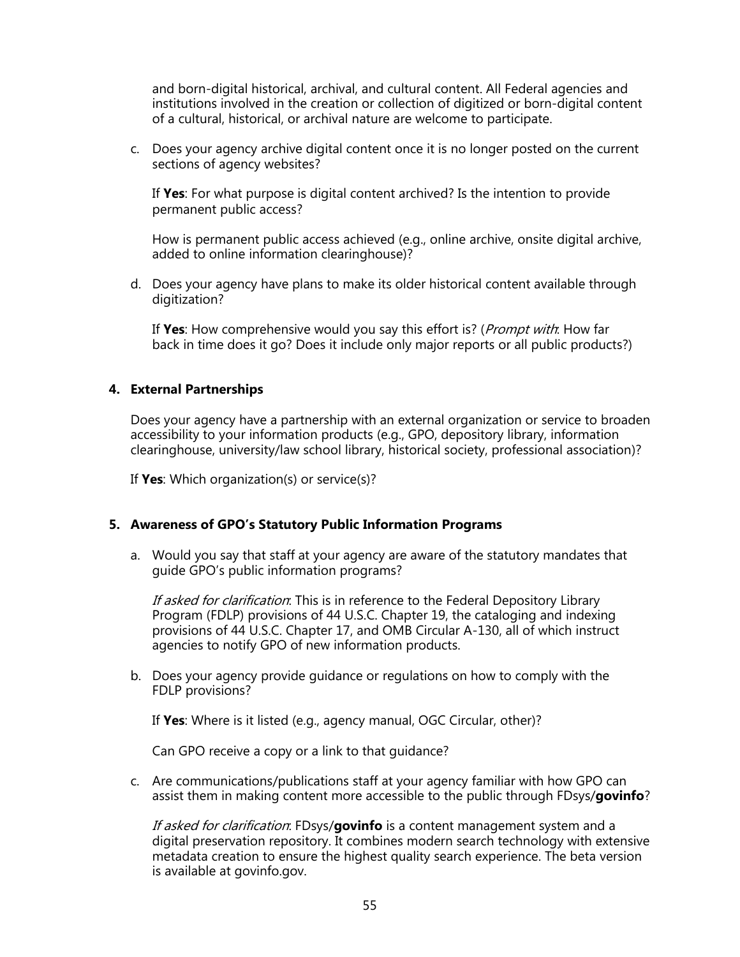and born-digital historical, archival, and cultural content. All Federal agencies and institutions involved in the creation or collection of digitized or born-digital content of a cultural, historical, or archival nature are welcome to participate.

c. Does your agency archive digital content once it is no longer posted on the current sections of agency websites?

If **Yes**: For what purpose is digital content archived? Is the intention to provide permanent public access?

How is permanent public access achieved (e.g., online archive, onsite digital archive, added to online information clearinghouse)?

d. Does your agency have plans to make its older historical content available through digitization?

If **Yes**: How comprehensive would you say this effort is? (Prompt with: How far back in time does it go? Does it include only major reports or all public products?)

#### **4. External Partnerships**

Does your agency have a partnership with an external organization or service to broaden accessibility to your information products (e.g., GPO, depository library, information clearinghouse, university/law school library, historical society, professional association)?

If **Yes**: Which organization(s) or service(s)?

#### **5. Awareness of GPO's Statutory Public Information Programs**

a. Would you say that staff at your agency are aware of the statutory mandates that guide GPO's public information programs?

If asked for clarification. This is in reference to the Federal Depository Library Program (FDLP) provisions of 44 U.S.C. Chapter 19, the cataloging and indexing provisions of 44 U.S.C. Chapter 17, and OMB Circular A-130, all of which instruct agencies to notify GPO of new information products.

b. Does your agency provide guidance or regulations on how to comply with the FDLP provisions?

If **Yes**: Where is it listed (e.g., agency manual, OGC Circular, other)?

Can GPO receive a copy or a link to that guidance?

c. Are communications/publications staff at your agency familiar with how GPO can assist them in making content more accessible to the public through FDsys/**govinfo**?

If asked for clarification: FDsys/**govinfo** is a content management system and a digital preservation repository. It combines modern search technology with extensive metadata creation to ensure the highest quality search experience. The beta version is available at govinfo.gov.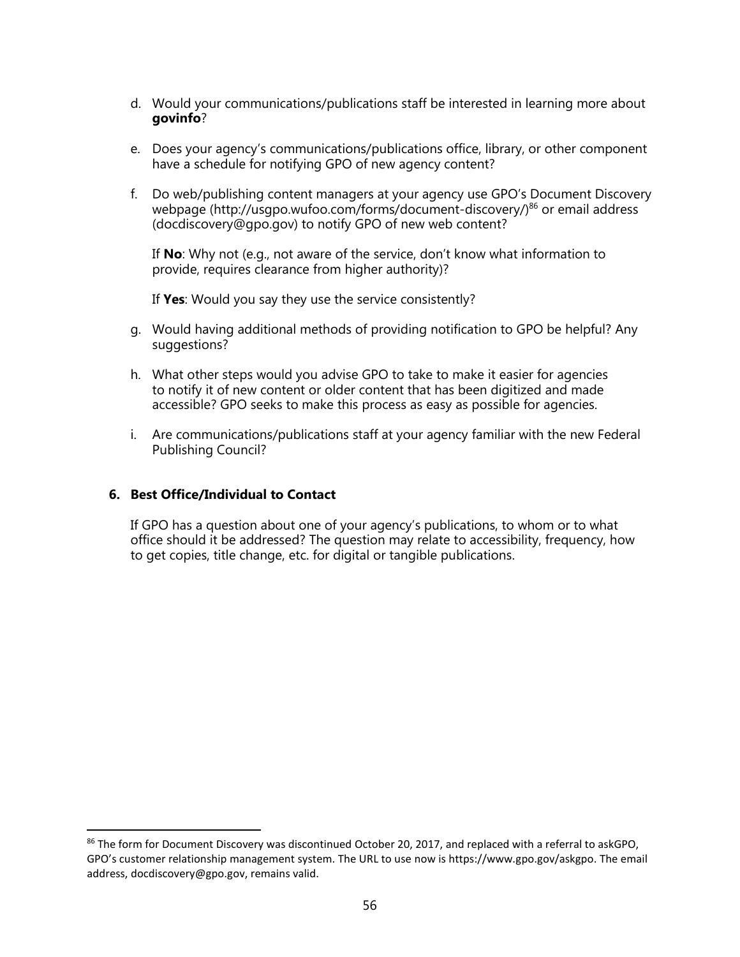- d. Would your communications/publications staff be interested in learning more about **govinfo**?
- e. Does your agency's communications/publications office, library, or other component have a schedule for notifying GPO of new agency content?
- f. Do web/publishing content managers at your agency use GPO's Document Discovery webpage (http://usgpo.wufoo.com/forms/document-discovery/)<sup>86</sup> or email address (docdiscovery@gpo.gov) to notify GPO of new web content?

If **No**: Why not (e.g., not aware of the service, don't know what information to provide, requires clearance from higher authority)?

If **Yes**: Would you say they use the service consistently?

- g. Would having additional methods of providing notification to GPO be helpful? Any suggestions?
- h. What other steps would you advise GPO to take to make it easier for agencies to notify it of new content or older content that has been digitized and made accessible? GPO seeks to make this process as easy as possible for agencies.
- i. Are communications/publications staff at your agency familiar with the new Federal Publishing Council?

#### **6. Best Office/Individual to Contact**

 $\overline{\phantom{a}}$ 

If GPO has a question about one of your agency's publications, to whom or to what office should it be addressed? The question may relate to accessibility, frequency, how to get copies, title change, etc. for digital or tangible publications.

<sup>86</sup> The form for Document Discovery was discontinued October 20, 2017, and replaced with a referral to askGPO, GPO's customer relationship management system. The URL to use now is https://www.gpo.gov/askgpo. The email address, docdiscovery@gpo.gov, remains valid.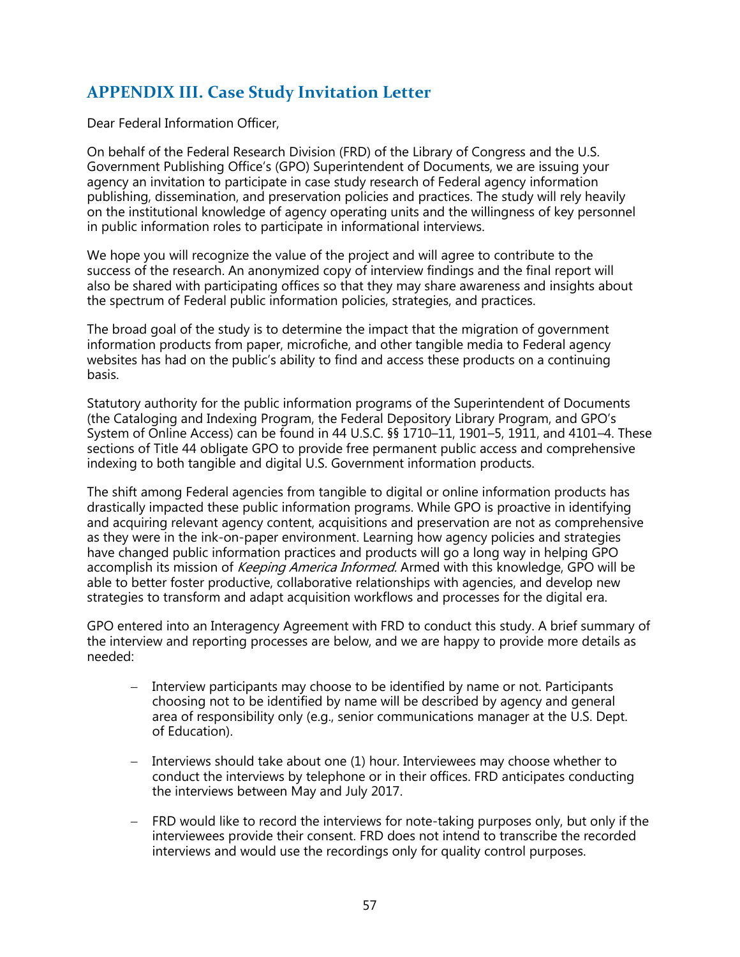# <span id="page-61-0"></span>**APPENDIX III. Case Study Invitation Letter**

Dear Federal Information Officer,

On behalf of the Federal Research Division (FRD) of the Library of Congress and the U.S. Government Publishing Office's (GPO) Superintendent of Documents, we are issuing your agency an invitation to participate in case study research of Federal agency information publishing, dissemination, and preservation policies and practices. The study will rely heavily on the institutional knowledge of agency operating units and the willingness of key personnel in public information roles to participate in informational interviews.

We hope you will recognize the value of the project and will agree to contribute to the success of the research. An anonymized copy of interview findings and the final report will also be shared with participating offices so that they may share awareness and insights about the spectrum of Federal public information policies, strategies, and practices.

The broad goal of the study is to determine the impact that the migration of government information products from paper, microfiche, and other tangible media to Federal agency websites has had on the public's ability to find and access these products on a continuing basis.

Statutory authority for the public information programs of the Superintendent of Documents (the Cataloging and Indexing Program, the Federal Depository Library Program, and GPO's System of Online Access) can be found in 44 U.S.C. §§ 1710–11, 1901–5, 1911, and 4101–4. These sections of Title 44 obligate GPO to provide free permanent public access and comprehensive indexing to both tangible and digital U.S. Government information products.

The shift among Federal agencies from tangible to digital or online information products has drastically impacted these public information programs. While GPO is proactive in identifying and acquiring relevant agency content, acquisitions and preservation are not as comprehensive as they were in the ink-on-paper environment. Learning how agency policies and strategies have changed public information practices and products will go a long way in helping GPO accomplish its mission of *Keeping America Informed.* Armed with this knowledge, GPO will be able to better foster productive, collaborative relationships with agencies, and develop new strategies to transform and adapt acquisition workflows and processes for the digital era.

GPO entered into an Interagency Agreement with FRD to conduct this study. A brief summary of the interview and reporting processes are below, and we are happy to provide more details as needed:

- Interview participants may choose to be identified by name or not. Participants choosing not to be identified by name will be described by agency and general area of responsibility only (e.g., senior communications manager at the U.S. Dept. of Education).
- $-$  Interviews should take about one (1) hour. Interviewees may choose whether to conduct the interviews by telephone or in their offices. FRD anticipates conducting the interviews between May and July 2017.
- FRD would like to record the interviews for note-taking purposes only, but only if the interviewees provide their consent. FRD does not intend to transcribe the recorded interviews and would use the recordings only for quality control purposes.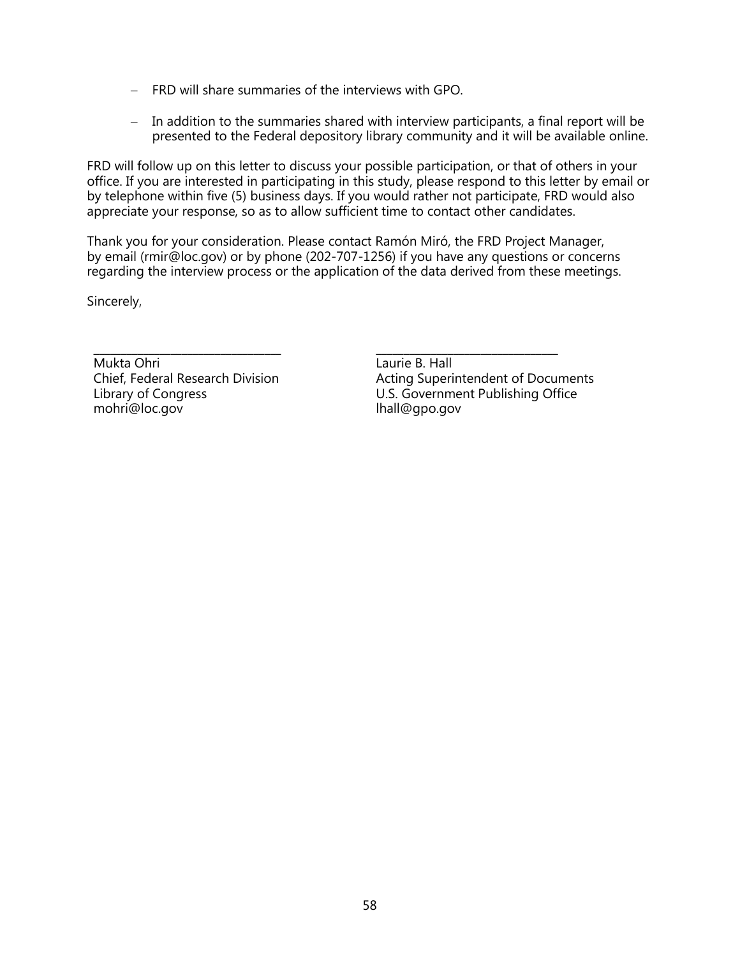- FRD will share summaries of the interviews with GPO.
- In addition to the summaries shared with interview participants, a final report will be presented to the Federal depository library community and it will be available online.

FRD will follow up on this letter to discuss your possible participation, or that of others in your office. If you are interested in participating in this study, please respond to this letter by email or by telephone within five (5) business days. If you would rather not participate, FRD would also appreciate your response, so as to allow sufficient time to contact other candidates.

Thank you for your consideration. Please contact Ramón Miró, the FRD Project Manager, by email (rmir@loc.gov) or by phone (202-707-1256) if you have any questions or concerns regarding the interview process or the application of the data derived from these meetings.

Sincerely,

Mukta Ohri Chief, Federal Research Division Library of Congress mohri@loc.gov

\_\_\_\_\_\_\_\_\_\_\_\_\_\_\_\_\_\_\_\_\_\_\_\_\_\_\_\_\_\_\_\_\_\_ \_\_\_\_\_\_\_\_\_\_\_\_\_\_\_\_\_\_\_\_\_\_\_\_\_\_\_\_\_\_\_\_\_ Laurie B. Hall Acting Superintendent of Documents U.S. Government Publishing Office lhall@gpo.gov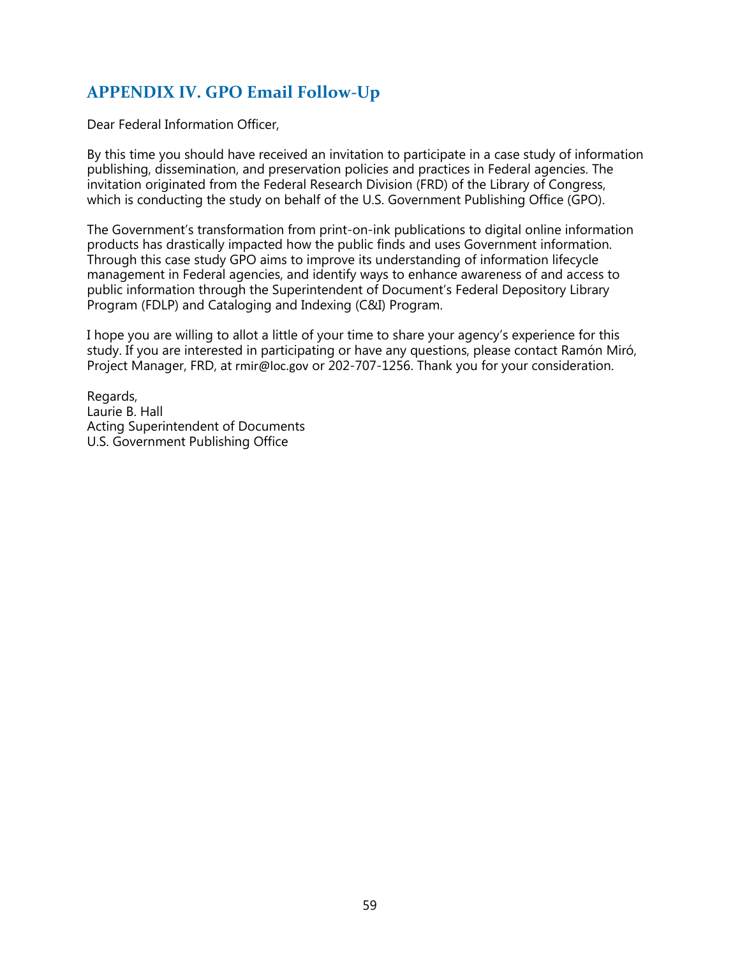# <span id="page-63-0"></span>**APPENDIX IV. GPO Email Follow-Up**

Dear Federal Information Officer,

By this time you should have received an invitation to participate in a case study of information publishing, dissemination, and preservation policies and practices in Federal agencies. The invitation originated from the Federal Research Division (FRD) of the Library of Congress, which is conducting the study on behalf of the U.S. Government Publishing Office (GPO).

The Government's transformation from print-on-ink publications to digital online information products has drastically impacted how the public finds and uses Government information. Through this case study GPO aims to improve its understanding of information lifecycle management in Federal agencies, and identify ways to enhance awareness of and access to public information through the Superintendent of Document's Federal Depository Library Program (FDLP) and Cataloging and Indexing (C&I) Program.

I hope you are willing to allot a little of your time to share your agency's experience for this study. If you are interested in participating or have any questions, please contact Ramón Miró, Project Manager, FRD, at rmir@loc.gov or 202-707-1256. Thank you for your consideration.

Regards, Laurie B. Hall Acting Superintendent of Documents U.S. Government Publishing Office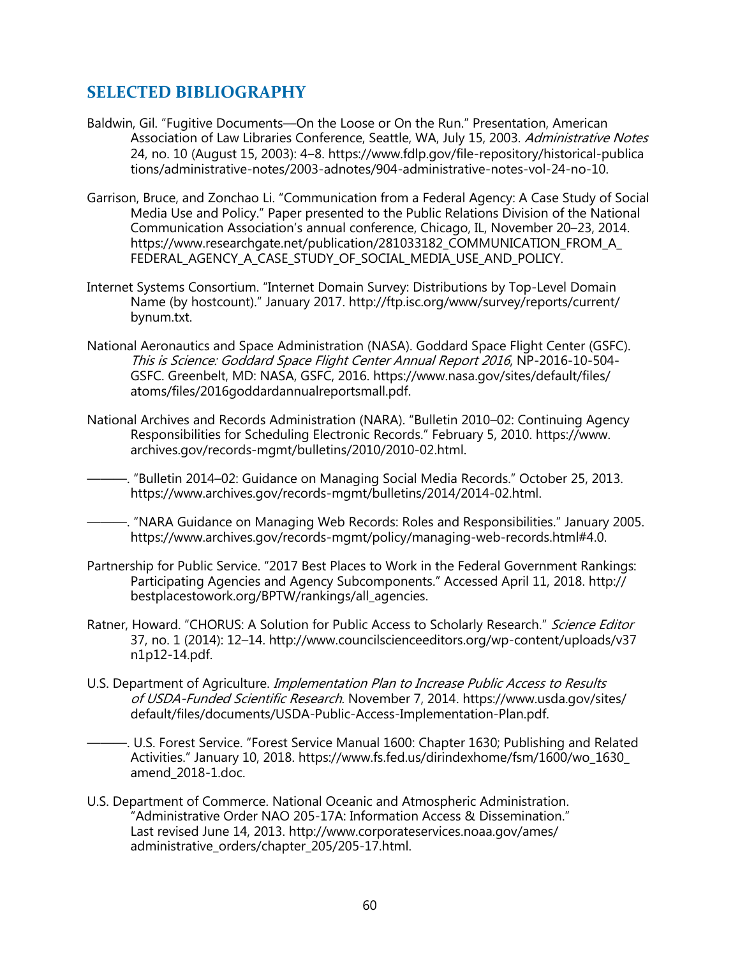## <span id="page-64-0"></span>**SELECTED BIBLIOGRAPHY**

- Baldwin, Gil. "Fugitive Documents—On the Loose or On the Run." Presentation, American Association of Law Libraries Conference, Seattle, WA, July 15, 2003. Administrative Notes 24, no. 10 (August 15, 2003): 4‒8. https://www.fdlp.gov/file-repository/historical-publica tions/administrative-notes/2003-adnotes/904-administrative-notes-vol-24-no-10.
- Garrison, Bruce, and Zonchao Li. "Communication from a Federal Agency: A Case Study of Social Media Use and Policy." Paper presented to the Public Relations Division of the National Communication Association's annual conference, Chicago, IL, November 20–23, 2014. https://www.researchgate.net/publication/281033182\_COMMUNICATION\_FROM\_A\_ FEDERAL\_AGENCY\_A\_CASE\_STUDY\_OF\_SOCIAL\_MEDIA\_USE\_AND\_POLICY.
- Internet Systems Consortium. "Internet Domain Survey: Distributions by Top-Level Domain Name (by hostcount)." January 2017. http://ftp.isc.org/www/survey/reports/current/ bynum.txt.
- National Aeronautics and Space Administration (NASA). Goddard Space Flight Center (GSFC). This is Science: Goddard Space Flight Center Annual Report 2016, NP-2016-10-504- GSFC. Greenbelt, MD: NASA, GSFC, 2016. https://www.nasa.gov/sites/default/files/ atoms/files/2016goddardannualreportsmall.pdf.
- National Archives and Records Administration (NARA). "Bulletin 2010–02: Continuing Agency Responsibilities for Scheduling Electronic Records." February 5, 2010. https://www. archives.gov/records-mgmt/bulletins/2010/2010-02.html.
- ———. "Bulletin 2014–02: Guidance on Managing Social Media Records." October 25, 2013. https://www.archives.gov/records-mgmt/bulletins/2014/2014-02.html.
- ———. "NARA Guidance on Managing Web Records: Roles and Responsibilities." January 2005. https://www.archives.gov/records-mgmt/policy/managing-web-records.html#4.0.
- Partnership for Public Service. "2017 Best Places to Work in the Federal Government Rankings: Participating Agencies and Agency Subcomponents." Accessed April 11, 2018. http:// bestplacestowork.org/BPTW/rankings/all\_agencies.
- Ratner, Howard. "CHORUS: A Solution for Public Access to Scholarly Research." Science Editor 37, no. 1 (2014): 12–14. http://www.councilscienceeditors.org/wp-content/uploads/v37 n1p12-14.pdf.
- U.S. Department of Agriculture. *Implementation Plan to Increase Public Access to Results* of USDA-Funded Scientific Research. November 7, 2014. https://www.usda.gov/sites/ default/files/documents/USDA-Public-Access-Implementation-Plan.pdf.

———. U.S. Forest Service. "Forest Service Manual 1600: Chapter 1630; Publishing and Related Activities." January 10, 2018. https://www.fs.fed.us/dirindexhome/fsm/1600/wo\_1630\_ amend\_2018-1.doc.

U.S. Department of Commerce. National Oceanic and Atmospheric Administration. "Administrative Order NAO 205-17A: Information Access & Dissemination." Last revised June 14, 2013. http://www.corporateservices.noaa.gov/ames/ administrative\_orders/chapter\_205/205-17.html.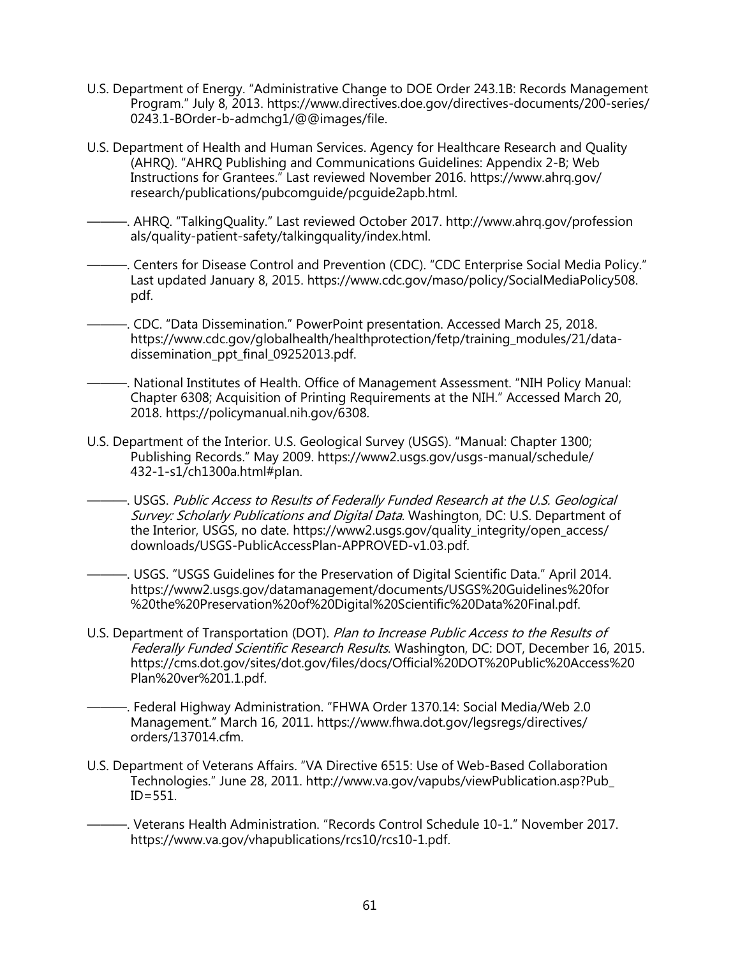- U.S. Department of Energy. "Administrative Change to DOE Order 243.1B: Records Management Program." July 8, 2013. https://www.directives.doe.gov/directives-documents/200-series/ 0243.1-BOrder-b-admchg1/@@images/file.
- U.S. Department of Health and Human Services. Agency for Healthcare Research and Quality (AHRQ). "AHRQ Publishing and Communications Guidelines: Appendix 2-B; Web Instructions for Grantees." Last reviewed November 2016. https://www.ahrq.gov/ research/publications/pubcomguide/pcguide2apb.html.
- ———. AHRQ. "TalkingQuality." Last reviewed October 2017. http://www.ahrq.gov/profession als/quality-patient-safety/talkingquality/index.html.
- -. Centers for Disease Control and Prevention (CDC). "CDC Enterprise Social Media Policy." Last updated January 8, 2015. https://www.cdc.gov/maso/policy/SocialMediaPolicy508. pdf.
- ———. CDC. "Data Dissemination." PowerPoint presentation. Accessed March 25, 2018. https://www.cdc.gov/globalhealth/healthprotection/fetp/training\_modules/21/datadissemination\_ppt\_final\_09252013.pdf.
- ———. National Institutes of Health. Office of Management Assessment. "NIH Policy Manual: Chapter 6308; Acquisition of Printing Requirements at the NIH." Accessed March 20, 2018. https://policymanual.nih.gov/6308.
- U.S. Department of the Interior. U.S. Geological Survey (USGS). "Manual: Chapter 1300; Publishing Records." May 2009. https://www2.usgs.gov/usgs-manual/schedule/ 432-1-s1/ch1300a.html#plan.
	- ———. USGS. Public Access to Results of Federally Funded Research at the U.S. Geological Survey: Scholarly Publications and Digital Data. Washington, DC: U.S. Department of the Interior, USGS, no date. https://www2.usgs.gov/quality\_integrity/open\_access/ downloads/USGS-PublicAccessPlan-APPROVED-v1.03.pdf.
		- ———. USGS. "USGS Guidelines for the Preservation of Digital Scientific Data." April 2014. https://www2.usgs.gov/datamanagement/documents/USGS%20Guidelines%20for %20the%20Preservation%20of%20Digital%20Scientific%20Data%20Final.pdf.
- U.S. Department of Transportation (DOT). Plan to Increase Public Access to the Results of Federally Funded Scientific Research Results. Washington, DC: DOT, December 16, 2015. https://cms.dot.gov/sites/dot.gov/files/docs/Official%20DOT%20Public%20Access%20 Plan%20ver%201.1.pdf.
	- ———. Federal Highway Administration. "FHWA Order 1370.14: Social Media/Web 2.0 Management." March 16, 2011. https://www.fhwa.dot.gov/legsregs/directives/ orders/137014.cfm.
- U.S. Department of Veterans Affairs. "VA Directive 6515: Use of Web-Based Collaboration Technologies." June 28, 2011. http://www.va.gov/vapubs/viewPublication.asp?Pub\_ ID=551.
- ———. Veterans Health Administration. "Records Control Schedule 10-1." November 2017. https://www.va.gov/vhapublications/rcs10/rcs10-1.pdf.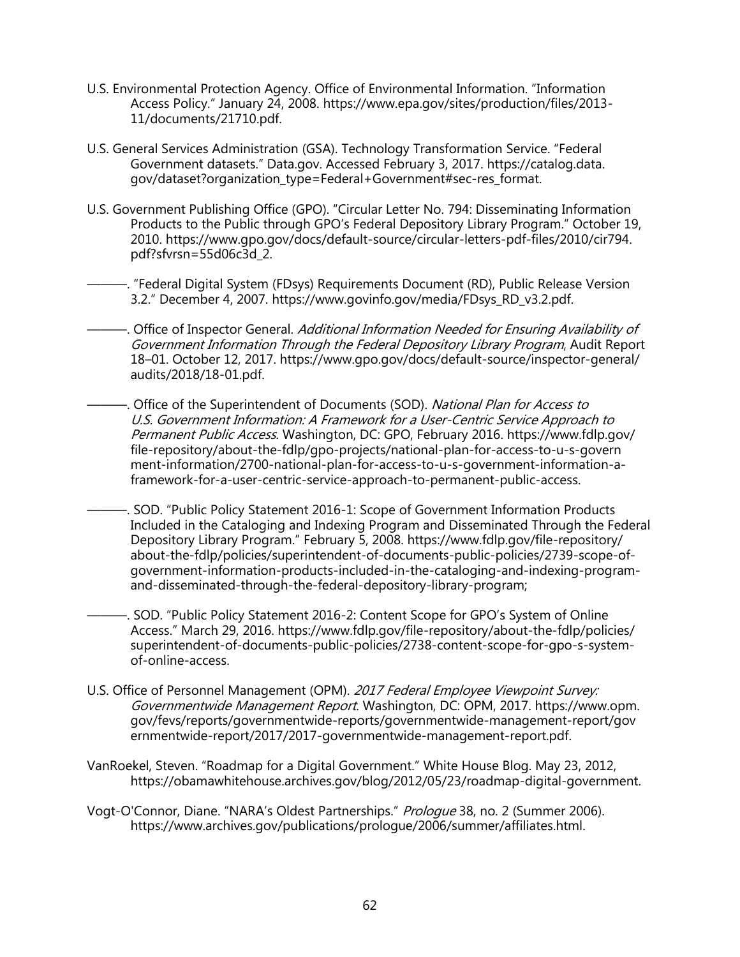- U.S. Environmental Protection Agency. Office of Environmental Information. "Information Access Policy." January 24, 2008. https://www.epa.gov/sites/production/files/2013- 11/documents/21710.pdf.
- U.S. General Services Administration (GSA). Technology Transformation Service. "Federal Government datasets." Data.gov. Accessed February 3, 2017. https://catalog.data. gov/dataset?organization\_type=Federal+Government#sec-res\_format.
- U.S. Government Publishing Office (GPO). "Circular Letter No. 794: Disseminating Information Products to the Public through GPO's Federal Depository Library Program." October 19, 2010. https://www.gpo.gov/docs/default-source/circular-letters-pdf-files/2010/cir794. pdf?sfvrsn=55d06c3d\_2.
	- ———. "Federal Digital System (FDsys) Requirements Document (RD), Public Release Version 3.2." December 4, 2007. https://www.govinfo.gov/media/FDsys\_RD\_v3.2.pdf.
- -. Office of Inspector General. Additional Information Needed for Ensuring Availability of Government Information Through the Federal Depository Library Program, Audit Report 18–01. October 12, 2017. https://www.gpo.gov/docs/default-source/inspector-general/ audits/2018/18-01.pdf.
- . Office of the Superintendent of Documents (SOD). National Plan for Access to U.S. Government Information: A Framework for a User-Centric Service Approach to Permanent Public Access. Washington, DC: GPO, February 2016. https://www.fdlp.gov/ file-repository/about-the-fdlp/gpo-projects/national-plan-for-access-to-u-s-govern ment-information/2700-national-plan-for-access-to-u-s-government-information-aframework-for-a-user-centric-service-approach-to-permanent-public-access.
- ———. SOD. "Public Policy Statement 2016-1: Scope of Government Information Products Included in the Cataloging and Indexing Program and Disseminated Through the Federal Depository Library Program." February 5, 2008. https://www.fdlp.gov/file-repository/ about-the-fdlp/policies/superintendent-of-documents-public-policies/2739-scope-ofgovernment-information-products-included-in-the-cataloging-and-indexing-programand-disseminated-through-the-federal-depository-library-program;
- ———. SOD. "Public Policy Statement 2016-2: Content Scope for GPO's System of Online Access." March 29, 2016. https://www.fdlp.gov/file-repository/about-the-fdlp/policies/ superintendent-of-documents-public-policies/2738-content-scope-for-gpo-s-systemof-online-access.
- U.S. Office of Personnel Management (OPM). 2017 Federal Employee Viewpoint Survey: Governmentwide Management Report. Washington, DC: OPM, 2017. https://www.opm. gov/fevs/reports/governmentwide-reports/governmentwide-management-report/gov ernmentwide-report/2017/2017-governmentwide-management-report.pdf.
- VanRoekel, Steven. "Roadmap for a Digital Government." White House Blog. May 23, 2012, https://obamawhitehouse.archives.gov/blog/2012/05/23/roadmap-digital-government.
- Vogt-O'Connor, Diane. "NARA's Oldest Partnerships." Prologue 38, no. 2 (Summer 2006). https://www.archives.gov/publications/prologue/2006/summer/affiliates.html.